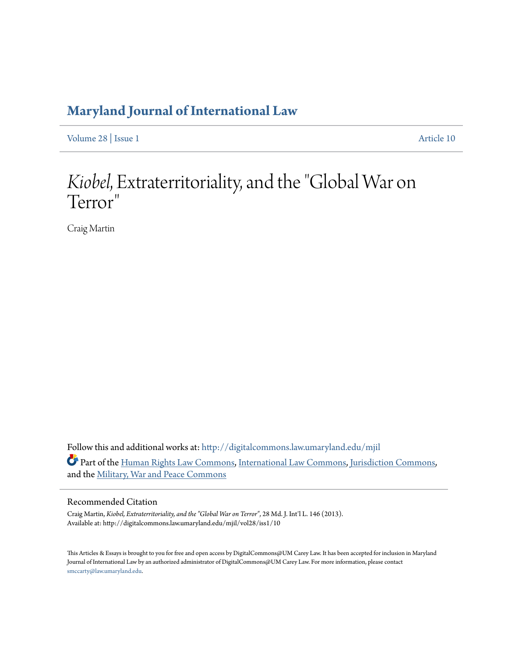# **[Maryland Journal of International Law](http://digitalcommons.law.umaryland.edu/mjil?utm_source=digitalcommons.law.umaryland.edu%2Fmjil%2Fvol28%2Fiss1%2F10&utm_medium=PDF&utm_campaign=PDFCoverPages)**

[Volume 28](http://digitalcommons.law.umaryland.edu/mjil/vol28?utm_source=digitalcommons.law.umaryland.edu%2Fmjil%2Fvol28%2Fiss1%2F10&utm_medium=PDF&utm_campaign=PDFCoverPages) | [Issue 1](http://digitalcommons.law.umaryland.edu/mjil/vol28/iss1?utm_source=digitalcommons.law.umaryland.edu%2Fmjil%2Fvol28%2Fiss1%2F10&utm_medium=PDF&utm_campaign=PDFCoverPages) [Article 10](http://digitalcommons.law.umaryland.edu/mjil/vol28/iss1/10?utm_source=digitalcommons.law.umaryland.edu%2Fmjil%2Fvol28%2Fiss1%2F10&utm_medium=PDF&utm_campaign=PDFCoverPages)

# *Kiobel*, Extraterritoriality, and the "Global War on Terror "

Craig Martin

Follow this and additional works at: [http://digitalcommons.law.umaryland.edu/mjil](http://digitalcommons.law.umaryland.edu/mjil?utm_source=digitalcommons.law.umaryland.edu%2Fmjil%2Fvol28%2Fiss1%2F10&utm_medium=PDF&utm_campaign=PDFCoverPages) Part of the [Human Rights Law Commons,](http://network.bepress.com/hgg/discipline/847?utm_source=digitalcommons.law.umaryland.edu%2Fmjil%2Fvol28%2Fiss1%2F10&utm_medium=PDF&utm_campaign=PDFCoverPages) [International Law Commons](http://network.bepress.com/hgg/discipline/609?utm_source=digitalcommons.law.umaryland.edu%2Fmjil%2Fvol28%2Fiss1%2F10&utm_medium=PDF&utm_campaign=PDFCoverPages), [Jurisdiction Commons,](http://network.bepress.com/hgg/discipline/850?utm_source=digitalcommons.law.umaryland.edu%2Fmjil%2Fvol28%2Fiss1%2F10&utm_medium=PDF&utm_campaign=PDFCoverPages) and the [Military, War and Peace Commons](http://network.bepress.com/hgg/discipline/861?utm_source=digitalcommons.law.umaryland.edu%2Fmjil%2Fvol28%2Fiss1%2F10&utm_medium=PDF&utm_campaign=PDFCoverPages)

#### Recommended Citation

Craig Martin, *Kiobel, Extraterritoriality, and the "Global War on Terror"*, 28 Md. J. Int'l L. 146 (2013). Available at: http://digitalcommons.law.umaryland.edu/mjil/vol28/iss1/10

This Articles & Essays is brought to you for free and open access by DigitalCommons@UM Carey Law. It has been accepted for inclusion in Maryland Journal of International Law by an authorized administrator of DigitalCommons@UM Carey Law. For more information, please contact [smccarty@law.umaryland.edu.](mailto:smccarty@law.umaryland.edu)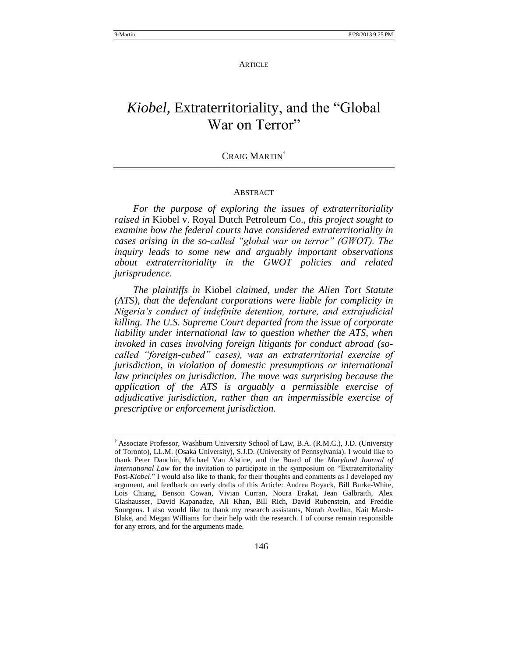#### **ARTICLE**

# Kiobel, Extraterritoriality, and the "Global War on Terror"

#### CRAIG MARTIN<sup>†</sup>

#### **ABSTRACT**

*For the purpose of exploring the issues of extraterritoriality raised in* Kiobel v. Royal Dutch Petroleum Co.*, this project sought to examine how the federal courts have considered extraterritoriality in cases arising in the so-called "global war on terror" (GWOT). The inquiry leads to some new and arguably important observations about extraterritoriality in the GWOT policies and related jurisprudence.*

*The plaintiffs in* Kiobel *claimed, under the Alien Tort Statute (ATS), that the defendant corporations were liable for complicity in Nigeria"s conduct of indefinite detention, torture, and extrajudicial killing. The U.S. Supreme Court departed from the issue of corporate liability under international law to question whether the ATS, when invoked in cases involving foreign litigants for conduct abroad (socalled "foreign-cubed" cases), was an extraterritorial exercise of jurisdiction, in violation of domestic presumptions or international law principles on jurisdiction. The move was surprising because the application of the ATS is arguably a permissible exercise of adjudicative jurisdiction, rather than an impermissible exercise of prescriptive or enforcement jurisdiction.* 

<sup>†</sup> Associate Professor, Washburn University School of Law, B.A. (R.M.C.), J.D. (University of Toronto), LL.M. (Osaka University), S.J.D. (University of Pennsylvania). I would like to thank Peter Danchin, Michael Van Alstine, and the Board of the *Maryland Journal of International Law* for the invitation to participate in the symposium on "Extraterritoriality" Post-*Kiobel*." I would also like to thank, for their thoughts and comments as I developed my argument, and feedback on early drafts of this Article: Andrea Boyack, Bill Burke-White, Lois Chiang, Benson Cowan, Vivian Curran, Noura Erakat, Jean Galbraith, Alex Glashausser, David Kapanadze, Ali Khan, Bill Rich, David Rubenstein, and Freddie Sourgens. I also would like to thank my research assistants, Norah Avellan, Kait Marsh-Blake, and Megan Williams for their help with the research. I of course remain responsible for any errors, and for the arguments made.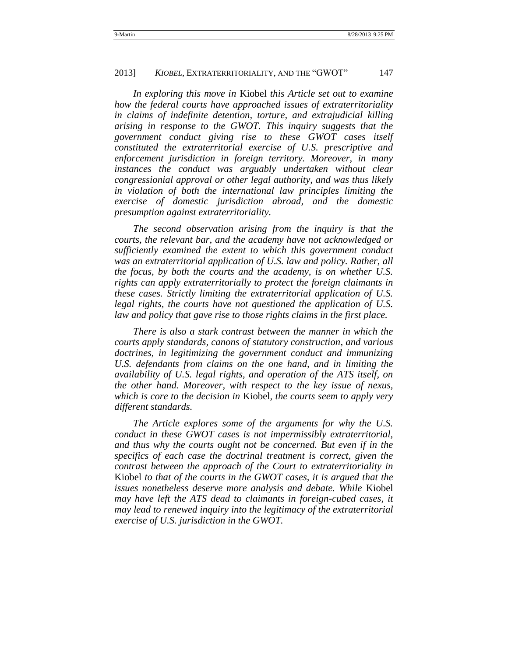*In exploring this move in* Kiobel *this Article set out to examine how the federal courts have approached issues of extraterritoriality in claims of indefinite detention, torture, and extrajudicial killing arising in response to the GWOT. This inquiry suggests that the government conduct giving rise to these GWOT cases itself constituted the extraterritorial exercise of U.S. prescriptive and enforcement jurisdiction in foreign territory. Moreover, in many instances the conduct was arguably undertaken without clear congressionial approval or other legal authority, and was thus likely in violation of both the international law principles limiting the exercise of domestic jurisdiction abroad, and the domestic presumption against extraterritoriality.* 

*The second observation arising from the inquiry is that the courts, the relevant bar, and the academy have not acknowledged or sufficiently examined the extent to which this government conduct was an extraterritorial application of U.S. law and policy. Rather, all the focus, by both the courts and the academy, is on whether U.S. rights can apply extraterritorially to protect the foreign claimants in these cases. Strictly limiting the extraterritorial application of U.S. legal rights, the courts have not questioned the application of U.S. law and policy that gave rise to those rights claims in the first place.* 

*There is also a stark contrast between the manner in which the courts apply standards, canons of statutory construction, and various doctrines, in legitimizing the government conduct and immunizing U.S. defendants from claims on the one hand, and in limiting the availability of U.S. legal rights, and operation of the ATS itself, on the other hand. Moreover, with respect to the key issue of nexus, which is core to the decision in* Kiobel*, the courts seem to apply very different standards.* 

*The Article explores some of the arguments for why the U.S. conduct in these GWOT cases is not impermissibly extraterritorial, and thus why the courts ought not be concerned. But even if in the specifics of each case the doctrinal treatment is correct, given the contrast between the approach of the Court to extraterritoriality in*  Kiobel *to that of the courts in the GWOT cases, it is argued that the issues nonetheless deserve more analysis and debate. While* Kiobel *may have left the ATS dead to claimants in foreign-cubed cases, it may lead to renewed inquiry into the legitimacy of the extraterritorial exercise of U.S. jurisdiction in the GWOT.*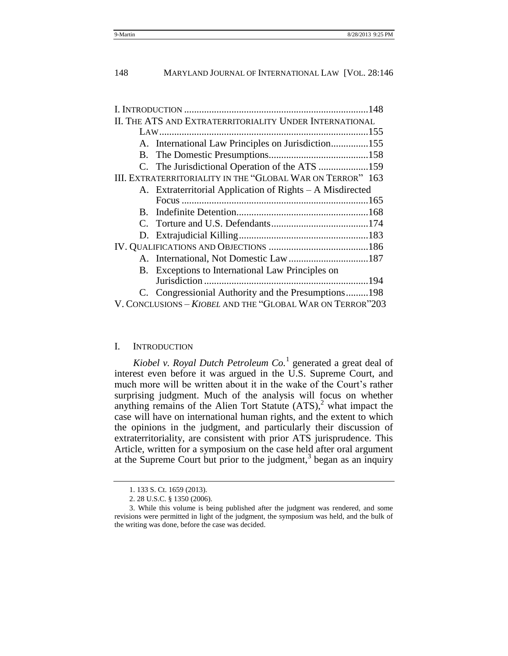| II. THE ATS AND EXTRATERRITORIALITY UNDER INTERNATIONAL   |                                                            |
|-----------------------------------------------------------|------------------------------------------------------------|
|                                                           |                                                            |
|                                                           | A. International Law Principles on Jurisdiction155         |
|                                                           |                                                            |
|                                                           |                                                            |
|                                                           | III. EXTRATERRITORIALITY IN THE "GLOBAL WAR ON TERROR" 163 |
|                                                           | A. Extraterritorial Application of Rights – A Misdirected  |
|                                                           |                                                            |
| $B_{\cdot}$                                               |                                                            |
|                                                           |                                                            |
|                                                           |                                                            |
|                                                           |                                                            |
|                                                           |                                                            |
|                                                           | B. Exceptions to International Law Principles on           |
|                                                           |                                                            |
|                                                           | C. Congressionial Authority and the Presumptions198        |
| V. CONCLUSIONS - KIOBEL AND THE "GLOBAL WAR ON TERROR"203 |                                                            |

#### <span id="page-3-0"></span>I. INTRODUCTION

Kiobel v. Royal Dutch Petroleum Co.<sup>1</sup> generated a great deal of interest even before it was argued in the U.S. Supreme Court, and much more will be written about it in the wake of the Court's rather surprising judgment. Much of the analysis will focus on whether anything remains of the Alien Tort Statute  $(ATS)$ , what impact the case will have on international human rights, and the extent to which the opinions in the judgment, and particularly their discussion of extraterritoriality, are consistent with prior ATS jurisprudence. This Article, written for a symposium on the case held after oral argument at the Supreme Court but prior to the judgment, $3$  began as an inquiry

<sup>1.</sup> 133 S. Ct. 1659 (2013).

<sup>2.</sup> 28 U.S.C. § 1350 (2006).

<sup>3.</sup> While this volume is being published after the judgment was rendered, and some revisions were permitted in light of the judgment, the symposium was held, and the bulk of the writing was done, before the case was decided.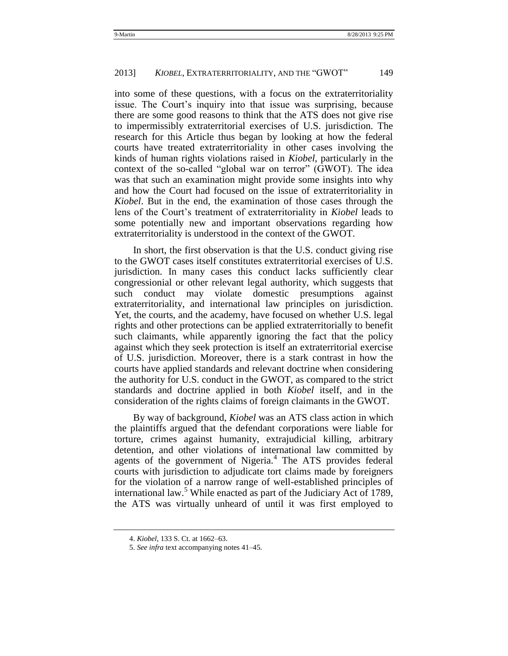into some of these questions, with a focus on the extraterritoriality issue. The Court's inquiry into that issue was surprising, because there are some good reasons to think that the ATS does not give rise to impermissibly extraterritorial exercises of U.S. jurisdiction. The research for this Article thus began by looking at how the federal courts have treated extraterritoriality in other cases involving the kinds of human rights violations raised in *Kiobel*, particularly in the context of the so-called "global war on terror" (GWOT). The idea was that such an examination might provide some insights into why and how the Court had focused on the issue of extraterritoriality in *Kiobel*. But in the end, the examination of those cases through the lens of the Court's treatment of extraterritoriality in *Kiobel* leads to some potentially new and important observations regarding how extraterritoriality is understood in the context of the GWOT.

In short, the first observation is that the U.S. conduct giving rise to the GWOT cases itself constitutes extraterritorial exercises of U.S. jurisdiction. In many cases this conduct lacks sufficiently clear congressionial or other relevant legal authority, which suggests that such conduct may violate domestic presumptions against extraterritoriality, and international law principles on jurisdiction. Yet, the courts, and the academy, have focused on whether U.S. legal rights and other protections can be applied extraterritorially to benefit such claimants, while apparently ignoring the fact that the policy against which they seek protection is itself an extraterritorial exercise of U.S. jurisdiction. Moreover, there is a stark contrast in how the courts have applied standards and relevant doctrine when considering the authority for U.S. conduct in the GWOT, as compared to the strict standards and doctrine applied in both *Kiobel* itself, and in the consideration of the rights claims of foreign claimants in the GWOT.

By way of background, *Kiobel* was an ATS class action in which the plaintiffs argued that the defendant corporations were liable for torture, crimes against humanity, extrajudicial killing, arbitrary detention, and other violations of international law committed by agents of the government of Nigeria.<sup>4</sup> The ATS provides federal courts with jurisdiction to adjudicate tort claims made by foreigners for the violation of a narrow range of well-established principles of international law.<sup>5</sup> While enacted as part of the Judiciary Act of 1789, the ATS was virtually unheard of until it was first employed to

<sup>4.</sup> *Kiobel*, 133 S. Ct. at 1662–63.

<sup>5.</sup> *See infra* text accompanying notes [41](#page-15-0)[–45.](#page-16-0)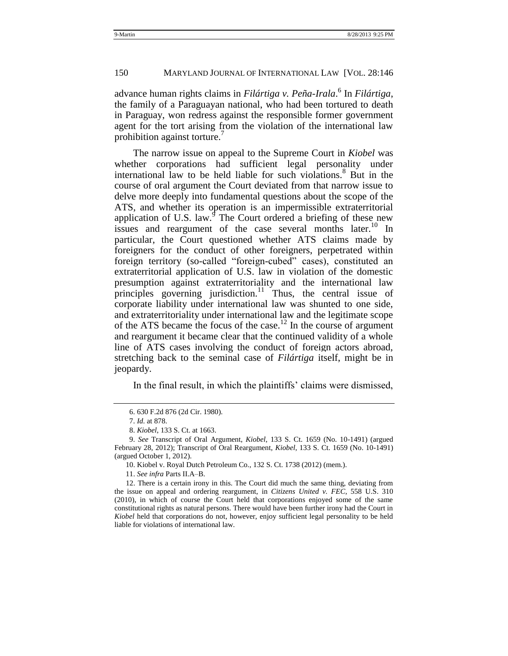advance human rights claims in *Filártiga v. Peña-Irala*. 6 In *Filártiga*, the family of a Paraguayan national, who had been tortured to death in Paraguay, won redress against the responsible former government agent for the tort arising from the violation of the international law prohibition against torture.<sup>7</sup>

<span id="page-5-0"></span>The narrow issue on appeal to the Supreme Court in *Kiobel* was whether corporations had sufficient legal personality under international law to be held liable for such violations. $8$  But in the course of oral argument the Court deviated from that narrow issue to delve more deeply into fundamental questions about the scope of the ATS, and whether its operation is an impermissible extraterritorial application of U.S. law. $\sigma$  The Court ordered a briefing of these new issues and reargument of the case several months later.<sup>10</sup> In particular, the Court questioned whether ATS claims made by foreigners for the conduct of other foreigners, perpetrated within foreign territory (so-called "foreign-cubed" cases), constituted an extraterritorial application of U.S. law in violation of the domestic presumption against extraterritoriality and the international law principles governing jurisdiction.<sup>11</sup> Thus, the central issue of corporate liability under international law was shunted to one side, and extraterritoriality under international law and the legitimate scope of the ATS became the focus of the case.<sup>12</sup> In the course of argument and reargument it became clear that the continued validity of a whole line of ATS cases involving the conduct of foreign actors abroad, stretching back to the seminal case of *Filártiga* itself, might be in jeopardy.

In the final result, in which the plaintiffs' claims were dismissed,

<sup>6.</sup> 630 F.2d 876 (2d Cir. 1980).

<sup>7.</sup> *Id.* at 878.

<sup>8.</sup> *Kiobel*, 133 S. Ct. at 1663.

<sup>9.</sup> *See* Transcript of Oral Argument, *Kiobel*, 133 S. Ct. 1659 (No. 10-1491) (argued February 28, 2012); Transcript of Oral Reargument, *Kiobel*, 133 S. Ct. 1659 (No. 10-1491) (argued October 1, 2012).

<sup>10.</sup> Kiobel v. Royal Dutch Petroleum Co., 132 S. Ct. 1738 (2012) (mem.).

<sup>11.</sup> *See infra* Parts II.A–B.

<sup>12.</sup> There is a certain irony in this. The Court did much the same thing, deviating from the issue on appeal and ordering reargument, in *Citizens United v. FEC*, 558 U.S. 310 (2010), in which of course the Court held that corporations enjoyed some of the same constitutional rights as natural persons. There would have been further irony had the Court in *Kiobel* held that corporations do not, however, enjoy sufficient legal personality to be held liable for violations of international law.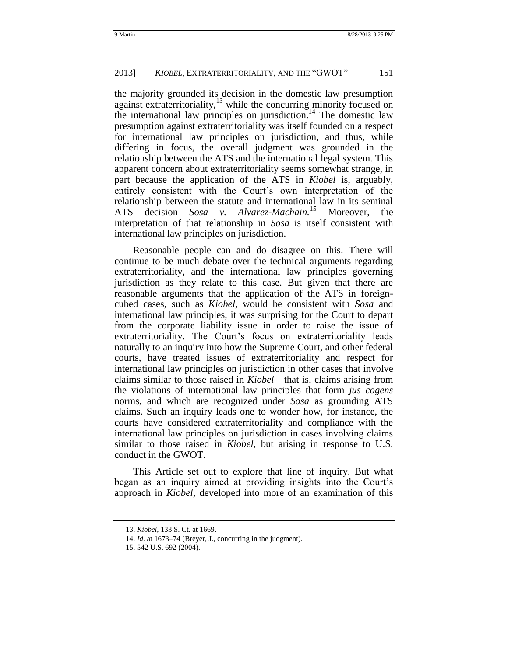the majority grounded its decision in the domestic law presumption against extraterritoriality, $13$  while the concurring minority focused on the international law principles on jurisdiction.<sup>14</sup> The domestic law presumption against extraterritoriality was itself founded on a respect for international law principles on jurisdiction, and thus, while differing in focus, the overall judgment was grounded in the relationship between the ATS and the international legal system. This apparent concern about extraterritoriality seems somewhat strange, in part because the application of the ATS in *Kiobel* is, arguably, entirely consistent with the Court's own interpretation of the relationship between the statute and international law in its seminal ATS decision *Sosa v. Alvarez-Machain.*<sup>15</sup> Moreover, the interpretation of that relationship in *Sosa* is itself consistent with international law principles on jurisdiction.

Reasonable people can and do disagree on this. There will continue to be much debate over the technical arguments regarding extraterritoriality, and the international law principles governing jurisdiction as they relate to this case. But given that there are reasonable arguments that the application of the ATS in foreigncubed cases, such as *Kiobel,* would be consistent with *Sosa* and international law principles, it was surprising for the Court to depart from the corporate liability issue in order to raise the issue of extraterritoriality. The Court's focus on extraterritoriality leads naturally to an inquiry into how the Supreme Court, and other federal courts, have treated issues of extraterritoriality and respect for international law principles on jurisdiction in other cases that involve claims similar to those raised in *Kiobel*—that is, claims arising from the violations of international law principles that form *jus cogens* norms, and which are recognized under *Sosa* as grounding ATS claims. Such an inquiry leads one to wonder how, for instance, the courts have considered extraterritoriality and compliance with the international law principles on jurisdiction in cases involving claims similar to those raised in *Kiobel*, but arising in response to U.S. conduct in the GWOT.

This Article set out to explore that line of inquiry. But what began as an inquiry aimed at providing insights into the Court's approach in *Kiobel*, developed into more of an examination of this

<sup>13.</sup> *Kiobel*, 133 S. Ct. at 1669.

<sup>14.</sup> *Id.* at 1673–74 (Breyer, J., concurring in the judgment).

<sup>15.</sup> 542 U.S. 692 (2004).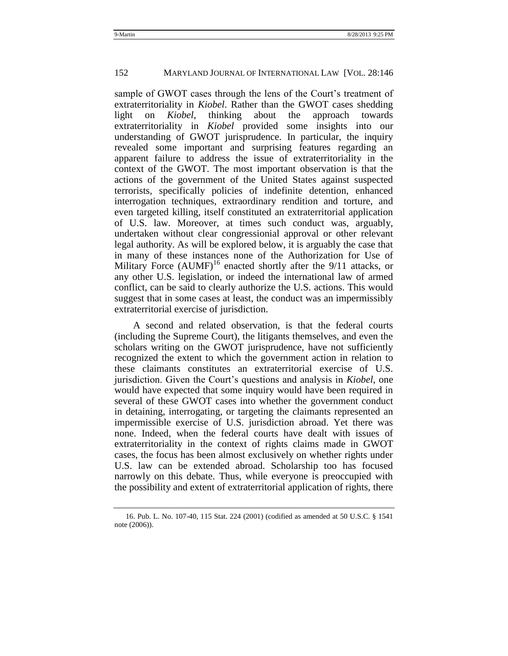sample of GWOT cases through the lens of the Court's treatment of extraterritoriality in *Kiobel*. Rather than the GWOT cases shedding light on *Kiobel*, thinking about the approach towards extraterritoriality in *Kiobel* provided some insights into our understanding of GWOT jurisprudence. In particular, the inquiry revealed some important and surprising features regarding an apparent failure to address the issue of extraterritoriality in the context of the GWOT. The most important observation is that the actions of the government of the United States against suspected terrorists, specifically policies of indefinite detention, enhanced interrogation techniques, extraordinary rendition and torture, and even targeted killing, itself constituted an extraterritorial application of U.S. law. Moreover, at times such conduct was, arguably, undertaken without clear congressionial approval or other relevant legal authority. As will be explored below, it is arguably the case that in many of these instances none of the Authorization for Use of Military Force  $(AUMF)^{16}$  enacted shortly after the 9/11 attacks, or any other U.S. legislation, or indeed the international law of armed conflict, can be said to clearly authorize the U.S. actions. This would suggest that in some cases at least, the conduct was an impermissibly extraterritorial exercise of jurisdiction.

A second and related observation, is that the federal courts (including the Supreme Court), the litigants themselves, and even the scholars writing on the GWOT jurisprudence, have not sufficiently recognized the extent to which the government action in relation to these claimants constitutes an extraterritorial exercise of U.S. jurisdiction. Given the Court's questions and analysis in *Kiobel*, one would have expected that some inquiry would have been required in several of these GWOT cases into whether the government conduct in detaining, interrogating, or targeting the claimants represented an impermissible exercise of U.S. jurisdiction abroad. Yet there was none. Indeed, when the federal courts have dealt with issues of extraterritoriality in the context of rights claims made in GWOT cases, the focus has been almost exclusively on whether rights under U.S. law can be extended abroad. Scholarship too has focused narrowly on this debate. Thus, while everyone is preoccupied with the possibility and extent of extraterritorial application of rights, there

<sup>16.</sup> Pub. L. No. 107-40, 115 Stat. 224 (2001) (codified as amended at 50 U.S.C. § 1541 note (2006)).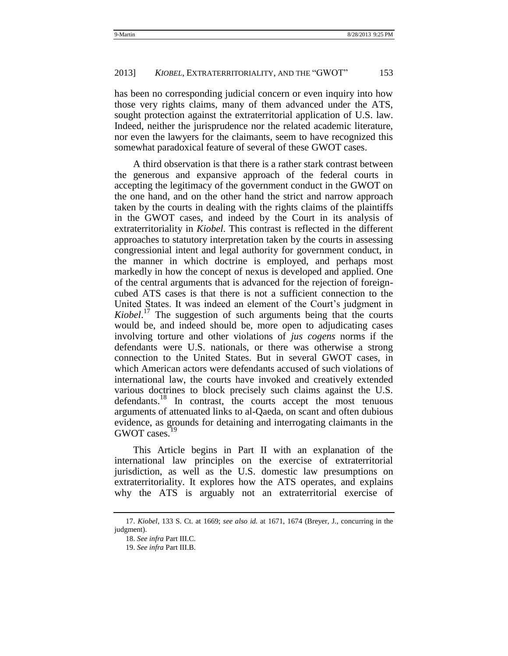has been no corresponding judicial concern or even inquiry into how those very rights claims, many of them advanced under the ATS, sought protection against the extraterritorial application of U.S. law. Indeed, neither the jurisprudence nor the related academic literature, nor even the lawyers for the claimants, seem to have recognized this somewhat paradoxical feature of several of these GWOT cases.

A third observation is that there is a rather stark contrast between the generous and expansive approach of the federal courts in accepting the legitimacy of the government conduct in the GWOT on the one hand, and on the other hand the strict and narrow approach taken by the courts in dealing with the rights claims of the plaintiffs in the GWOT cases, and indeed by the Court in its analysis of extraterritoriality in *Kiobel*. This contrast is reflected in the different approaches to statutory interpretation taken by the courts in assessing congressionial intent and legal authority for government conduct, in the manner in which doctrine is employed, and perhaps most markedly in how the concept of nexus is developed and applied. One of the central arguments that is advanced for the rejection of foreigncubed ATS cases is that there is not a sufficient connection to the United States. It was indeed an element of the Court's judgment in *Kiobel*. <sup>17</sup> The suggestion of such arguments being that the courts would be, and indeed should be, more open to adjudicating cases involving torture and other violations of *jus cogens* norms if the defendants were U.S. nationals, or there was otherwise a strong connection to the United States. But in several GWOT cases, in which American actors were defendants accused of such violations of international law, the courts have invoked and creatively extended various doctrines to block precisely such claims against the U.S. defendants.<sup>18</sup> In contrast, the courts accept the most tenuous arguments of attenuated links to al-Qaeda, on scant and often dubious evidence, as grounds for detaining and interrogating claimants in the GWOT cases.<sup>19</sup>

This Article begins in Part II with an explanation of the international law principles on the exercise of extraterritorial jurisdiction, as well as the U.S. domestic law presumptions on extraterritoriality. It explores how the ATS operates, and explains why the ATS is arguably not an extraterritorial exercise of

<sup>17.</sup> *Kiobel*, 133 S. Ct. at 1669; *see also id.* at 1671, 1674 (Breyer, J., concurring in the judgment).

<sup>18.</sup> *See infra* Part III.C.

<sup>19.</sup> *See infra* Part III.B.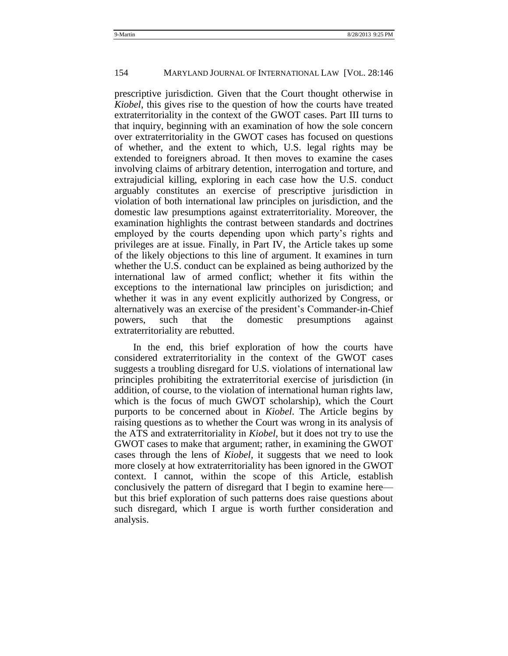prescriptive jurisdiction. Given that the Court thought otherwise in *Kiobel*, this gives rise to the question of how the courts have treated extraterritoriality in the context of the GWOT cases. Part III turns to that inquiry, beginning with an examination of how the sole concern over extraterritoriality in the GWOT cases has focused on questions of whether, and the extent to which, U.S. legal rights may be extended to foreigners abroad. It then moves to examine the cases involving claims of arbitrary detention, interrogation and torture, and extrajudicial killing, exploring in each case how the U.S. conduct arguably constitutes an exercise of prescriptive jurisdiction in violation of both international law principles on jurisdiction, and the domestic law presumptions against extraterritoriality. Moreover, the examination highlights the contrast between standards and doctrines employed by the courts depending upon which party's rights and privileges are at issue. Finally, in Part IV, the Article takes up some of the likely objections to this line of argument. It examines in turn whether the U.S. conduct can be explained as being authorized by the international law of armed conflict; whether it fits within the exceptions to the international law principles on jurisdiction; and whether it was in any event explicitly authorized by Congress, or alternatively was an exercise of the president's Commander-in-Chief powers, such that the domestic presumptions against extraterritoriality are rebutted.

In the end, this brief exploration of how the courts have considered extraterritoriality in the context of the GWOT cases suggests a troubling disregard for U.S. violations of international law principles prohibiting the extraterritorial exercise of jurisdiction (in addition, of course, to the violation of international human rights law, which is the focus of much GWOT scholarship), which the Court purports to be concerned about in *Kiobel*. The Article begins by raising questions as to whether the Court was wrong in its analysis of the ATS and extraterritoriality in *Kiobel*, but it does not try to use the GWOT cases to make that argument; rather, in examining the GWOT cases through the lens of *Kiobel*, it suggests that we need to look more closely at how extraterritoriality has been ignored in the GWOT context. I cannot, within the scope of this Article, establish conclusively the pattern of disregard that I begin to examine here but this brief exploration of such patterns does raise questions about such disregard, which I argue is worth further consideration and analysis.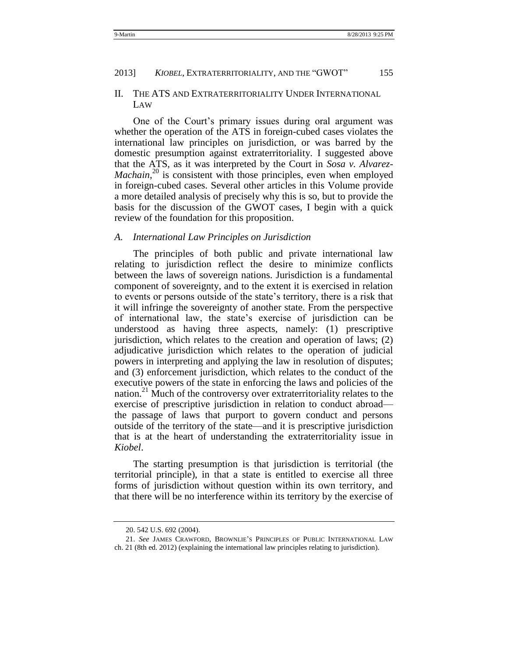#### <span id="page-10-0"></span>II. THE ATS AND EXTRATERRITORIALITY UNDER INTERNATIONAL LAW

One of the Court's primary issues during oral argument was whether the operation of the ATS in foreign-cubed cases violates the international law principles on jurisdiction, or was barred by the domestic presumption against extraterritoriality. I suggested above that the ATS, as it was interpreted by the Court in *Sosa v. Alvarez-*Machain,<sup>20</sup> is consistent with those principles, even when employed in foreign-cubed cases. Several other articles in this Volume provide a more detailed analysis of precisely why this is so, but to provide the basis for the discussion of the GWOT cases, I begin with a quick review of the foundation for this proposition.

#### <span id="page-10-1"></span>*A. International Law Principles on Jurisdiction*

The principles of both public and private international law relating to jurisdiction reflect the desire to minimize conflicts between the laws of sovereign nations. Jurisdiction is a fundamental component of sovereignty, and to the extent it is exercised in relation to events or persons outside of the state's territory, there is a risk that it will infringe the sovereignty of another state. From the perspective of international law, the state's exercise of jurisdiction can be understood as having three aspects, namely: (1) prescriptive jurisdiction, which relates to the creation and operation of laws; (2) adjudicative jurisdiction which relates to the operation of judicial powers in interpreting and applying the law in resolution of disputes; and (3) enforcement jurisdiction, which relates to the conduct of the executive powers of the state in enforcing the laws and policies of the nation.<sup>21</sup> Much of the controversy over extraterritoriality relates to the exercise of prescriptive jurisdiction in relation to conduct abroad the passage of laws that purport to govern conduct and persons outside of the territory of the state—and it is prescriptive jurisdiction that is at the heart of understanding the extraterritoriality issue in *Kiobel*.

<span id="page-10-2"></span>The starting presumption is that jurisdiction is territorial (the territorial principle), in that a state is entitled to exercise all three forms of jurisdiction without question within its own territory, and that there will be no interference within its territory by the exercise of

<sup>20.</sup> 542 U.S. 692 (2004).

<sup>21.</sup> *See* JAMES CRAWFORD, BROWNLIE'S PRINCIPLES OF PUBLIC INTERNATIONAL LAW

ch. 21 (8th ed. 2012) (explaining the international law principles relating to jurisdiction).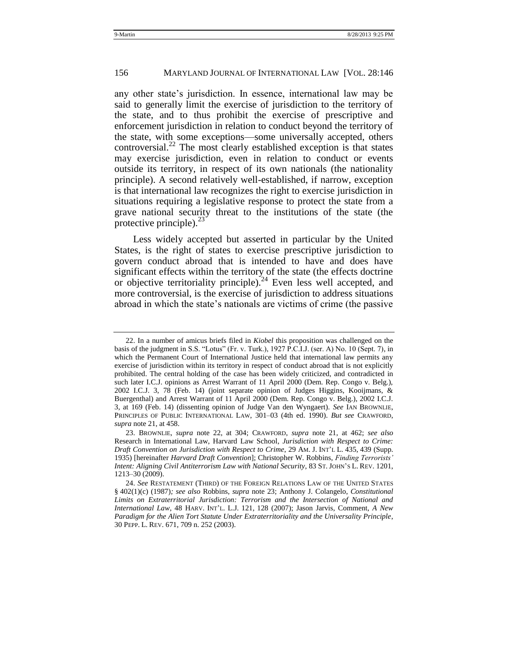#### 156 MARYLAND JOURNAL OF INTERNATIONAL LAW [VOL. 28:146

<span id="page-11-0"></span>any other state's jurisdiction. In essence, international law may be said to generally limit the exercise of jurisdiction to the territory of the state, and to thus prohibit the exercise of prescriptive and enforcement jurisdiction in relation to conduct beyond the territory of the state, with some exceptions—some universally accepted, others controversial.<sup>22</sup> The most clearly established exception is that states may exercise jurisdiction, even in relation to conduct or events outside its territory, in respect of its own nationals (the nationality principle). A second relatively well-established, if narrow, exception is that international law recognizes the right to exercise jurisdiction in situations requiring a legislative response to protect the state from a grave national security threat to the institutions of the state (the protective principle). $^{23}$ 

<span id="page-11-2"></span><span id="page-11-1"></span>Less widely accepted but asserted in particular by the United States, is the right of states to exercise prescriptive jurisdiction to govern conduct abroad that is intended to have and does have significant effects within the territory of the state (the effects doctrine or objective territoriality principle).<sup>24</sup> Even less well accepted, and more controversial, is the exercise of jurisdiction to address situations abroad in which the state's nationals are victims of crime (the passive

<sup>22.</sup> In a number of amicus briefs filed in *Kiobel* this proposition was challenged on the basis of the judgment in S.S. "Lotus" (Fr. v. Turk.), 1927 P.C.I.J. (ser. A) No. 10 (Sept. 7), in which the Permanent Court of International Justice held that international law permits any exercise of jurisdiction within its territory in respect of conduct abroad that is not explicitly prohibited. The central holding of the case has been widely criticized, and contradicted in such later I.C.J. opinions as Arrest Warrant of 11 April 2000 (Dem. Rep. Congo v. Belg.), 2002 I.C.J. 3, 78 (Feb. 14) (joint separate opinion of Judges Higgins, Kooijmans, & Buergenthal) and Arrest Warrant of 11 April 2000 (Dem. Rep. Congo v. Belg.), 2002 I.C.J. 3, at 169 (Feb. 14) (dissenting opinion of Judge Van den Wyngaert). *See* IAN BROWNLIE, PRINCIPLES OF PUBLIC INTERNATIONAL LAW, 301–03 (4th ed. 1990). *But see* CRAWFORD, *supra* not[e 21,](#page-10-2) at 458.

<sup>23.</sup> BROWNLIE, *supra* note [22,](#page-11-0) at 304; CRAWFORD, *supra* note [21,](#page-10-2) at 462; *see also* Research in International Law, Harvard Law School, *Jurisdiction with Respect to Crime: Draft Convention on Jurisdiction with Respect to Crime*, 29 AM. J. INT'L L. 435, 439 (Supp. 1935) [hereinafter *Harvard Draft Convention*]; Christopher W. Robbins, *Finding Terrorists" Intent: Aligning Civil Antiterrorism Law with National Security*, 83 ST. JOHN'S L. REV. 1201, 1213–30 (2009).

<sup>24.</sup> *See* RESTATEMENT (THIRD) OF THE FOREIGN RELATIONS LAW OF THE UNITED STATES § 402(1)(c) (1987)*; see also* Robbins, *supra* note [23;](#page-11-1) Anthony J. Colangelo, *Constitutional Limits on Extraterritorial Jurisdiction: Terrorism and the Intersection of National and International Law*, 48 HARV. INT'L. L.J. 121, 128 (2007); Jason Jarvis, Comment, *A New Paradigm for the Alien Tort Statute Under Extraterritoriality and the Universality Principle*, 30 PEPP. L. REV. 671, 709 n. 252 (2003).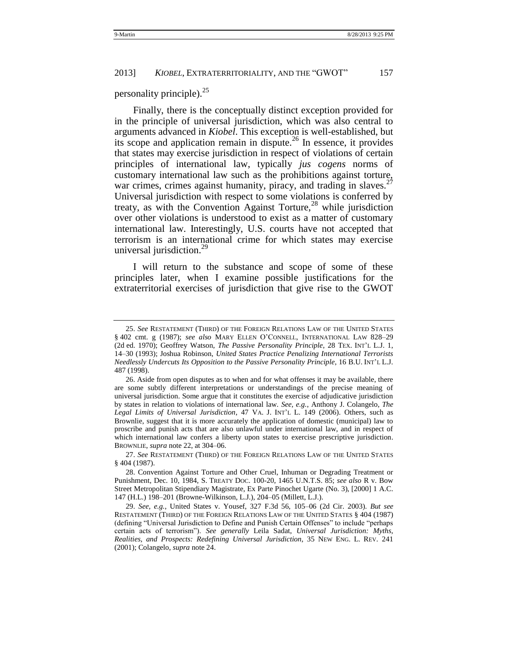<span id="page-12-0"></span>personality principle). $^{25}$ 

Finally, there is the conceptually distinct exception provided for in the principle of universal jurisdiction, which was also central to arguments advanced in *Kiobel*. This exception is well-established, but its scope and application remain in dispute.<sup>26</sup> In essence, it provides that states may exercise jurisdiction in respect of violations of certain principles of international law, typically *jus cogens* norms of customary international law such as the prohibitions against torture, war crimes, crimes against humanity, piracy, and trading in slaves. $27$ Universal jurisdiction with respect to some violations is conferred by treaty, as with the Convention Against Torture,<sup>28</sup> while jurisdiction over other violations is understood to exist as a matter of customary international law. Interestingly, U.S. courts have not accepted that terrorism is an international crime for which states may exercise universal jurisdiction.<sup>29</sup>

I will return to the substance and scope of some of these principles later, when I examine possible justifications for the extraterritorial exercises of jurisdiction that give rise to the GWOT

<sup>25.</sup> *See* RESTATEMENT (THIRD) OF THE FOREIGN RELATIONS LAW OF THE UNITED STATES § 402 cmt. g (1987); *see also* MARY ELLEN O'CONNELL, INTERNATIONAL LAW 828–29 (2d ed. 1970); Geoffrey Watson, *The Passive Personality Principle*, 28 TEX. INT'L L.J. 1, 14–30 (1993); Joshua Robinson, *United States Practice Penalizing International Terrorists Needlessly Undercuts Its Opposition to the Passive Personality Principle*, 16 B.U. INT'L L.J. 487 (1998).

<sup>26.</sup> Aside from open disputes as to when and for what offenses it may be available, there are some subtly different interpretations or understandings of the precise meaning of universal jurisdiction. Some argue that it constitutes the exercise of adjudicative jurisdiction by states in relation to violations of international law. *See, e.g.*, Anthony J. Colangelo, *The Legal Limits of Universal Jurisdiction*, 47 VA. J. INT'L L. 149 (2006). Others, such as Brownlie, suggest that it is more accurately the application of domestic (municipal) law to proscribe and punish acts that are also unlawful under international law, and in respect of which international law confers a liberty upon states to exercise prescriptive jurisdiction. BROWNLIE, *supra* not[e 22,](#page-11-0) at 304–06.

<sup>27.</sup> *See* RESTATEMENT (THIRD) OF THE FOREIGN RELATIONS LAW OF THE UNITED STATES § 404 (1987).

<sup>28.</sup> Convention Against Torture and Other Cruel, Inhuman or Degrading Treatment or Punishment, Dec. 10, 1984, S. TREATY DOC. 100-20, 1465 U.N.T.S. 85; *see also* R v. Bow Street Metropolitan Stipendiary Magistrate, Ex Parte Pinochet Ugarte (No. 3), [2000] 1 A.C. 147 (H.L.) 198–201 (Browne-Wilkinson, L.J.), 204–05 (Millett, L.J.).

<sup>29.</sup> *See, e.g.*, United States v. Yousef, 327 F.3d 56, 105–06 (2d Cir. 2003). *But see* RESTATEMENT (THIRD) OF THE FOREIGN RELATIONS LAW OF THE UNITED STATES § 404 (1987) (defining "Universal Jurisdiction to Define and Punish Certain Offenses" to include "perhaps") certain acts of terrorism"). *See generally* Leila Sadat, *Universal Jurisdiction: Myths, Realities, and Prospects: Redefining Universal Jurisdiction*, 35 NEW ENG. L. REV. 241 (2001); Colangelo, *supra* not[e 24.](#page-11-2)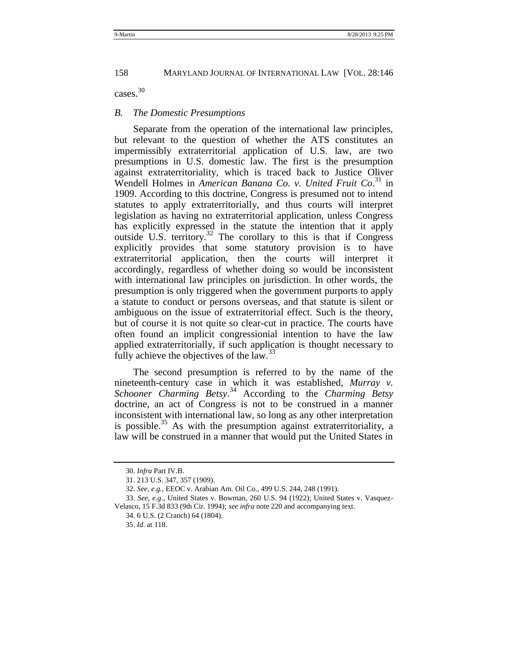### cases.<sup>30</sup>

#### <span id="page-13-0"></span>*B. The Domestic Presumptions*

Separate from the operation of the international law principles, but relevant to the question of whether the ATS constitutes an impermissibly extraterritorial application of U.S. law, are two presumptions in U.S. domestic law. The first is the presumption against extraterritoriality, which is traced back to Justice Oliver Wendell Holmes in *American Banana Co. v. United Fruit Co*. <sup>31</sup> in 1909. According to this doctrine, Congress is presumed not to intend statutes to apply extraterritorially, and thus courts will interpret legislation as having no extraterritorial application, unless Congress has explicitly expressed in the statute the intention that it apply outside U.S. territory.<sup>32</sup> The corollary to this is that if Congress explicitly provides that some statutory provision is to have extraterritorial application, then the courts will interpret it accordingly, regardless of whether doing so would be inconsistent with international law principles on jurisdiction. In other words, the presumption is only triggered when the government purports to apply a statute to conduct or persons overseas, and that statute is silent or ambiguous on the issue of extraterritorial effect. Such is the theory, but of course it is not quite so clear-cut in practice. The courts have often found an implicit congressionial intention to have the law applied extraterritorially, if such application is thought necessary to fully achieve the objectives of the  $law.<sup>33</sup>$ 

The second presumption is referred to by the name of the nineteenth-century case in which it was established, *Murray v. Schooner Charming Betsy*. <sup>34</sup> According to the *Charming Betsy* doctrine, an act of Congress is not to be construed in a manner inconsistent with international law, so long as any other interpretation is possible.<sup>35</sup> As with the presumption against extraterritoriality, a law will be construed in a manner that would put the United States in

<sup>30.</sup> *Infra* Part IV.B.

<sup>31.</sup> 213 U.S. 347, 357 (1909).

<sup>32.</sup> *See, e.g.*, EEOC v. Arabian Am. Oil Co., 499 U.S. 244, 248 (1991).

<sup>33.</sup> *See, e.g.*, United States v. Bowman, 260 U.S. 94 (1922); United States v. Vasquez-Velasco, 15 F.3d 833 (9th Cir. 1994); *see infra* note 220 and accompanying text.

<sup>34.</sup> 6 U.S. (2 Cranch) 64 (1804).

<sup>35.</sup> *Id.* at 118.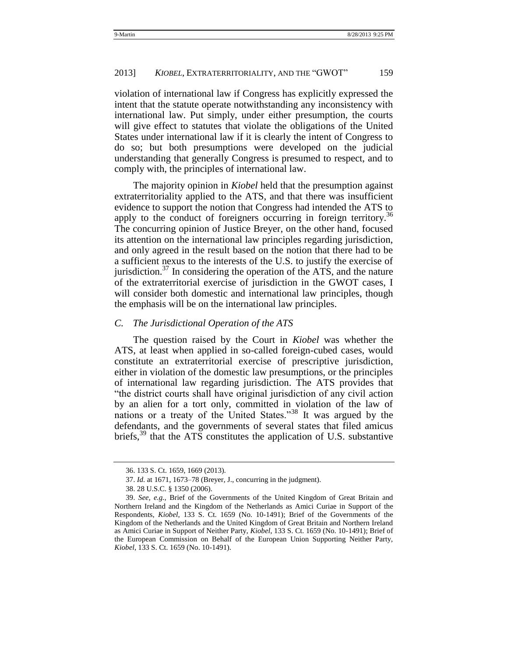violation of international law if Congress has explicitly expressed the intent that the statute operate notwithstanding any inconsistency with international law. Put simply, under either presumption, the courts will give effect to statutes that violate the obligations of the United States under international law if it is clearly the intent of Congress to do so; but both presumptions were developed on the judicial understanding that generally Congress is presumed to respect, and to comply with, the principles of international law.

The majority opinion in *Kiobel* held that the presumption against extraterritoriality applied to the ATS, and that there was insufficient evidence to support the notion that Congress had intended the ATS to apply to the conduct of foreigners occurring in foreign territory.<sup>36</sup> The concurring opinion of Justice Breyer, on the other hand, focused its attention on the international law principles regarding jurisdiction, and only agreed in the result based on the notion that there had to be a sufficient nexus to the interests of the U.S. to justify the exercise of jurisdiction. $37$  In considering the operation of the ATS, and the nature of the extraterritorial exercise of jurisdiction in the GWOT cases, I will consider both domestic and international law principles, though the emphasis will be on the international law principles.

#### <span id="page-14-0"></span>*C. The Jurisdictional Operation of the ATS*

The question raised by the Court in *Kiobel* was whether the ATS, at least when applied in so-called foreign-cubed cases, would constitute an extraterritorial exercise of prescriptive jurisdiction, either in violation of the domestic law presumptions, or the principles of international law regarding jurisdiction. The ATS provides that "the district courts shall have original jurisdiction of any civil action by an alien for a tort only, committed in violation of the law of nations or a treaty of the United States.<sup>38</sup> It was argued by the defendants, and the governments of several states that filed amicus briefs,  $39$  that the ATS constitutes the application of U.S. substantive

<span id="page-14-1"></span><sup>36.</sup> 133 S. Ct. 1659, 1669 (2013).

<sup>37.</sup> *Id.* at 1671, 1673–78 (Breyer, J., concurring in the judgment).

<sup>38.</sup> 28 U.S.C. § 1350 (2006).

<sup>39.</sup> *See, e.g.*, Brief of the Governments of the United Kingdom of Great Britain and Northern Ireland and the Kingdom of the Netherlands as Amici Curiae in Support of the Respondents, *Kiobel*, 133 S. Ct. 1659 (No. 10-1491); Brief of the Governments of the Kingdom of the Netherlands and the United Kingdom of Great Britain and Northern Ireland as Amici Curiae in Support of Neither Party, *Kiobel*, 133 S. Ct. 1659 (No. 10-1491); Brief of the European Commission on Behalf of the European Union Supporting Neither Party, *Kiobel*, 133 S. Ct. 1659 (No. 10-1491).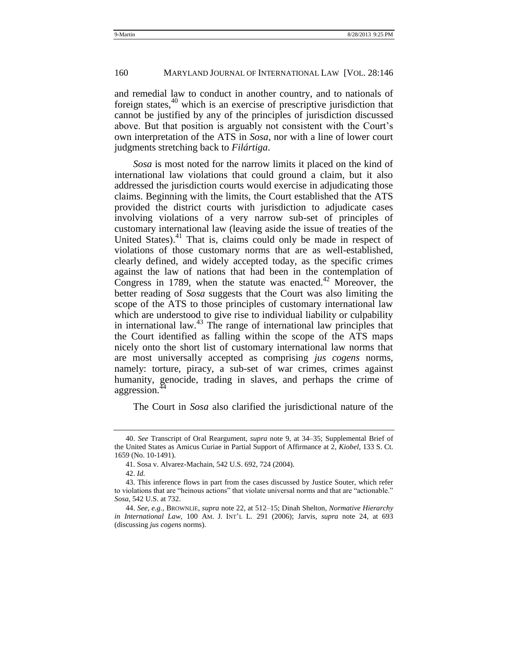and remedial law to conduct in another country, and to nationals of foreign states,  $40$  which is an exercise of prescriptive jurisdiction that cannot be justified by any of the principles of jurisdiction discussed above. But that position is arguably not consistent with the Court's own interpretation of the ATS in *Sosa*, nor with a line of lower court judgments stretching back to *Filártiga*.

<span id="page-15-0"></span>*Sosa* is most noted for the narrow limits it placed on the kind of international law violations that could ground a claim, but it also addressed the jurisdiction courts would exercise in adjudicating those claims. Beginning with the limits, the Court established that the ATS provided the district courts with jurisdiction to adjudicate cases involving violations of a very narrow sub-set of principles of customary international law (leaving aside the issue of treaties of the United States).<sup>41</sup> That is, claims could only be made in respect of violations of those customary norms that are as well-established, clearly defined, and widely accepted today, as the specific crimes against the law of nations that had been in the contemplation of Congress in 1789, when the statute was enacted.<sup>42</sup> Moreover, the better reading of *Sosa* suggests that the Court was also limiting the scope of the ATS to those principles of customary international law which are understood to give rise to individual liability or culpability in international law.<sup>43</sup> The range of international law principles that the Court identified as falling within the scope of the ATS maps nicely onto the short list of customary international law norms that are most universally accepted as comprising *jus cogens* norms, namely: torture, piracy, a sub-set of war crimes, crimes against humanity, genocide, trading in slaves, and perhaps the crime of aggression.<sup>44</sup>

<span id="page-15-1"></span>The Court in *Sosa* also clarified the jurisdictional nature of the

<sup>40.</sup> *See* Transcript of Oral Reargument, *supra* note [9,](#page-5-0) at 34–35; Supplemental Brief of the United States as Amicus Curiae in Partial Support of Affirmance at 2, *Kiobel,* 133 S. Ct. 1659 (No. 10-1491).

<sup>41.</sup> Sosa v. Alvarez-Machain, 542 U.S. 692, 724 (2004).

<sup>42.</sup> *Id.*

<sup>43.</sup> This inference flows in part from the cases discussed by Justice Souter, which refer to violations that are "heinous actions" that violate universal norms and that are "actionable." *Sosa*, 542 U.S. at 732.

<sup>44.</sup> *See, e.g.*, BROWNLIE, *supra* not[e 22,](#page-11-0) at 512–15; Dinah Shelton, *Normative Hierarchy in International Law*, 100 AM. J. INT'L L. 291 (2006); Jarvis, *supra* note [24,](#page-11-2) at 693 (discussing *jus cogens* norms).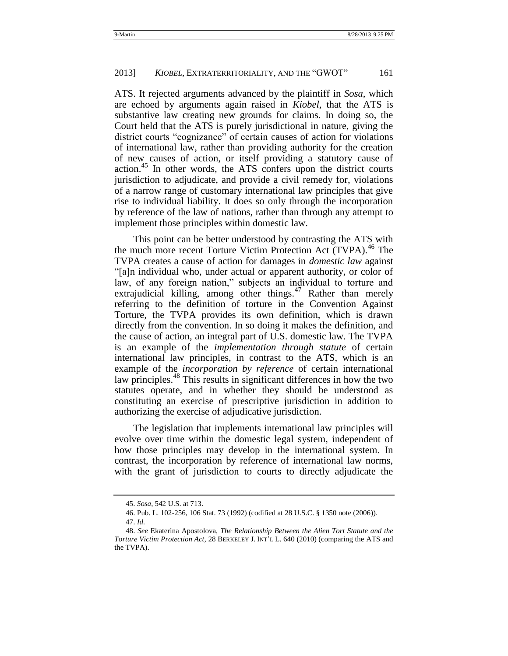ATS. It rejected arguments advanced by the plaintiff in *Sosa*, which are echoed by arguments again raised in *Kiobel*, that the ATS is substantive law creating new grounds for claims. In doing so, the Court held that the ATS is purely jurisdictional in nature, giving the district courts "cognizance" of certain causes of action for violations of international law, rather than providing authority for the creation of new causes of action, or itself providing a statutory cause of action.<sup>45</sup> In other words, the ATS confers upon the district courts jurisdiction to adjudicate, and provide a civil remedy for, violations of a narrow range of customary international law principles that give rise to individual liability. It does so only through the incorporation by reference of the law of nations, rather than through any attempt to implement those principles within domestic law.

<span id="page-16-0"></span>This point can be better understood by contrasting the ATS with the much more recent Torture Victim Protection Act (TVPA).<sup>46</sup> The TVPA creates a cause of action for damages in *domestic law* against ―[a]n individual who, under actual or apparent authority, or color of law, of any foreign nation," subjects an individual to torture and extrajudicial killing, among other things.<sup>47</sup> Rather than merely referring to the definition of torture in the Convention Against Torture*,* the TVPA provides its own definition, which is drawn directly from the convention. In so doing it makes the definition, and the cause of action, an integral part of U.S. domestic law. The TVPA is an example of the *implementation through statute* of certain international law principles, in contrast to the ATS, which is an example of the *incorporation by reference* of certain international law principles.<sup>48</sup> This results in significant differences in how the two statutes operate, and in whether they should be understood as constituting an exercise of prescriptive jurisdiction in addition to authorizing the exercise of adjudicative jurisdiction.

<span id="page-16-1"></span>The legislation that implements international law principles will evolve over time within the domestic legal system, independent of how those principles may develop in the international system. In contrast, the incorporation by reference of international law norms, with the grant of jurisdiction to courts to directly adjudicate the

<sup>45.</sup> *Sosa*, 542 U.S. at 713.

<sup>46.</sup> Pub. L. 102-256, 106 Stat. 73 (1992) (codified at 28 U.S.C. § 1350 note (2006)). 47. *Id.*

<sup>48.</sup> *See* Ekaterina Apostolova, *The Relationship Between the Alien Tort Statute and the Torture Victim Protection Act*, 28 BERKELEY J. INT'L L. 640 (2010) (comparing the ATS and the TVPA).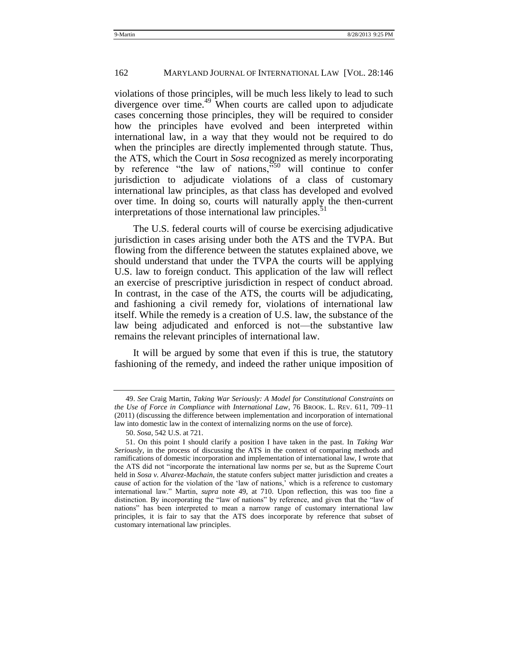#### 162 MARYLAND JOURNAL OF INTERNATIONAL LAW [VOL. 28:146

<span id="page-17-0"></span>violations of those principles, will be much less likely to lead to such divergence over time.<sup>49</sup> When courts are called upon to adjudicate cases concerning those principles, they will be required to consider how the principles have evolved and been interpreted within international law, in a way that they would not be required to do when the principles are directly implemented through statute. Thus, the ATS, which the Court in *Sosa* recognized as merely incorporating by reference "the law of nations, $\frac{550}{100}$  will continue to confer jurisdiction to adjudicate violations of a class of customary international law principles, as that class has developed and evolved over time. In doing so, courts will naturally apply the then-current interpretations of those international law principles.<sup>5</sup>

The U.S. federal courts will of course be exercising adjudicative jurisdiction in cases arising under both the ATS and the TVPA. But flowing from the difference between the statutes explained above, we should understand that under the TVPA the courts will be applying U.S. law to foreign conduct. This application of the law will reflect an exercise of prescriptive jurisdiction in respect of conduct abroad. In contrast, in the case of the ATS, the courts will be adjudicating, and fashioning a civil remedy for, violations of international law itself. While the remedy is a creation of U.S. law, the substance of the law being adjudicated and enforced is not—the substantive law remains the relevant principles of international law.

It will be argued by some that even if this is true, the statutory fashioning of the remedy, and indeed the rather unique imposition of

<sup>49.</sup> *See* Craig Martin, *Taking War Seriously: A Model for Constitutional Constraints on the Use of Force in Compliance with International Law*, 76 BROOK. L. REV. 611, 709–11 (2011) (discussing the difference between implementation and incorporation of international law into domestic law in the context of internalizing norms on the use of force).

<sup>50.</sup> *Sosa*, 542 U.S. at 721.

<sup>51.</sup> On this point I should clarify a position I have taken in the past. In *Taking War Seriously*, in the process of discussing the ATS in the context of comparing methods and ramifications of domestic incorporation and implementation of international law, I wrote that the ATS did not "incorporate the international law norms per se, but as the Supreme Court held in *Sosa v. Alvarez-Machain*, the statute confers subject matter jurisdiction and creates a cause of action for the violation of the 'law of nations,' which is a reference to customary international law.‖ Martin, *supra* note [49,](#page-17-0) at 710. Upon reflection, this was too fine a distinction. By incorporating the "law of nations" by reference, and given that the "law of nations" has been interpreted to mean a narrow range of customary international law principles, it is fair to say that the ATS does incorporate by reference that subset of customary international law principles.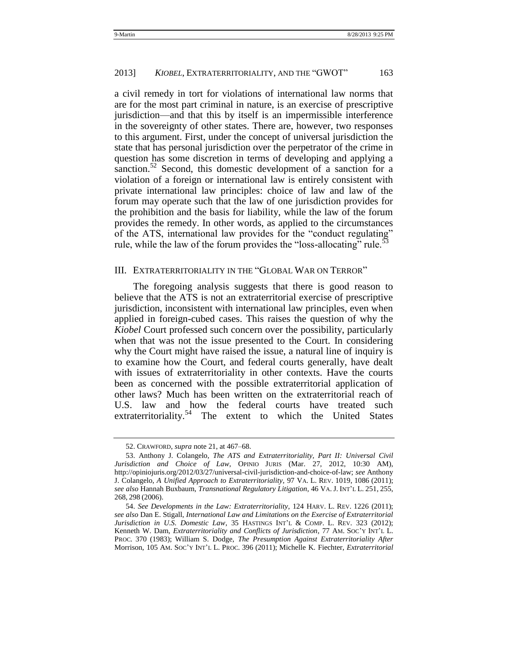a civil remedy in tort for violations of international law norms that are for the most part criminal in nature, is an exercise of prescriptive jurisdiction—and that this by itself is an impermissible interference in the sovereignty of other states. There are, however, two responses to this argument. First, under the concept of universal jurisdiction the state that has personal jurisdiction over the perpetrator of the crime in question has some discretion in terms of developing and applying a sanction.<sup>52</sup> Second, this domestic development of a sanction for a violation of a foreign or international law is entirely consistent with private international law principles: choice of law and law of the forum may operate such that the law of one jurisdiction provides for the prohibition and the basis for liability, while the law of the forum provides the remedy. In other words, as applied to the circumstances of the ATS, international law provides for the "conduct regulating" rule, while the law of the forum provides the "loss-allocating" rule. $\dot{\mathbf{5}}$ 

#### <span id="page-18-0"></span>III. EXTRATERRITORIALITY IN THE "GLOBAL WAR ON TERROR"

The foregoing analysis suggests that there is good reason to believe that the ATS is not an extraterritorial exercise of prescriptive jurisdiction, inconsistent with international law principles, even when applied in foreign-cubed cases. This raises the question of why the *Kiobel* Court professed such concern over the possibility, particularly when that was not the issue presented to the Court. In considering why the Court might have raised the issue, a natural line of inquiry is to examine how the Court, and federal courts generally, have dealt with issues of extraterritoriality in other contexts. Have the courts been as concerned with the possible extraterritorial application of other laws? Much has been written on the extraterritorial reach of U.S. law and how the federal courts have treated such extraterritoriality.<sup>54</sup> The extent to which the United States

<span id="page-18-1"></span><sup>52.</sup> CRAWFORD, *supra* not[e 21,](#page-10-2) at 467–68.

<sup>53.</sup> Anthony J. Colangelo, *The ATS and Extraterritoriality, Part II: Universal Civil Jurisdiction and Choice of Law*, OPINIO JURIS (Mar. 27, 2012, 10:30 AM), http://opiniojuris.org/2012/03/27/universal-civil-jurisdiction-and-choice-of-law; *see* Anthony J. Colangelo, *A Unified Approach to Extraterritoriality*, 97 VA. L. REV. 1019, 1086 (2011); *see also* Hannah Buxbaum, *Transnational Regulatory Litigation*, 46 VA. J. INT'L L. 251, 255, 268, 298 (2006).

<sup>54.</sup> *See Developments in the Law: Extraterritoriality*, 124 HARV. L. REV. 1226 (2011); *see also* Dan E. Stigall, *International Law and Limitations on the Exercise of Extraterritorial Jurisdiction in U.S. Domestic Law*, 35 HASTINGS INT'L & COMP. L. REV. 323 (2012); Kenneth W. Dam, *Extraterritoriality and Conflicts of Jurisdiction*, 77 AM. SOC'Y INT'L L. PROC. 370 (1983); William S. Dodge, *The Presumption Against Extraterritoriality After*  Morrison, 105 AM. SOC'Y INT'L L. PROC. 396 (2011); Michelle K. Fiechter, *Extraterritorial*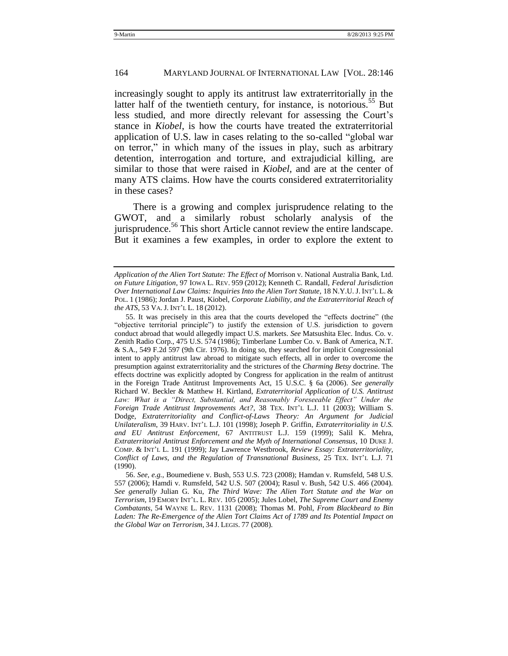<span id="page-19-1"></span>increasingly sought to apply its antitrust law extraterritorially in the latter half of the twentieth century, for instance, is notorious.<sup>55</sup> But less studied, and more directly relevant for assessing the Court's stance in *Kiobel*, is how the courts have treated the extraterritorial application of U.S. law in cases relating to the so-called "global war on terror," in which many of the issues in play, such as arbitrary detention, interrogation and torture, and extrajudicial killing, are similar to those that were raised in *Kiobel,* and are at the center of many ATS claims. How have the courts considered extraterritoriality in these cases?

<span id="page-19-0"></span>There is a growing and complex jurisprudence relating to the GWOT, and a similarly robust scholarly analysis of the jurisprudence.<sup>56</sup> This short Article cannot review the entire landscape. But it examines a few examples, in order to explore the extent to

*Application of the Alien Tort Statute: The Effect of* Morrison v. National Australia Bank, Ltd. *on Future Litigation*, 97 IOWA L. REV. 959 (2012); Kenneth C. Randall, *Federal Jurisdiction Over International Law Claims: Inquiries Into the Alien Tort Statute*, 18 N.Y.U. J. INT'L L. & POL. 1 (1986); Jordan J. Paust, Kiobel, *Corporate Liability, and the Extraterritorial Reach of the ATS*, 53 VA. J. INT'L L. 18 (2012).

<sup>55.</sup> It was precisely in this area that the courts developed the "effects doctrine" (the "objective territorial principle") to justify the extension of U.S. jurisdiction to govern conduct abroad that would allegedly impact U.S. markets. *See* Matsushita Elec. Indus. Co. v. Zenith Radio Corp., 475 U.S. 574 (1986); Timberlane Lumber Co. v. Bank of America, N.T. & S.A., 549 F.2d 597 (9th Cir. 1976). In doing so, they searched for implicit Congressionial intent to apply antitrust law abroad to mitigate such effects, all in order to overcome the presumption against extraterritoriality and the strictures of the *Charming Betsy* doctrine. The effects doctrine was explicitly adopted by Congress for application in the realm of antitrust in the Foreign Trade Antitrust Improvements Act, 15 U.S.C. § 6a (2006). *See generally* Richard W. Beckler & Matthew H. Kirtland, *Extraterritorial Application of U.S. Antitrust*  Law: What is a "Direct, Substantial, and Reasonably Foreseeable Effect" Under the *Foreign Trade Antitrust Improvements Act?*, 38 TEX. INT'L L.J. 11 (2003); William S. Dodge, *Extraterritoriality and Conflict-of-Laws Theory: An Argument for Judicial Unilateralism*, 39 HARV. INT'L L.J. 101 (1998); Joseph P. Griffin, *Extraterritoriality in U.S. and EU Antitrust Enforcement*, 67 ANTITRUST L.J. 159 (1999); Salil K. Mehra, *Extraterritorial Antitrust Enforcement and the Myth of International Consensus*, 10 DUKE J. COMP. & INT'L L. 191 (1999); Jay Lawrence Westbrook, *Review Essay: Extraterritoriality, Conflict of Laws, and the Regulation of Transnational Business*, 25 TEX. INT'L L.J. 71 (1990).

<sup>56.</sup> *See, e.g.*, Boumediene v. Bush, 553 U.S. 723 (2008); Hamdan v. Rumsfeld, 548 U.S. 557 (2006); Hamdi v. Rumsfeld, 542 U.S. 507 (2004); Rasul v. Bush, 542 U.S. 466 (2004). *See generally* Julian G. Ku, *The Third Wave: The Alien Tort Statute and the War on Terrorism*, 19 EMORY INT'L. L. REV. 105 (2005); Jules Lobel, *The Supreme Court and Enemy Combatants*, 54 WAYNE L. REV. 1131 (2008); Thomas M. Pohl, *From Blackbeard to Bin*  Laden: The Re-Emergence of the Alien Tort Claims Act of 1789 and Its Potential Impact on *the Global War on Terrorism*, 34 J. LEGIS. 77 (2008).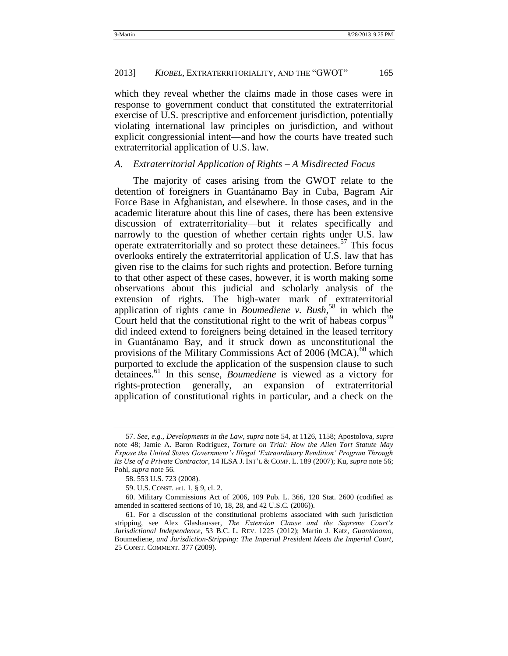which they reveal whether the claims made in those cases were in response to government conduct that constituted the extraterritorial exercise of U.S. prescriptive and enforcement jurisdiction, potentially violating international law principles on jurisdiction, and without explicit congressionial intent—and how the courts have treated such extraterritorial application of U.S. law.

#### <span id="page-20-0"></span>*A. Extraterritorial Application of Rights – A Misdirected Focus*

The majority of cases arising from the GWOT relate to the detention of foreigners in Guantánamo Bay in Cuba, Bagram Air Force Base in Afghanistan, and elsewhere. In those cases, and in the academic literature about this line of cases, there has been extensive discussion of extraterritoriality—but it relates specifically and narrowly to the question of whether certain rights under U.S. law operate extraterritorially and so protect these detainees.<sup>57</sup> This focus overlooks entirely the extraterritorial application of U.S. law that has given rise to the claims for such rights and protection. Before turning to that other aspect of these cases, however, it is worth making some observations about this judicial and scholarly analysis of the extension of rights. The high-water mark of extraterritorial application of rights came in *Boumediene v. Bush*, <sup>58</sup> in which the Court held that the constitutional right to the writ of habeas corpus<sup>59</sup> did indeed extend to foreigners being detained in the leased territory in Guantánamo Bay, and it struck down as unconstitutional the provisions of the Military Commissions Act of  $2006 \text{ (MCA)}^{60}$  which purported to exclude the application of the suspension clause to such detainees.<sup>61</sup> In this sense, *Boumediene* is viewed as a victory for rights-protection generally, an expansion of extraterritorial application of constitutional rights in particular, and a check on the

<sup>57.</sup> *See, e.g.*, *Developments in the Law*, *supra* not[e 54,](#page-18-1) at 1126, 1158; Apostolova, *supra*  note [48;](#page-16-1) Jamie A. Baron Rodriguez, *Torture on Trial: How the Alien Tort Statute May Expose the United States Government"s Illegal "Extraordinary Rendition" Program Through Its Use of a Private Contractor*, 14 ILSA J. INT'L & COMP. L. 189 (2007); Ku, *supra* not[e 56;](#page-19-0) Pohl, *supra* not[e 56.](#page-19-0)

<sup>58. 553</sup> U.S. 723 (2008).

<sup>59.</sup> U.S. CONST. art. 1, § 9, cl. 2.

<sup>60.</sup> Military Commissions Act of 2006, 109 Pub. L. 366, 120 Stat. 2600 (codified as amended in scattered sections of 10, 18, 28, and 42 U.S.C. (2006)).

<sup>61.</sup> For a discussion of the constitutional problems associated with such jurisdiction stripping, see Alex Glashausser, *The Extension Clause and the Supreme Court"s Jurisdictional Independence*, 53 B.C. L. REV. 1225 (2012); Martin J. Katz, *Guantánamo,*  Boumediene*, and Jurisdiction-Stripping: The Imperial President Meets the Imperial Court*, 25 CONST. COMMENT. 377 (2009).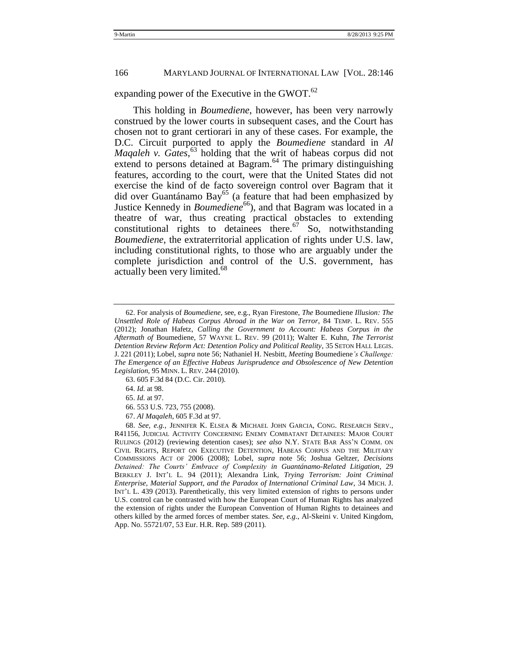expanding power of the Executive in the GWOT. $^{62}$ 

This holding in *Boumediene*, however, has been very narrowly construed by the lower courts in subsequent cases, and the Court has chosen not to grant certiorari in any of these cases. For example, the D.C. Circuit purported to apply the *Boumediene* standard in *Al Maqaleh v. Gates*, <sup>63</sup> holding that the writ of habeas corpus did not extend to persons detained at Bagram. $64$  The primary distinguishing features, according to the court, were that the United States did not exercise the kind of de facto sovereign control over Bagram that it did over Guantánamo Bay<sup>65</sup> (a feature that had been emphasized by Justice Kennedy in *Boumediene*<sup>66</sup>), and that Bagram was located in a theatre of war, thus creating practical obstacles to extending constitutional rights to detainees there.<sup>67</sup> So, notwithstanding *Boumediene*, the extraterritorial application of rights under U.S. law, including constitutional rights, to those who are arguably under the complete jurisdiction and control of the U.S. government, has actually been very limited.<sup>68</sup>

64. *Id.* at 98.

<span id="page-21-0"></span><sup>62.</sup> For analysis of *Boumediene*, see, e.g., Ryan Firestone, *The* Boumediene *Illusion: The Unsettled Role of Habeas Corpus Abroad in the War on Terror*, 84 TEMP. L. REV. 555 (2012); Jonathan Hafetz, *Calling the Government to Account: Habeas Corpus in the Aftermath of* Boumediene, 57 WAYNE L. REV. 99 (2011); Walter E. Kuhn, *The Terrorist Detention Review Reform Act: Detention Policy and Political Reality*, 35 SETON HALL LEGIS. J. 221 (2011); Lobel, *supra* not[e 56;](#page-19-0) Nathaniel H. Nesbitt, *Meeting* Boumediene*"s Challenge: The Emergence of an Effective Habeas Jurisprudence and Obsolescence of New Detention Legislation*, 95 MINN. L. REV. 244 (2010).

<sup>63.</sup> 605 F.3d 84 (D.C. Cir. 2010).

<sup>65.</sup> *Id.* at 97.

<sup>66.</sup> 553 U.S. 723, 755 (2008).

<sup>67.</sup> *Al Maqaleh*, 605 F.3d at 97.

<sup>68.</sup> *See, e.g.*, JENNIFER K. ELSEA & MICHAEL JOHN GARCIA, CONG. RESEARCH SERV., R41156, JUDICIAL ACTIVITY CONCERNING ENEMY COMBATANT DETAINEES: MAJOR COURT RULINGS (2012) (reviewing detention cases); *see also* N.Y. STATE BAR ASS'N COMM. ON CIVIL RIGHTS, REPORT ON EXECUTIVE DETENTION, HABEAS CORPUS AND THE MILITARY COMMISSIONS ACT OF 2006 (2008); Lobel, *supra* note [56;](#page-19-0) Joshua Geltzer, *Decisions Detained: The Courts" Embrace of Complexity in Guantánamo-Related Litigation*, 29 BERKLEY J. INT'L L. 94 (2011); Alexandra Link, *Trying Terrorism: Joint Criminal Enterprise, Material Support, and the Paradox of International Criminal Law*, 34 MICH. J. INT'L L. 439 (2013). Parenthetically, this very limited extension of rights to persons under U.S. control can be contrasted with how the European Court of Human Rights has analyzed the extension of rights under the European Convention of Human Rights to detainees and others killed by the armed forces of member states. *See, e.g.*, Al-Skeini v. United Kingdom, App. No. 55721/07, 53 Eur. H.R. Rep. 589 (2011).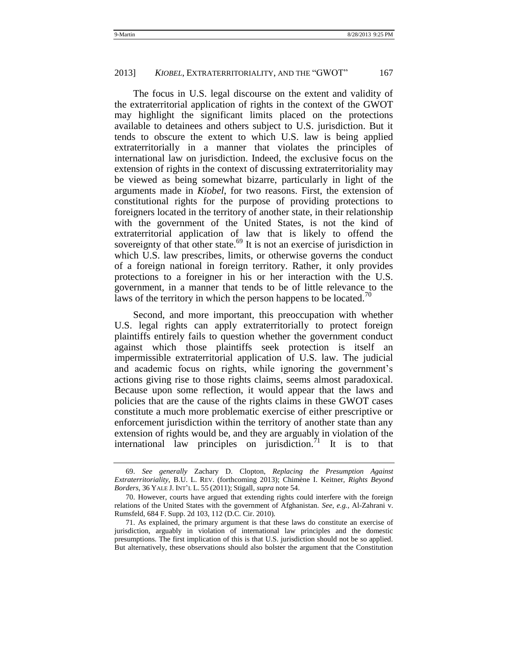The focus in U.S. legal discourse on the extent and validity of the extraterritorial application of rights in the context of the GWOT may highlight the significant limits placed on the protections available to detainees and others subject to U.S. jurisdiction. But it tends to obscure the extent to which U.S. law is being applied extraterritorially in a manner that violates the principles of international law on jurisdiction. Indeed, the exclusive focus on the extension of rights in the context of discussing extraterritoriality may be viewed as being somewhat bizarre, particularly in light of the arguments made in *Kiobel*, for two reasons. First, the extension of constitutional rights for the purpose of providing protections to foreigners located in the territory of another state, in their relationship with the government of the United States, is not the kind of extraterritorial application of law that is likely to offend the sovereignty of that other state.<sup>69</sup> It is not an exercise of jurisdiction in which U.S. law prescribes, limits, or otherwise governs the conduct of a foreign national in foreign territory. Rather, it only provides protections to a foreigner in his or her interaction with the U.S. government, in a manner that tends to be of little relevance to the laws of the territory in which the person happens to be located.<sup>70</sup>

Second, and more important, this preoccupation with whether U.S. legal rights can apply extraterritorially to protect foreign plaintiffs entirely fails to question whether the government conduct against which those plaintiffs seek protection is itself an impermissible extraterritorial application of U.S. law. The judicial and academic focus on rights, while ignoring the government's actions giving rise to those rights claims, seems almost paradoxical. Because upon some reflection, it would appear that the laws and policies that are the cause of the rights claims in these GWOT cases constitute a much more problematic exercise of either prescriptive or enforcement jurisdiction within the territory of another state than any extension of rights would be, and they are arguably in violation of the international law principles on jurisdiction.<sup>71</sup> It is to that

<sup>69.</sup> *See generally* Zachary D. Clopton, *Replacing the Presumption Against Extraterritoriality*, B.U. L. REV. (forthcoming 2013); Chimène I. Keitner, *Rights Beyond Borders*, 36 YALE J. INT'L L. 55 (2011); Stigall*, supra* note [54.](#page-18-1)

<sup>70.</sup> However, courts have argued that extending rights could interfere with the foreign relations of the United States with the government of Afghanistan. *See*, *e.g.*, Al-Zahrani v. Rumsfeld, 684 F. Supp. 2d 103, 112 (D.C. Cir. 2010).

<sup>71.</sup> As explained, the primary argument is that these laws do constitute an exercise of jurisdiction, arguably in violation of international law principles and the domestic presumptions. The first implication of this is that U.S. jurisdiction should not be so applied. But alternatively, these observations should also bolster the argument that the Constitution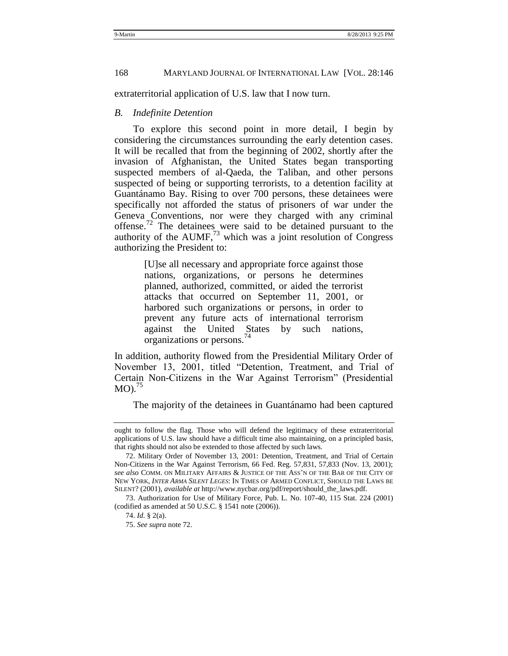extraterritorial application of U.S. law that I now turn.

#### <span id="page-23-0"></span>*B. Indefinite Detention*

To explore this second point in more detail, I begin by considering the circumstances surrounding the early detention cases. It will be recalled that from the beginning of 2002, shortly after the invasion of Afghanistan, the United States began transporting suspected members of al-Qaeda, the Taliban, and other persons suspected of being or supporting terrorists, to a detention facility at Guantánamo Bay. Rising to over 700 persons, these detainees were specifically not afforded the status of prisoners of war under the Geneva Conventions, nor were they charged with any criminal offense.<sup>72</sup> The detainees were said to be detained pursuant to the authority of the  $AUMF<sub>1</sub><sup>73</sup>$  which was a joint resolution of Congress authorizing the President to:

> <span id="page-23-1"></span>[U]se all necessary and appropriate force against those nations, organizations, or persons he determines planned, authorized, committed, or aided the terrorist attacks that occurred on September 11, 2001, or harbored such organizations or persons, in order to prevent any future acts of international terrorism against the United States by such nations, organizations or persons.<sup>74</sup>

In addition, authority flowed from the Presidential Military Order of November 13, 2001, titled "Detention, Treatment, and Trial of Certain Non-Citizens in the War Against Terrorism" (Presidential  $MO$ ).<sup>75</sup>

The majority of the detainees in Guantánamo had been captured

ought to follow the flag. Those who will defend the legitimacy of these extraterritorial applications of U.S. law should have a difficult time also maintaining, on a principled basis, that rights should not also be extended to those affected by such laws.

<sup>72.</sup> Military Order of November 13, 2001: Detention, Treatment, and Trial of Certain Non-Citizens in the War Against Terrorism, 66 Fed. Reg. 57,831, 57,833 (Nov. 13, 2001); *see also* COMM. ON MILITARY AFFAIRS & JUSTICE OF THE ASS'N OF THE BAR OF THE CITY OF NEW YORK, *INTER ARMA SILENT LEGES*: IN TIMES OF ARMED CONFLICT, SHOULD THE LAWS BE SILENT? (2001), *available at* http://www.nycbar.org/pdf/report/should\_the\_laws.pdf.

<sup>73.</sup> Authorization for Use of Military Force, Pub. L. No. 107-40, 115 Stat. 224 (2001) (codified as amended at 50 U.S.C. § 1541 note (2006)).

<sup>74.</sup> *Id.* § 2(a).

<sup>75.</sup> *See supra* not[e 72.](#page-23-1)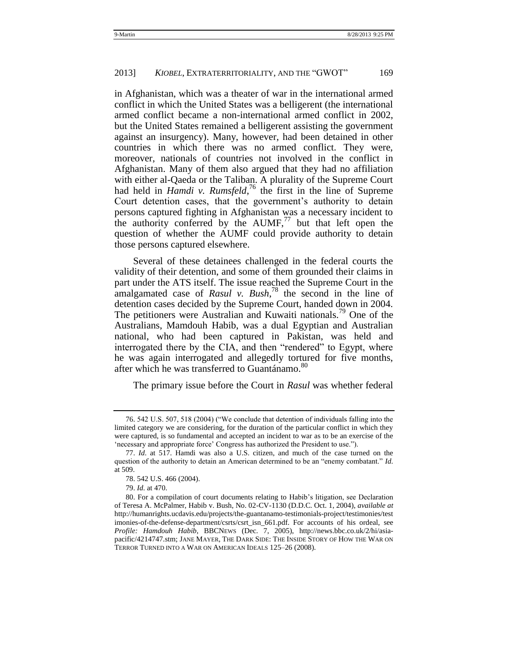in Afghanistan, which was a theater of war in the international armed conflict in which the United States was a belligerent (the international armed conflict became a non-international armed conflict in 2002, but the United States remained a belligerent assisting the government against an insurgency). Many, however, had been detained in other countries in which there was no armed conflict. They were, moreover, nationals of countries not involved in the conflict in Afghanistan. Many of them also argued that they had no affiliation with either al-Qaeda or the Taliban. A plurality of the Supreme Court had held in *Hamdi v. Rumsfeld*,<sup>76</sup> the first in the line of Supreme Court detention cases, that the government's authority to detain persons captured fighting in Afghanistan was a necessary incident to the authority conferred by the  $AUMF<sub>1</sub><sup>77</sup>$  but that left open the question of whether the AUMF could provide authority to detain those persons captured elsewhere.

Several of these detainees challenged in the federal courts the validity of their detention, and some of them grounded their claims in part under the ATS itself. The issue reached the Supreme Court in the amalgamated case of *Rasul v. Bush*<sup>78</sup> the second in the line of detention cases decided by the Supreme Court, handed down in 2004. The petitioners were Australian and Kuwaiti nationals.<sup>79</sup> One of the Australians, Mamdouh Habib, was a dual Egyptian and Australian national, who had been captured in Pakistan, was held and interrogated there by the CIA, and then "rendered" to Egypt, where he was again interrogated and allegedly tortured for five months, after which he was transferred to Guantánamo.<sup>80</sup>

The primary issue before the Court in *Rasul* was whether federal

<sup>76. 542</sup> U.S. 507, 518 (2004) ("We conclude that detention of individuals falling into the limited category we are considering, for the duration of the particular conflict in which they were captured, is so fundamental and accepted an incident to war as to be an exercise of the 'necessary and appropriate force' Congress has authorized the President to use.").

<sup>77.</sup> *Id*. at 517. Hamdi was also a U.S. citizen, and much of the case turned on the question of the authority to detain an American determined to be an "enemy combatant." *Id.* at 509.

<sup>78.</sup> 542 U.S. 466 (2004).

<sup>79.</sup> *Id.* at 470.

<sup>80.</sup> For a compilation of court documents relating to Habib's litigation, see Declaration of Teresa A. McPalmer, Habib v. Bush, No. 02-CV-1130 (D.D.C. Oct. 1, 2004), *available at* http://humanrights.ucdavis.edu/projects/the-guantanamo-testimonials-project/testimonies/test imonies-of-the-defense-department/csrts/csrt\_isn\_661.pdf. For accounts of his ordeal, see *Profile: Hamdouh Habib*, BBCNEWS (Dec. 7, 2005), [http://news.bbc.co.uk/2/hi/asia](http://news.bbc.co.uk/2/hi/asia-pacific/4214747.stm)[pacific/4214747.stm;](http://news.bbc.co.uk/2/hi/asia-pacific/4214747.stm) JANE MAYER, THE DARK SIDE: THE INSIDE STORY OF HOW THE WAR ON TERROR TURNED INTO A WAR ON AMERICAN IDEALS 125–26 (2008).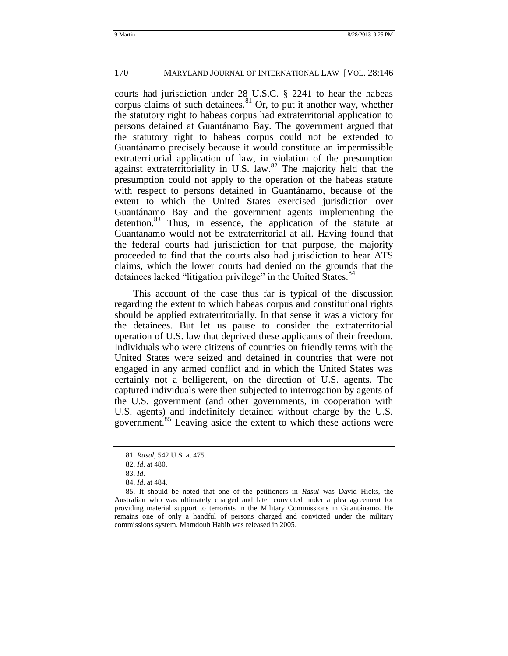courts had jurisdiction under 28 U.S.C. § 2241 to hear the habeas corpus claims of such detainees. $81$  Or, to put it another way, whether the statutory right to habeas corpus had extraterritorial application to persons detained at Guantánamo Bay. The government argued that the statutory right to habeas corpus could not be extended to Guantánamo precisely because it would constitute an impermissible extraterritorial application of law, in violation of the presumption against extraterritoriality in U.S. law.<sup>82</sup> The majority held that the presumption could not apply to the operation of the habeas statute with respect to persons detained in Guantánamo, because of the extent to which the United States exercised jurisdiction over Guantánamo Bay and the government agents implementing the detention.<sup>83</sup> Thus, in essence, the application of the statute at Guantánamo would not be extraterritorial at all. Having found that the federal courts had jurisdiction for that purpose, the majority proceeded to find that the courts also had jurisdiction to hear ATS claims, which the lower courts had denied on the grounds that the detainees lacked "litigation privilege" in the United States.<sup>84</sup>

This account of the case thus far is typical of the discussion regarding the extent to which habeas corpus and constitutional rights should be applied extraterritorially. In that sense it was a victory for the detainees. But let us pause to consider the extraterritorial operation of U.S. law that deprived these applicants of their freedom. Individuals who were citizens of countries on friendly terms with the United States were seized and detained in countries that were not engaged in any armed conflict and in which the United States was certainly not a belligerent, on the direction of U.S. agents. The captured individuals were then subjected to interrogation by agents of the U.S. government (and other governments, in cooperation with U.S. agents) and indefinitely detained without charge by the U.S. government.<sup>85</sup> Leaving aside the extent to which these actions were

<sup>81.</sup> *Rasul*, 542 U.S. at 475.

<sup>82.</sup> *Id.* at 480.

<sup>83.</sup> *Id.*

<sup>84.</sup> *Id.* at 484.

<sup>85.</sup> It should be noted that one of the petitioners in *Rasul* was David Hicks, the Australian who was ultimately charged and later convicted under a plea agreement for providing material support to terrorists in the Military Commissions in Guantánamo. He remains one of only a handful of persons charged and convicted under the military commissions system. Mamdouh Habib was released in 2005.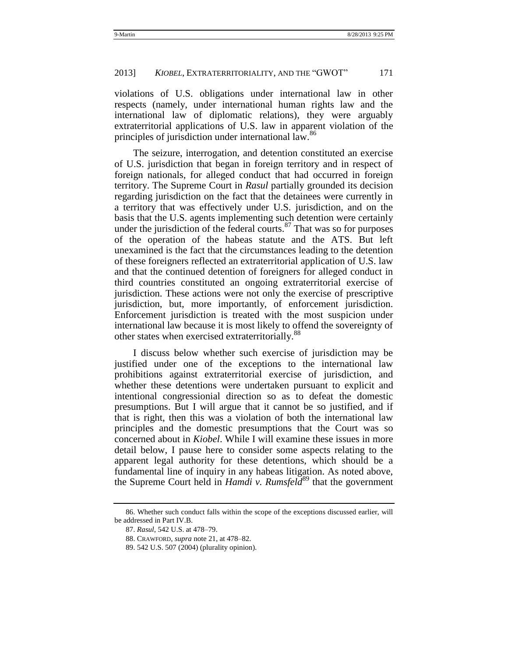violations of U.S. obligations under international law in other respects (namely, under international human rights law and the international law of diplomatic relations), they were arguably extraterritorial applications of U.S. law in apparent violation of the principles of jurisdiction under international law.<sup>86</sup>

The seizure, interrogation, and detention constituted an exercise of U.S. jurisdiction that began in foreign territory and in respect of foreign nationals, for alleged conduct that had occurred in foreign territory. The Supreme Court in *Rasul* partially grounded its decision regarding jurisdiction on the fact that the detainees were currently in a territory that was effectively under U.S. jurisdiction, and on the basis that the U.S. agents implementing such detention were certainly under the jurisdiction of the federal courts. $87$  That was so for purposes of the operation of the habeas statute and the ATS. But left unexamined is the fact that the circumstances leading to the detention of these foreigners reflected an extraterritorial application of U.S. law and that the continued detention of foreigners for alleged conduct in third countries constituted an ongoing extraterritorial exercise of jurisdiction. These actions were not only the exercise of prescriptive jurisdiction, but, more importantly, of enforcement jurisdiction. Enforcement jurisdiction is treated with the most suspicion under international law because it is most likely to offend the sovereignty of other states when exercised extraterritorially.<sup>88</sup>

I discuss below whether such exercise of jurisdiction may be justified under one of the exceptions to the international law prohibitions against extraterritorial exercise of jurisdiction, and whether these detentions were undertaken pursuant to explicit and intentional congressionial direction so as to defeat the domestic presumptions. But I will argue that it cannot be so justified, and if that is right, then this was a violation of both the international law principles and the domestic presumptions that the Court was so concerned about in *Kiobel*. While I will examine these issues in more detail below, I pause here to consider some aspects relating to the apparent legal authority for these detentions, which should be a fundamental line of inquiry in any habeas litigation. As noted above, the Supreme Court held in *Hamdi v. Rumsfeld*<sup>89</sup> that the government

<sup>86.</sup> Whether such conduct falls within the scope of the exceptions discussed earlier, will be addressed in Part IV.B.

<sup>87.</sup> *Rasul*, 542 U.S. at 478–79.

<sup>88.</sup> CRAWFORD, *supra* not[e 21,](#page-10-2) at 478–82.

<sup>89.</sup> 542 U.S. 507 (2004) (plurality opinion).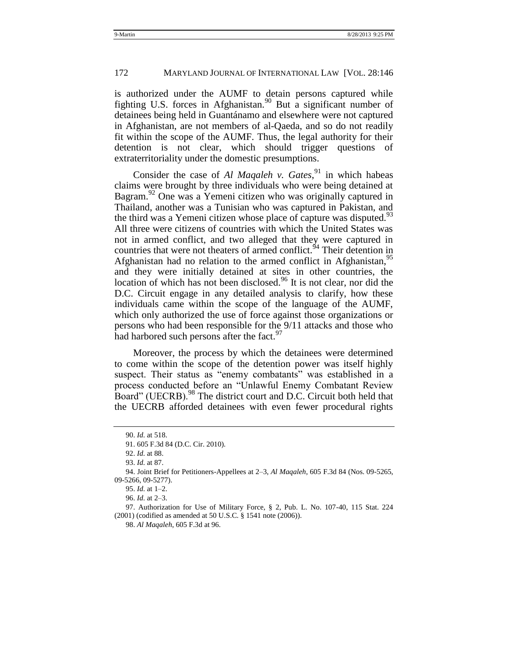is authorized under the AUMF to detain persons captured while fighting U.S. forces in Afghanistan.<sup>90</sup> But a significant number of detainees being held in Guantánamo and elsewhere were not captured in Afghanistan, are not members of al-Qaeda, and so do not readily fit within the scope of the AUMF. Thus, the legal authority for their detention is not clear, which should trigger questions of extraterritoriality under the domestic presumptions.

Consider the case of *Al Maqaleh v. Gates*<sup>91</sup> in which habeas claims were brought by three individuals who were being detained at Bagram.<sup>92</sup> One was a Yemeni citizen who was originally captured in Thailand, another was a Tunisian who was captured in Pakistan, and the third was a Yemeni citizen whose place of capture was disputed.<sup>93</sup> All three were citizens of countries with which the United States was not in armed conflict, and two alleged that they were captured in countries that were not theaters of armed conflict.<sup>94</sup> Their detention in Afghanistan had no relation to the armed conflict in Afghanistan,<sup>95</sup> and they were initially detained at sites in other countries, the location of which has not been disclosed.<sup>96</sup> It is not clear, nor did the D.C. Circuit engage in any detailed analysis to clarify, how these individuals came within the scope of the language of the AUMF, which only authorized the use of force against those organizations or persons who had been responsible for the 9/11 attacks and those who had harbored such persons after the fact.<sup>97</sup>

Moreover, the process by which the detainees were determined to come within the scope of the detention power was itself highly suspect. Their status as "enemy combatants" was established in a process conducted before an "Unlawful Enemy Combatant Review Board" (UECRB).<sup>98</sup> The district court and D.C. Circuit both held that the UECRB afforded detainees with even fewer procedural rights

<sup>90.</sup> *Id.* at 518.

<sup>91.</sup> 605 F.3d 84 (D.C. Cir. 2010).

<sup>92.</sup> *Id.* at 88.

<sup>93.</sup> *Id.* at 87.

<sup>94.</sup> Joint Brief for Petitioners-Appellees at 2–3, *Al Maqaleh*, 605 F.3d 84 (Nos. 09-5265, 09-5266, 09-5277).

<sup>95.</sup> *Id.* at 1–2.

<sup>96.</sup> *Id.* at 2–3.

<sup>97.</sup> Authorization for Use of Military Force, § 2, Pub. L. No. 107-40, 115 Stat. 224 (2001) (codified as amended at 50 U.S.C. § 1541 note (2006)).

<sup>98.</sup> *Al Maqaleh*, 605 F.3d at 96.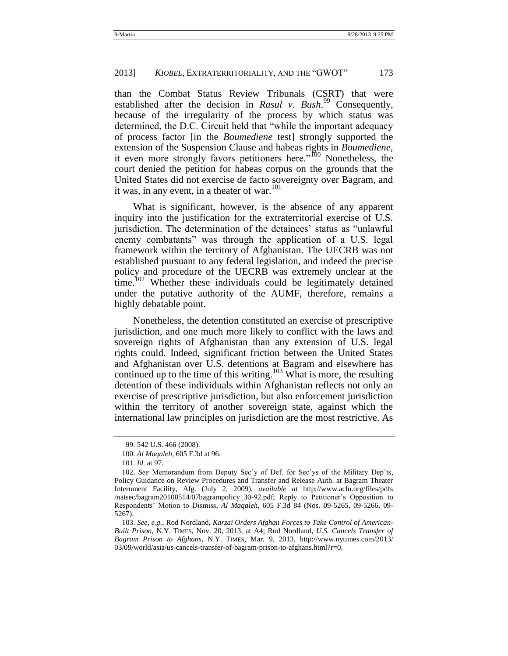than the Combat Status Review Tribunals (CSRT) that were established after the decision in *Rasul v. Bush*. <sup>99</sup> Consequently, because of the irregularity of the process by which status was determined, the D.C. Circuit held that "while the important adequacy of process factor [in the *Boumediene* test] strongly supported the extension of the Suspension Clause and habeas rights in *Boumediene*, it even more strongly favors petitioners here.<sup> $100$ </sup> Nonetheless, the court denied the petition for habeas corpus on the grounds that the United States did not exercise de facto sovereignty over Bagram, and it was, in any event, in a theater of war. $101$ 

What is significant, however, is the absence of any apparent inquiry into the justification for the extraterritorial exercise of U.S. jurisdiction. The determination of the detainees' status as "unlawful" enemy combatants" was through the application of a U.S. legal framework within the territory of Afghanistan. The UECRB was not established pursuant to any federal legislation, and indeed the precise policy and procedure of the UECRB was extremely unclear at the time.<sup>102</sup> Whether these individuals could be legitimately detained under the putative authority of the AUMF, therefore, remains a highly debatable point.

Nonetheless, the detention constituted an exercise of prescriptive jurisdiction, and one much more likely to conflict with the laws and sovereign rights of Afghanistan than any extension of U.S. legal rights could. Indeed, significant friction between the United States and Afghanistan over U.S. detentions at Bagram and elsewhere has continued up to the time of this writing.<sup>103</sup> What is more, the resulting detention of these individuals within Afghanistan reflects not only an exercise of prescriptive jurisdiction, but also enforcement jurisdiction within the territory of another sovereign state, against which the international law principles on jurisdiction are the most restrictive. As

<span id="page-28-1"></span><span id="page-28-0"></span>

<sup>99.</sup> 542 U.S. 466 (2008).

<sup>100.</sup> *Al Maqaleh*, 605 F.3d at 96.

<sup>101.</sup> *Id.* at 97.

<sup>102.</sup> *See* Memorandum from Deputy Sec'y of Def. for Sec'ys of the Military Dep'ts, Policy Guidance on Review Procedures and Transfer and Release Auth. at Bagram Theater Internment Facility, Afg. (July 2, 2009), *available at* http://www.aclu.org/files/pdfs /natsec/bagram20100514/07bagrampolicy\_30-92.pdf; Reply to Petitioner's Opposition to Respondents' Motion to Dismiss, *Al Maqaleh*, 605 F.3d 84 (Nos. 09-5265, 09-5266, 09- 5267).

<sup>103.</sup> *See, e.g.*, Rod Nordland, *Karzai Orders Afghan Forces to Take Control of American-Built Prison*, N.Y. TIMES, Nov. 20, 2013, at A4; Rod Nordland, *U.S. Cancels Transfer of Bagram Prison to Afghans*, N.Y. TIMES, Mar. 9, 2013, http://www.nytimes.com/2013/ 03/09/world/asia/us-cancels-transfer-of-bagram-prison-to-afghans.html?r=0.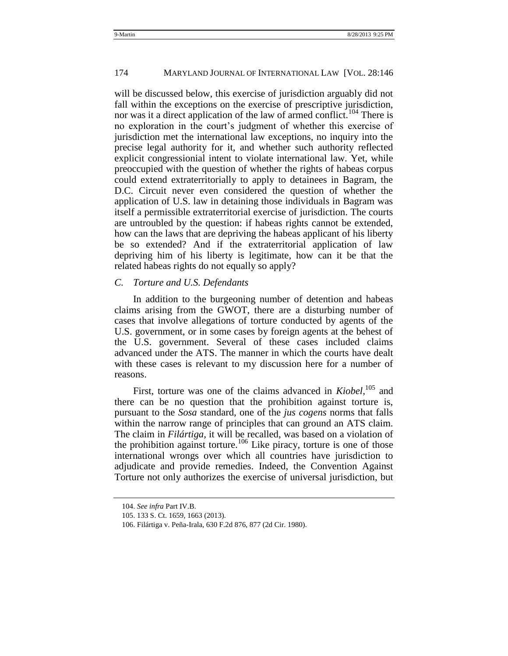#### 174 MARYLAND JOURNAL OF INTERNATIONAL LAW [VOL. 28:146

will be discussed below, this exercise of jurisdiction arguably did not fall within the exceptions on the exercise of prescriptive jurisdiction, nor was it a direct application of the law of armed conflict.<sup>104</sup> There is no exploration in the court's judgment of whether this exercise of jurisdiction met the international law exceptions, no inquiry into the precise legal authority for it, and whether such authority reflected explicit congressionial intent to violate international law. Yet, while preoccupied with the question of whether the rights of habeas corpus could extend extraterritorially to apply to detainees in Bagram, the D.C. Circuit never even considered the question of whether the application of U.S. law in detaining those individuals in Bagram was itself a permissible extraterritorial exercise of jurisdiction. The courts are untroubled by the question: if habeas rights cannot be extended, how can the laws that are depriving the habeas applicant of his liberty be so extended? And if the extraterritorial application of law depriving him of his liberty is legitimate, how can it be that the related habeas rights do not equally so apply?

#### <span id="page-29-0"></span>*C. Torture and U.S. Defendants*

In addition to the burgeoning number of detention and habeas claims arising from the GWOT, there are a disturbing number of cases that involve allegations of torture conducted by agents of the U.S. government, or in some cases by foreign agents at the behest of the U.S. government. Several of these cases included claims advanced under the ATS. The manner in which the courts have dealt with these cases is relevant to my discussion here for a number of reasons.

First, torture was one of the claims advanced in *Kiobel*,<sup>105</sup> and there can be no question that the prohibition against torture is, pursuant to the *Sosa* standard, one of the *jus cogens* norms that falls within the narrow range of principles that can ground an ATS claim. The claim in *Filártiga*, it will be recalled, was based on a violation of the prohibition against torture.<sup>106</sup> Like piracy, torture is one of those international wrongs over which all countries have jurisdiction to adjudicate and provide remedies. Indeed, the Convention Against Torture not only authorizes the exercise of universal jurisdiction, but

<sup>104.</sup> *See infra* Part IV.B.

<sup>105.</sup> 133 S. Ct. 1659, 1663 (2013).

<sup>106.</sup> Filártiga v. Peña-Irala, 630 F.2d 876, 877 (2d Cir. 1980).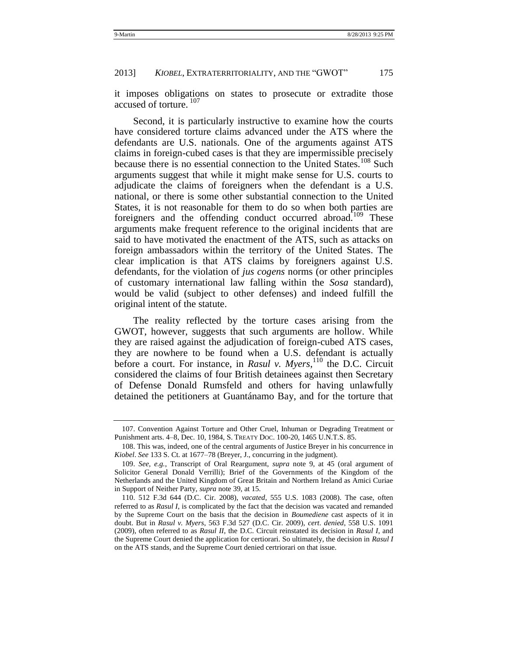it imposes obligations on states to prosecute or extradite those accused of torture.<sup>107</sup>

Second, it is particularly instructive to examine how the courts have considered torture claims advanced under the ATS where the defendants are U.S. nationals. One of the arguments against ATS claims in foreign-cubed cases is that they are impermissible precisely because there is no essential connection to the United States.<sup>108</sup> Such arguments suggest that while it might make sense for U.S. courts to adjudicate the claims of foreigners when the defendant is a U.S. national, or there is some other substantial connection to the United States, it is not reasonable for them to do so when both parties are foreigners and the offending conduct occurred abroad.<sup>109</sup> These arguments make frequent reference to the original incidents that are said to have motivated the enactment of the ATS, such as attacks on foreign ambassadors within the territory of the United States. The clear implication is that ATS claims by foreigners against U.S. defendants, for the violation of *jus cogens* norms (or other principles of customary international law falling within the *Sosa* standard), would be valid (subject to other defenses) and indeed fulfill the original intent of the statute.

<span id="page-30-0"></span>The reality reflected by the torture cases arising from the GWOT, however, suggests that such arguments are hollow. While they are raised against the adjudication of foreign-cubed ATS cases, they are nowhere to be found when a U.S. defendant is actually before a court. For instance, in *Rasul v. Myers*, <sup>110</sup> the D.C. Circuit considered the claims of four British detainees against then Secretary of Defense Donald Rumsfeld and others for having unlawfully detained the petitioners at Guantánamo Bay, and for the torture that

<sup>107.</sup> Convention Against Torture and Other Cruel, Inhuman or Degrading Treatment or Punishment arts. 4–8, Dec. 10, 1984, S. TREATY DOC. 100-20, 1465 U.N.T.S. 85.

<sup>108.</sup> This was, indeed, one of the central arguments of Justice Breyer in his concurrence in *Kiobel*. *See* 133 S. Ct. at 1677–78 (Breyer, J., concurring in the judgment).

<sup>109.</sup> *See, e.g.*, Transcript of Oral Reargument, *supra* note [9,](#page-5-0) at 45 (oral argument of Solicitor General Donald Verrilli); Brief of the Governments of the Kingdom of the Netherlands and the United Kingdom of Great Britain and Northern Ireland as Amici Curiae in Support of Neither Party, *supra* note [39,](#page-14-1) at 15.

<sup>110.</sup> 512 F.3d 644 (D.C. Cir. 2008), *vacated*, 555 U.S. 1083 (2008). The case, often referred to as *Rasul I*, is complicated by the fact that the decision was vacated and remanded by the Supreme Court on the basis that the decision in *Boumediene* cast aspects of it in doubt. But in *Rasul v. Myers*, 563 F.3d 527 (D.C. Cir. 2009), *cert*. *denied*, 558 U.S. 1091 (2009), often referred to as *Rasul II*, the D.C. Circuit reinstated its decision in *Rasul I*, and the Supreme Court denied the application for certiorari. So ultimately, the decision in *Rasul I* on the ATS stands, and the Supreme Court denied certriorari on that issue.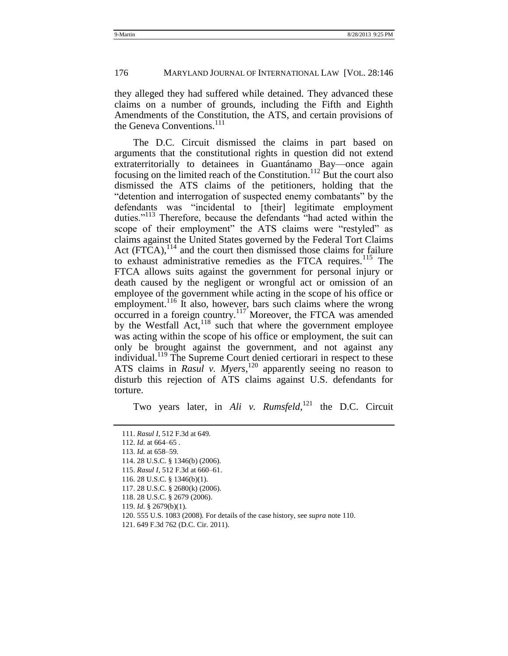they alleged they had suffered while detained. They advanced these claims on a number of grounds, including the Fifth and Eighth Amendments of the Constitution, the ATS, and certain provisions of the Geneva Conventions.<sup>111</sup>

The D.C. Circuit dismissed the claims in part based on arguments that the constitutional rights in question did not extend extraterritorially to detainees in Guantánamo Bay—once again focusing on the limited reach of the Constitution.<sup>112</sup> But the court also dismissed the ATS claims of the petitioners, holding that the "detention and interrogation of suspected enemy combatants" by the defendants was "incidental to [their] legitimate employment duties."<sup>113</sup> Therefore, because the defendants "had acted within the scope of their employment" the ATS claims were "restyled" as claims against the United States governed by the Federal Tort Claims Act  $(FTCA)$ ,  $^{114}$  and the court then dismissed those claims for failure to exhaust administrative remedies as the FTCA requires.<sup>115</sup> The FTCA allows suits against the government for personal injury or death caused by the negligent or wrongful act or omission of an employee of the government while acting in the scope of his office or employment.<sup>116</sup> It also, however, bars such claims where the wrong occurred in a foreign country.<sup>117</sup> Moreover, the FTCA was amended by the Westfall  $Act$ ,<sup>118</sup> such that where the government employee was acting within the scope of his office or employment, the suit can only be brought against the government, and not against any individual.<sup>119</sup> The Supreme Court denied certiorari in respect to these ATS claims in *Rasul v. Myers*,<sup>120</sup> apparently seeing no reason to disturb this rejection of ATS claims against U.S. defendants for torture.

<span id="page-31-1"></span><span id="page-31-0"></span>Two years later, in *Ali v. Rumsfeld*, <sup>121</sup> the D.C. Circuit

- 119. *Id.* § 2679(b)(1).
- 120. 555 U.S. 1083 (2008). For details of the case history, see *supra* not[e 110.](#page-30-0)

<sup>111.</sup> *Rasul I*, 512 F.3d at 649.

<sup>112.</sup> *Id.* at 664–65 .

<sup>113.</sup> *Id.* at 658–59*.*

<sup>114.</sup> 28 U.S.C. § 1346(b) (2006).

<sup>115.</sup> *Rasul I*, 512 F.3d at 660–61.

<sup>116.</sup> 28 U.S.C. § 1346(b)(1).

<sup>117.</sup> 28 U.S.C. § 2680(k) (2006).

<sup>118.</sup> 28 U.S.C. § 2679 (2006).

<sup>121.</sup> 649 F.3d 762 (D.C. Cir. 2011).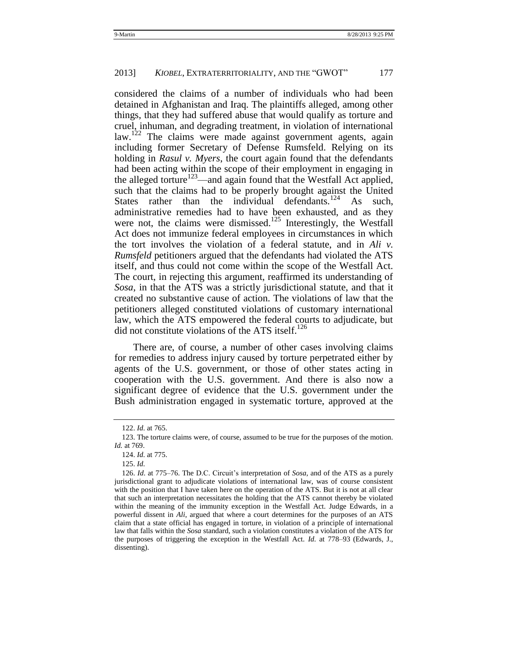considered the claims of a number of individuals who had been detained in Afghanistan and Iraq. The plaintiffs alleged, among other things, that they had suffered abuse that would qualify as torture and cruel, inhuman, and degrading treatment, in violation of international law.<sup>122</sup> The claims were made against government agents, again including former Secretary of Defense Rumsfeld. Relying on its holding in *Rasul v. Myers*, the court again found that the defendants had been acting within the scope of their employment in engaging in the alleged torture<sup>123</sup>—and again found that the Westfall Act applied, such that the claims had to be properly brought against the United States rather than the individual defendants.<sup>124</sup> As such, administrative remedies had to have been exhausted, and as they were not, the claims were dismissed.<sup>125</sup> Interestingly, the Westfall Act does not immunize federal employees in circumstances in which the tort involves the violation of a federal statute, and in *Ali v. Rumsfeld* petitioners argued that the defendants had violated the ATS itself, and thus could not come within the scope of the Westfall Act. The court, in rejecting this argument, reaffirmed its understanding of *Sosa*, in that the ATS was a strictly jurisdictional statute, and that it created no substantive cause of action. The violations of law that the petitioners alleged constituted violations of customary international law, which the ATS empowered the federal courts to adjudicate, but did not constitute violations of the ATS itself.<sup>126</sup>

There are, of course, a number of other cases involving claims for remedies to address injury caused by torture perpetrated either by agents of the U.S. government, or those of other states acting in cooperation with the U.S. government. And there is also now a significant degree of evidence that the U.S. government under the Bush administration engaged in systematic torture, approved at the

<sup>122.</sup> *Id.* at 765.

<sup>123.</sup> The torture claims were, of course, assumed to be true for the purposes of the motion. *Id.* at 769.

<sup>124.</sup> *Id.* at 775.

<sup>125.</sup> *Id.*

<sup>126.</sup> *Id*. at 775–76. The D.C. Circuit's interpretation of *Sosa*, and of the ATS as a purely jurisdictional grant to adjudicate violations of international law, was of course consistent with the position that I have taken here on the operation of the ATS. But it is not at all clear that such an interpretation necessitates the holding that the ATS cannot thereby be violated within the meaning of the immunity exception in the Westfall Act. Judge Edwards, in a powerful dissent in *Ali*, argued that where a court determines for the purposes of an ATS claim that a state official has engaged in torture, in violation of a principle of international law that falls within the *Sosa* standard, such a violation constitutes a violation of the ATS for the purposes of triggering the exception in the Westfall Act. *Id.* at 778–93 (Edwards, J., dissenting).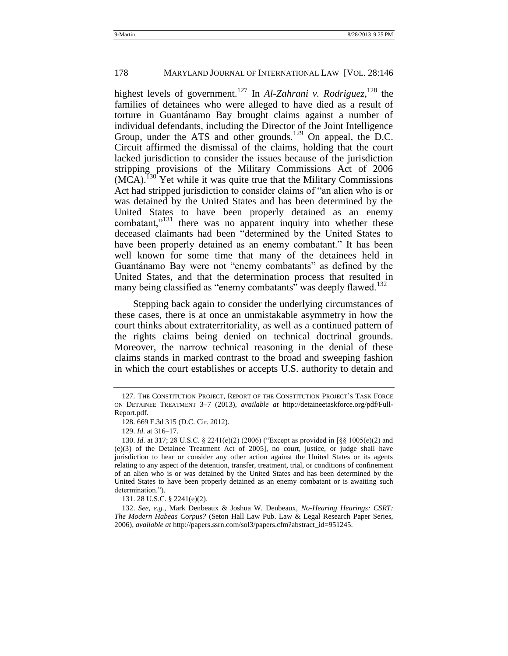highest levels of government.<sup>127</sup> In *Al-Zahrani v. Rodriguez*,<sup>128</sup> the families of detainees who were alleged to have died as a result of torture in Guantánamo Bay brought claims against a number of individual defendants, including the Director of the Joint Intelligence Group, under the ATS and other grounds.<sup>129</sup> On appeal, the D.C. Circuit affirmed the dismissal of the claims, holding that the court lacked jurisdiction to consider the issues because of the jurisdiction stripping provisions of the Military Commissions Act of 2006 (MCA).<sup>130</sup> Yet while it was quite true that the Military Commissions Act had stripped jurisdiction to consider claims of "an alien who is or was detained by the United States and has been determined by the United States to have been properly detained as an enemy combatant, $n_1$ <sup>131</sup> there was no apparent inquiry into whether these deceased claimants had been "determined by the United States to have been properly detained as an enemy combatant." It has been well known for some time that many of the detainees held in Guantánamo Bay were not "enemy combatants" as defined by the United States, and that the determination process that resulted in many being classified as "enemy combatants" was deeply flawed.<sup>132</sup>

<span id="page-33-0"></span>Stepping back again to consider the underlying circumstances of these cases, there is at once an unmistakable asymmetry in how the court thinks about extraterritoriality, as well as a continued pattern of the rights claims being denied on technical doctrinal grounds. Moreover, the narrow technical reasoning in the denial of these claims stands in marked contrast to the broad and sweeping fashion in which the court establishes or accepts U.S. authority to detain and

131. 28 U.S.C. § 2241(e)(2).

132. *See, e.g.*, Mark Denbeaux & Joshua W. Denbeaux, *No-Hearing Hearings: CSRT: The Modern Habeas Corpus?* (Seton Hall Law Pub. Law & Legal Research Paper Series, 2006), *available at* http://papers.ssrn.com/sol3/papers.cfm?abstract\_id=951245.

<sup>127.</sup> THE CONSTITUTION PROJECT, REPORT OF THE CONSTITUTION PROJECT'S TASK FORCE ON DETAINEE TREATMENT 3–7 (2013), *available at* http://detaineetaskforce.org/pdf/Full-Report.pdf.

<sup>128.</sup> 669 F.3d 315 (D.C. Cir. 2012).

<sup>129.</sup> *Id.* at 316–17.

<sup>130.</sup> *Id.* at 317; 28 U.S.C. § 2241(e)(2) (2006) ("Except as provided in [§§ 1005(e)(2) and (e)(3) of the Detainee Treatment Act of 2005], no court, justice, or judge shall have jurisdiction to hear or consider any other action against the United States or its agents relating to any aspect of the detention, transfer, treatment, trial, or conditions of confinement of an alien who is or was detained by the United States and has been determined by the United States to have been properly detained as an enemy combatant or is awaiting such determination.").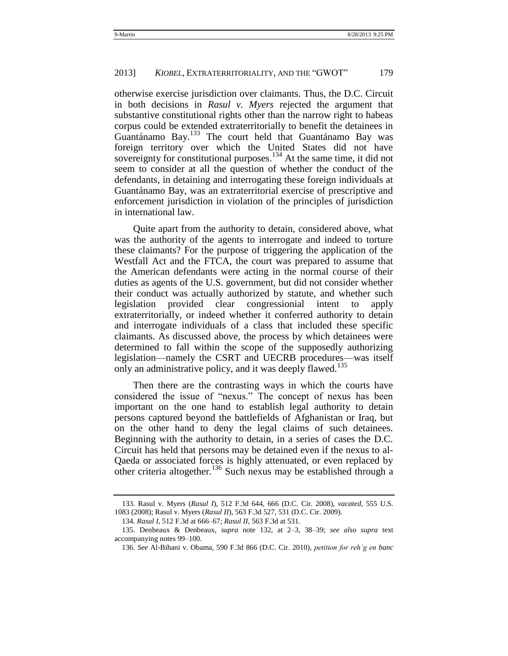otherwise exercise jurisdiction over claimants. Thus, the D.C. Circuit in both decisions in *Rasul v. Myers* rejected the argument that substantive constitutional rights other than the narrow right to habeas corpus could be extended extraterritorially to benefit the detainees in Guantánamo Bay.<sup>133</sup> The court held that Guantánamo Bay was foreign territory over which the United States did not have sovereignty for constitutional purposes.<sup>134</sup> At the same time, it did not seem to consider at all the question of whether the conduct of the defendants, in detaining and interrogating these foreign individuals at Guantánamo Bay, was an extraterritorial exercise of prescriptive and enforcement jurisdiction in violation of the principles of jurisdiction in international law.

Quite apart from the authority to detain, considered above, what was the authority of the agents to interrogate and indeed to torture these claimants? For the purpose of triggering the application of the Westfall Act and the FTCA, the court was prepared to assume that the American defendants were acting in the normal course of their duties as agents of the U.S. government, but did not consider whether their conduct was actually authorized by statute, and whether such legislation provided clear congressionial intent to apply extraterritorially, or indeed whether it conferred authority to detain and interrogate individuals of a class that included these specific claimants. As discussed above, the process by which detainees were determined to fall within the scope of the supposedly authorizing legislation—namely the CSRT and UECRB procedures—was itself only an administrative policy, and it was deeply flawed.<sup>135</sup>

Then there are the contrasting ways in which the courts have considered the issue of "nexus." The concept of nexus has been important on the one hand to establish legal authority to detain persons captured beyond the battlefields of Afghanistan or Iraq, but on the other hand to deny the legal claims of such detainees. Beginning with the authority to detain, in a series of cases the D.C. Circuit has held that persons may be detained even if the nexus to al-Qaeda or associated forces is highly attenuated, or even replaced by other criteria altogether.<sup>136</sup> Such nexus may be established through a

<sup>133.</sup> Rasul v. Myers (*Rasul I*), 512 F.3d 644, 666 (D.C. Cir. 2008), *vacated,* 555 U.S. 1083 (2008); Rasul v. Myers (*Rasul II*), 563 F.3d 527, 531 (D.C. Cir. 2009).

<sup>134.</sup> *Rasul I*, 512 F.3d at 666–67; *Rasul II*, 563 F.3d at 531.

<sup>135.</sup> Denbeaux & Denbeaux, *supra* note [132,](#page-33-0) at 2–3, 38–39; *see also supra* text accompanying notes [99](#page-28-0)[–100.](#page-28-1)

<sup>136.</sup> *See* Al-Bihani v. Obama, 590 F.3d 866 (D.C. Cir. 2010), *petition for reh"g en banc*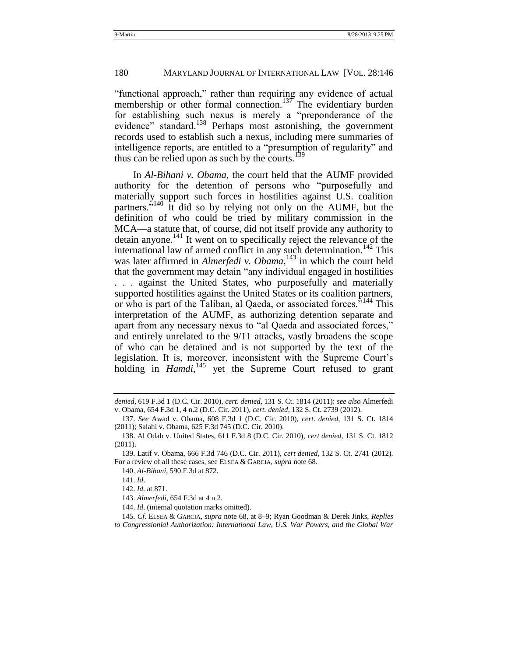#### 180 MARYLAND JOURNAL OF INTERNATIONAL LAW [VOL. 28:146

"functional approach," rather than requiring any evidence of actual membership or other formal connection.<sup>137</sup> The evidentiary burden for establishing such nexus is merely a "preponderance of the evidence" standard.<sup>138</sup> Perhaps most astonishing, the government records used to establish such a nexus, including mere summaries of intelligence reports, are entitled to a "presumption of regularity" and thus can be relied upon as such by the courts.<sup>139</sup>

In *Al-Bihani v. Obama*, the court held that the AUMF provided authority for the detention of persons who "purposefully and materially support such forces in hostilities against U.S. coalition partners.<sup>5140</sup> It did so by relying not only on the AUMF, but the definition of who could be tried by military commission in the MCA—a statute that, of course, did not itself provide any authority to  $\alpha$  detain anyone.<sup>141</sup> It went on to specifically reject the relevance of the international law of armed conflict in any such determination.<sup>142</sup> This was later affirmed in *Almerfedi v. Obama*, <sup>143</sup> in which the court held that the government may detain "any individual engaged in hostilities" . . . against the United States, who purposefully and materially supported hostilities against the United States or its coalition partners, or who is part of the Taliban, al Qaeda, or associated forces.<sup>5144</sup> This interpretation of the AUMF, as authorizing detention separate and apart from any necessary nexus to "al Qaeda and associated forces," and entirely unrelated to the 9/11 attacks, vastly broadens the scope of who can be detained and is not supported by the text of the legislation. It is, moreover, inconsistent with the Supreme Court's holding in *Hamdi*<sup>145</sup> yet the Supreme Court refused to grant

*denied*, 619 F.3d 1 (D.C. Cir. 2010), *cert*. *denied*, 131 S. Ct. 1814 (2011); *see also* Almerfedi v. Obama, 654 F.3d 1, 4 n.2 (D.C. Cir. 2011), *cert. denied*, 132 S. Ct. 2739 (2012).

<sup>137.</sup> *See* Awad v. Obama, 608 F.3d 1 (D.C. Cir. 2010), *cert*. *denied*, 131 S. Ct. 1814 (2011); Salahi v. Obama, 625 F.3d 745 (D.C. Cir. 2010).

<sup>138.</sup> Al Odah v. United States, 611 F.3d 8 (D.C. Cir. 2010), *cert denied*, 131 S. Ct. 1812  $(2011)$ .

<sup>139.</sup> Latif v. Obama, 666 F.3d 746 (D.C. Cir. 2011), *cert denied*, 132 S. Ct. 2741 (2012). For a review of all these cases, see ELSEA & GARCIA, *supra* not[e 68.](#page-21-0)

<sup>140.</sup> *Al-Bihani*, 590 F.3d at 872.

<sup>141.</sup> *Id*.

<sup>142.</sup> *Id.* at 871.

<sup>143.</sup> *Almerfedi*, 654 F.3d at 4 n.2.

<sup>144.</sup> *Id*. (internal quotation marks omitted).

<sup>145.</sup> *Cf*. ELSEA & GARCIA, *supra* note [68,](#page-21-0) at 8–9; Ryan Goodman & Derek Jinks, *Replies to Congressionial Authorization: International Law, U.S. War Powers, and the Global War*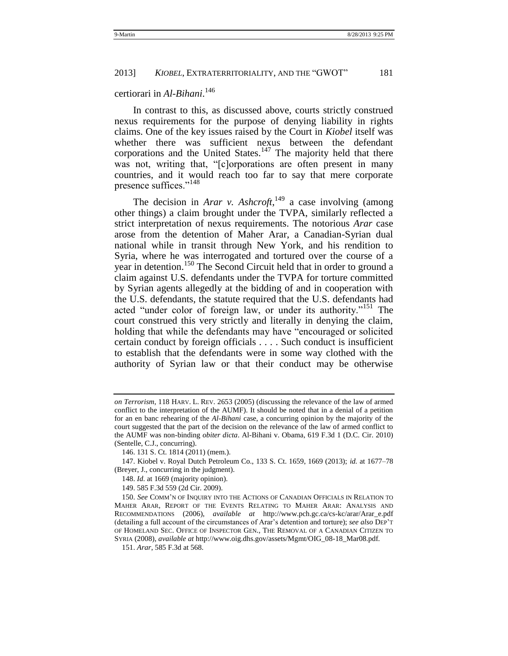## certiorari in *Al-Bihani*. 146

In contrast to this, as discussed above, courts strictly construed nexus requirements for the purpose of denying liability in rights claims. One of the key issues raised by the Court in *Kiobel* itself was whether there was sufficient nexus between the defendant corporations and the United States. $147$  The majority held that there was not, writing that, "[c]orporations are often present in many countries, and it would reach too far to say that mere corporate presence suffices."<sup>148</sup>

The decision in *Arar v. Ashcroft*,<sup>149</sup> a case involving (among other things) a claim brought under the TVPA, similarly reflected a strict interpretation of nexus requirements. The notorious *Arar* case arose from the detention of Maher Arar, a Canadian-Syrian dual national while in transit through New York, and his rendition to Syria, where he was interrogated and tortured over the course of a year in detention.<sup>150</sup> The Second Circuit held that in order to ground a claim against U.S. defendants under the TVPA for torture committed by Syrian agents allegedly at the bidding of and in cooperation with the U.S. defendants, the statute required that the U.S. defendants had acted "under color of foreign law, or under its authority."<sup>151</sup> The court construed this very strictly and literally in denying the claim, holding that while the defendants may have "encouraged or solicited" certain conduct by foreign officials . . . . Such conduct is insufficient to establish that the defendants were in some way clothed with the authority of Syrian law or that their conduct may be otherwise

*on Terrorism*, 118 HARV. L. REV. 2653 (2005) (discussing the relevance of the law of armed conflict to the interpretation of the AUMF). It should be noted that in a denial of a petition for an en banc rehearing of the *Al-Bihani* case, a concurring opinion by the majority of the court suggested that the part of the decision on the relevance of the law of armed conflict to the AUMF was non-binding *obiter dicta*. Al-Bihani v. Obama, 619 F.3d 1 (D.C. Cir. 2010) (Sentelle, C.J., concurring).

<sup>146.</sup> 131 S. Ct. 1814 (2011) (mem.).

<sup>147.</sup> Kiobel v. Royal Dutch Petroleum Co., 133 S. Ct. 1659, 1669 (2013); *id.* at 1677–78 (Breyer, J., concurring in the judgment).

<sup>148.</sup> *Id.* at 1669 (majority opinion).

<sup>149.</sup> 585 F.3d 559 (2d Cir. 2009).

<sup>150.</sup> *See* COMM'N OF INQUIRY INTO THE ACTIONS OF CANADIAN OFFICIALS IN RELATION TO MAHER ARAR, REPORT OF THE EVENTS RELATING TO MAHER ARAR: ANALYSIS AND RECOMMENDATIONS (2006), *available at* http://www.pch.gc.ca/cs-kc/arar/Arar\_e.pdf (detailing a full account of the circumstances of Arar's detention and torture); *see also* DEP'T OF HOMELAND SEC. OFFICE OF INSPECTOR GEN., THE REMOVAL OF A CANADIAN CITIZEN TO SYRIA (2008), *available at* http://www.oig.dhs.gov/assets/Mgmt/OIG\_08-18\_Mar08.pdf.

<sup>151.</sup> *Arar*, 585 F.3d at 568.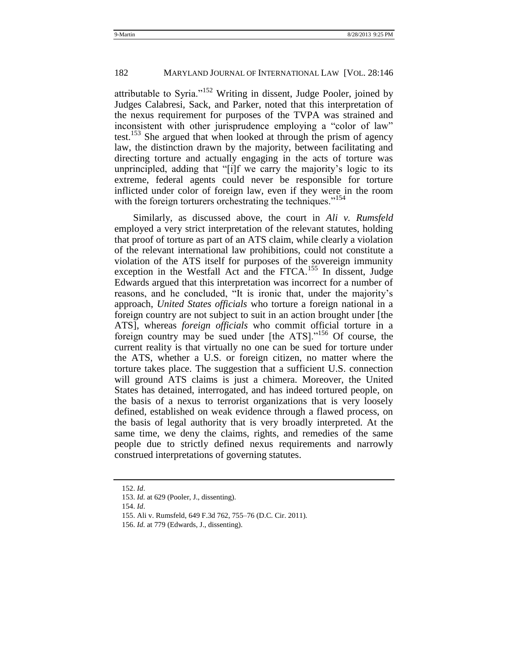attributable to Syria.<sup> $152$ </sup> Writing in dissent, Judge Pooler, joined by Judges Calabresi, Sack, and Parker, noted that this interpretation of the nexus requirement for purposes of the TVPA was strained and inconsistent with other jurisprudence employing a "color of law" test.<sup>153</sup> She argued that when looked at through the prism of agency law, the distinction drawn by the majority, between facilitating and directing torture and actually engaging in the acts of torture was unprincipled, adding that "[i]f we carry the majority's logic to its extreme, federal agents could never be responsible for torture inflicted under color of foreign law, even if they were in the room with the foreign torturers orchestrating the techniques."<sup>154</sup>

Similarly, as discussed above, the court in *Ali v. Rumsfeld* employed a very strict interpretation of the relevant statutes, holding that proof of torture as part of an ATS claim, while clearly a violation of the relevant international law prohibitions, could not constitute a violation of the ATS itself for purposes of the sovereign immunity exception in the Westfall Act and the FTCA.<sup>155</sup> In dissent, Judge Edwards argued that this interpretation was incorrect for a number of reasons, and he concluded, "It is ironic that, under the majority's approach, *United States officials* who torture a foreign national in a foreign country are not subject to suit in an action brought under [the ATS], whereas *foreign officials* who commit official torture in a foreign country may be sued under  $[$ the ATS $]$ .<sup> $156$ </sup> Of course, the current reality is that virtually no one can be sued for torture under the ATS, whether a U.S. or foreign citizen, no matter where the torture takes place. The suggestion that a sufficient U.S. connection will ground ATS claims is just a chimera. Moreover, the United States has detained, interrogated, and has indeed tortured people, on the basis of a nexus to terrorist organizations that is very loosely defined, established on weak evidence through a flawed process, on the basis of legal authority that is very broadly interpreted. At the same time, we deny the claims, rights, and remedies of the same people due to strictly defined nexus requirements and narrowly construed interpretations of governing statutes.

<sup>152.</sup> *Id*.

<sup>153.</sup> *Id.* at 629 (Pooler, J., dissenting).

<sup>154.</sup> *Id*.

<sup>155.</sup> Ali v. Rumsfeld, 649 F.3d 762, 755–76 (D.C. Cir. 2011).

<sup>156.</sup> *Id.* at 779 (Edwards, J., dissenting).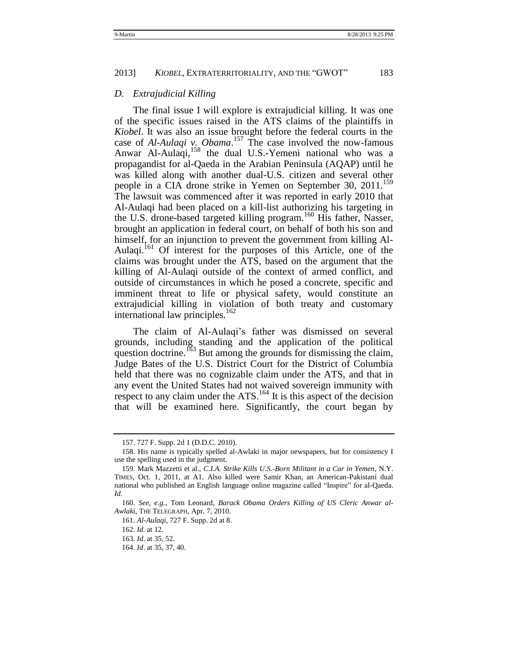#### <span id="page-38-0"></span>*D. Extrajudicial Killing*

The final issue I will explore is extrajudicial killing. It was one of the specific issues raised in the ATS claims of the plaintiffs in *Kiobel*. It was also an issue brought before the federal courts in the case of *Al-Aulaqi v. Obama*. <sup>157</sup> The case involved the now-famous Anwar Al-Aulaqi,<sup>158</sup> the dual U.S.-Yemeni national who was a propagandist for al-Qaeda in the Arabian Peninsula (AQAP) until he was killed along with another dual-U.S. citizen and several other people in a CIA drone strike in Yemen on September 30, 2011.<sup>159</sup> The lawsuit was commenced after it was reported in early 2010 that Al-Aulaqi had been placed on a kill-list authorizing his targeting in the U.S. drone-based targeted killing program.<sup>160</sup> His father, Nasser, brought an application in federal court, on behalf of both his son and himself, for an injunction to prevent the government from killing Al-Aulaqi.<sup>161</sup> Of interest for the purposes of this Article, one of the claims was brought under the ATS, based on the argument that the killing of Al-Aulaqi outside of the context of armed conflict, and outside of circumstances in which he posed a concrete, specific and imminent threat to life or physical safety, would constitute an extrajudicial killing in violation of both treaty and customary international law principles.<sup>162</sup>

The claim of Al-Aulaqi's father was dismissed on several grounds, including standing and the application of the political question doctrine.<sup>163</sup> But among the grounds for dismissing the claim, Judge Bates of the U.S. District Court for the District of Columbia held that there was no cognizable claim under the ATS, and that in any event the United States had not waived sovereign immunity with respect to any claim under the ATS.<sup>164</sup> It is this aspect of the decision that will be examined here. Significantly, the court began by

<sup>157.</sup> 727 F. Supp. 2d 1 (D.D.C. 2010).

<sup>158.</sup> His name is typically spelled al-Awlaki in major newspapers, but for consistency I use the spelling used in the judgment.

<sup>159.</sup> Mark Mazzetti et al., *C.I.A. Strike Kills U.S.-Born Militant in a Car in Yemen*, N.Y. TIMES, Oct. 1, 2011, at A1. Also killed were Samir Khan, an American-Pakistani dual national who published an English language online magazine called "Inspire" for al-Qaeda. *Id*.

<sup>160.</sup> *See, e.g.*, Tom Leonard, *Barack Obama Orders Killing of US Cleric Anwar al-Awlaki*, THE TELEGRAPH, Apr. 7, 2010.

<sup>161.</sup> *Al-Aulaqi*, 727 F. Supp. 2d at 8.

<sup>162.</sup> *Id.* at 12.

<sup>163.</sup> *Id*. at 35, 52.

<sup>164.</sup> *Id*. at 35, 37, 40.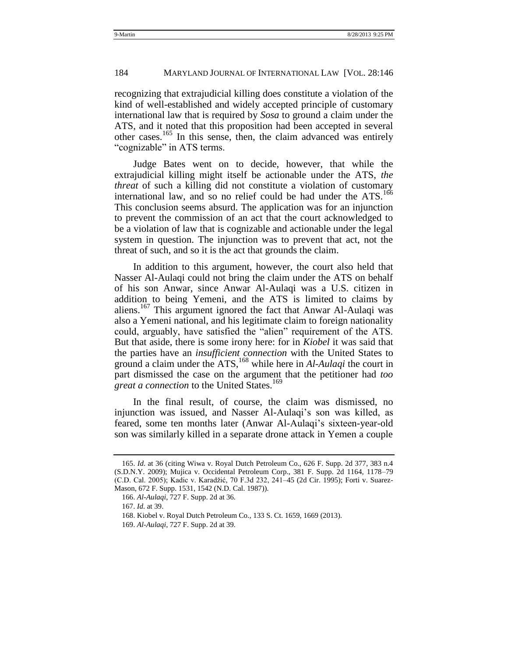recognizing that extrajudicial killing does constitute a violation of the kind of well-established and widely accepted principle of customary international law that is required by *Sosa* to ground a claim under the ATS, and it noted that this proposition had been accepted in several other cases.<sup>165</sup> In this sense, then, the claim advanced was entirely "cognizable" in ATS terms.

<span id="page-39-0"></span>Judge Bates went on to decide, however, that while the extrajudicial killing might itself be actionable under the ATS, *the threat* of such a killing did not constitute a violation of customary international law, and so no relief could be had under the ATS.<sup>166</sup> This conclusion seems absurd. The application was for an injunction to prevent the commission of an act that the court acknowledged to be a violation of law that is cognizable and actionable under the legal system in question. The injunction was to prevent that act, not the threat of such, and so it is the act that grounds the claim.

In addition to this argument, however, the court also held that Nasser Al-Aulaqi could not bring the claim under the ATS on behalf of his son Anwar, since Anwar Al-Aulaqi was a U.S. citizen in addition to being Yemeni, and the ATS is limited to claims by aliens.<sup>167</sup> This argument ignored the fact that Anwar Al-Aulaqi was also a Yemeni national, and his legitimate claim to foreign nationality could, arguably, have satisfied the "alien" requirement of the ATS. But that aside, there is some irony here: for in *Kiobel* it was said that the parties have an *insufficient connection* with the United States to ground a claim under the ATS,<sup>168</sup> while here in *Al-Aulaqi* the court in part dismissed the case on the argument that the petitioner had *too great a connection* to the United States.<sup>169</sup>

In the final result, of course, the claim was dismissed, no injunction was issued, and Nasser Al-Aulaqi's son was killed, as feared, some ten months later (Anwar Al-Aulaqi's sixteen-year-old son was similarly killed in a separate drone attack in Yemen a couple

<sup>165.</sup> *Id*. at 36 (citing Wiwa v. Royal Dutch Petroleum Co., 626 F. Supp. 2d 377, 383 n.4 (S.D.N.Y. 2009); Mujica v. Occidental Petroleum Corp., 381 F. Supp. 2d 1164, 1178–79 (C.D. Cal. 2005); Kadic v. Karadžić, 70 F.3d 232, 241–45 (2d Cir. 1995); Forti v. Suarez-Mason, 672 F. Supp. 1531, 1542 (N.D. Cal. 1987)).

<sup>166.</sup> *Al-Aulaqi*, 727 F. Supp. 2d at 36.

<sup>167.</sup> *Id.* at 39.

<sup>168.</sup> Kiobel v. Royal Dutch Petroleum Co., 133 S. Ct. 1659, 1669 (2013).

<sup>169.</sup> *Al-Aulaqi*, 727 F. Supp. 2d at 39.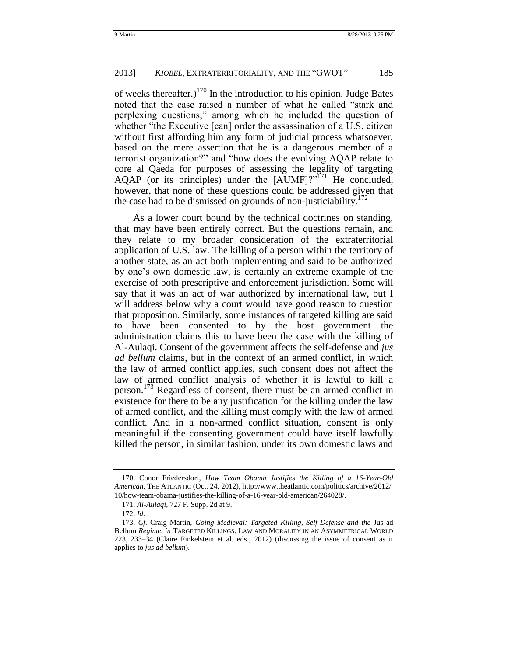of weeks thereafter.)<sup>170</sup> In the introduction to his opinion, Judge Bates noted that the case raised a number of what he called "stark and perplexing questions,‖ among which he included the question of whether "the Executive [can] order the assassination of a U.S. citizen without first affording him any form of judicial process whatsoever, based on the mere assertion that he is a dangerous member of a terrorist organization?" and "how does the evolving AQAP relate to core al Qaeda for purposes of assessing the legality of targeting AQAP (or its principles) under the  $[\widetilde{AUMF}]$ ?<sup>771</sup> He concluded, however, that none of these questions could be addressed given that the case had to be dismissed on grounds of non-justiciability.<sup>172</sup>

<span id="page-40-1"></span>As a lower court bound by the technical doctrines on standing, that may have been entirely correct. But the questions remain, and they relate to my broader consideration of the extraterritorial application of U.S. law. The killing of a person within the territory of another state, as an act both implementing and said to be authorized by one's own domestic law, is certainly an extreme example of the exercise of both prescriptive and enforcement jurisdiction. Some will say that it was an act of war authorized by international law, but I will address below why a court would have good reason to question that proposition. Similarly, some instances of targeted killing are said to have been consented to by the host government—the administration claims this to have been the case with the killing of Al-Aulaqi. Consent of the government affects the self-defense and *jus ad bellum* claims, but in the context of an armed conflict, in which the law of armed conflict applies, such consent does not affect the law of armed conflict analysis of whether it is lawful to kill a person.<sup>173</sup> Regardless of consent, there must be an armed conflict in existence for there to be any justification for the killing under the law of armed conflict, and the killing must comply with the law of armed conflict. And in a non-armed conflict situation, consent is only meaningful if the consenting government could have itself lawfully killed the person, in similar fashion, under its own domestic laws and

<span id="page-40-0"></span><sup>170.</sup> Conor Friedersdorf, *How Team Obama Justifies the Killing of a 16-Year-Old American*, THE ATLANTIC (Oct. 24, 2012), http://www.theatlantic.com/politics/archive/2012/ 10/how-team-obama-justifies-the-killing-of-a-16-year-old-american/264028/.

<sup>171.</sup> *Al-Aulaqi*, 727 F. Supp. 2d at 9.

<sup>172.</sup> *Id*.

<sup>173.</sup> *Cf*. Craig Martin, *Going Medieval: Targeted Killing, Self-Defense and the* Jus ad Bellum *Regime*, *in* TARGETED KILLINGS: LAW AND MORALITY IN AN ASYMMETRICAL WORLD 223, 233–34 (Claire Finkelstein et al. eds., 2012) (discussing the issue of consent as it applies to *jus ad bellum*).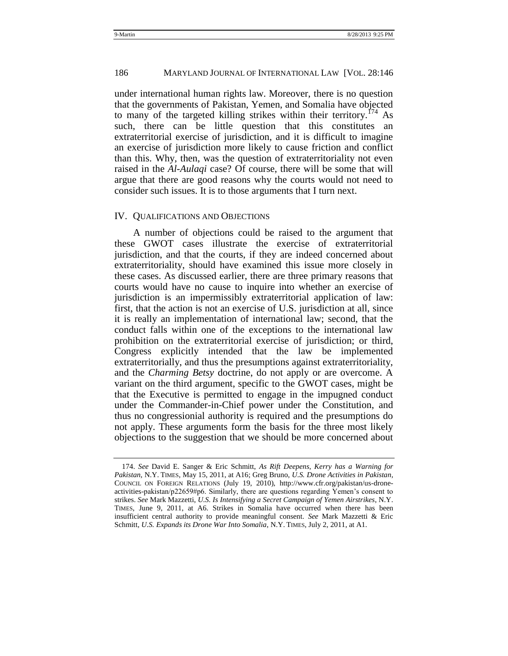under international human rights law. Moreover, there is no question that the governments of Pakistan, Yemen, and Somalia have objected to many of the targeted killing strikes within their territory.<sup>174</sup> As such, there can be little question that this constitutes an extraterritorial exercise of jurisdiction, and it is difficult to imagine an exercise of jurisdiction more likely to cause friction and conflict than this. Why, then, was the question of extraterritoriality not even raised in the *Al-Aulaqi* case? Of course, there will be some that will argue that there are good reasons why the courts would not need to consider such issues. It is to those arguments that I turn next.

#### <span id="page-41-0"></span>IV. QUALIFICATIONS AND OBJECTIONS

A number of objections could be raised to the argument that these GWOT cases illustrate the exercise of extraterritorial jurisdiction, and that the courts, if they are indeed concerned about extraterritoriality, should have examined this issue more closely in these cases. As discussed earlier, there are three primary reasons that courts would have no cause to inquire into whether an exercise of jurisdiction is an impermissibly extraterritorial application of law: first, that the action is not an exercise of U.S. jurisdiction at all, since it is really an implementation of international law; second, that the conduct falls within one of the exceptions to the international law prohibition on the extraterritorial exercise of jurisdiction; or third, Congress explicitly intended that the law be implemented extraterritorially, and thus the presumptions against extraterritoriality, and the *Charming Betsy* doctrine, do not apply or are overcome. A variant on the third argument, specific to the GWOT cases, might be that the Executive is permitted to engage in the impugned conduct under the Commander-in-Chief power under the Constitution, and thus no congressionial authority is required and the presumptions do not apply. These arguments form the basis for the three most likely objections to the suggestion that we should be more concerned about

<sup>174.</sup> *See* David E. Sanger & Eric Schmitt, *As Rift Deepens, Kerry has a Warning for Pakistan*, N.Y. TIMES, May 15, 2011, at A16; Greg Bruno, *U.S. Drone Activities in Pakistan*, COUNCIL ON FOREIGN RELATIONS (July 19, 2010), http://www.cfr.org/pakistan/us-droneactivities-pakistan/p22659#p6. Similarly, there are questions regarding Yemen's consent to strikes. *See* Mark Mazzetti, *U.S. Is Intensifying a Secret Campaign of Yemen Airstrikes*, N.Y. TIMES, June 9, 2011, at A6. Strikes in Somalia have occurred when there has been insufficient central authority to provide meaningful consent. *See* Mark Mazzetti & Eric Schmitt, *U.S. Expands its Drone War Into Somalia*, N.Y. TIMES, July 2, 2011, at A1.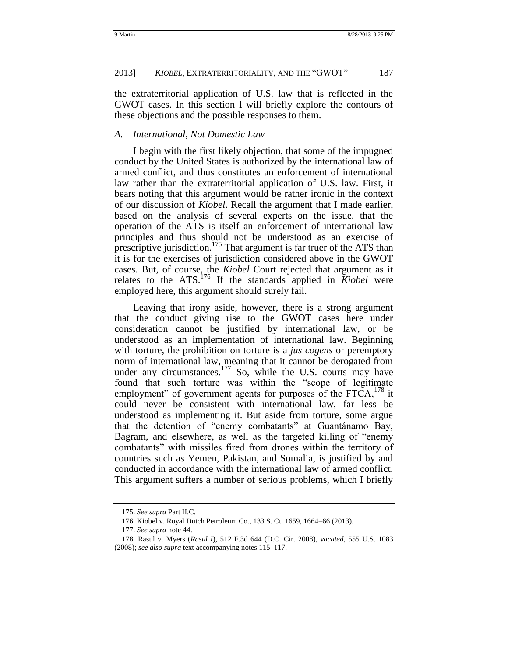the extraterritorial application of U.S. law that is reflected in the GWOT cases. In this section I will briefly explore the contours of these objections and the possible responses to them.

#### <span id="page-42-0"></span>*A. International, Not Domestic Law*

I begin with the first likely objection, that some of the impugned conduct by the United States is authorized by the international law of armed conflict, and thus constitutes an enforcement of international law rather than the extraterritorial application of U.S. law. First, it bears noting that this argument would be rather ironic in the context of our discussion of *Kiobel*. Recall the argument that I made earlier, based on the analysis of several experts on the issue, that the operation of the ATS is itself an enforcement of international law principles and thus should not be understood as an exercise of prescriptive jurisdiction.<sup>175</sup> That argument is far truer of the ATS than it is for the exercises of jurisdiction considered above in the GWOT cases. But, of course, the *Kiobel* Court rejected that argument as it relates to the ATS.<sup>176</sup> If the standards applied in *Kiobel* were employed here, this argument should surely fail.

Leaving that irony aside, however, there is a strong argument that the conduct giving rise to the GWOT cases here under consideration cannot be justified by international law, or be understood as an implementation of international law. Beginning with torture, the prohibition on torture is a *jus cogens* or peremptory norm of international law, meaning that it cannot be derogated from under any circumstances. $177$  So, while the U.S. courts may have found that such torture was within the "scope of legitimate employment" of government agents for purposes of the  $FTCA$ ,  $^{178}$  it could never be consistent with international law, far less be understood as implementing it. But aside from torture, some argue that the detention of "enemy combatants" at Guantánamo Bay, Bagram, and elsewhere, as well as the targeted killing of "enemy" combatants" with missiles fired from drones within the territory of countries such as Yemen, Pakistan, and Somalia, is justified by and conducted in accordance with the international law of armed conflict. This argument suffers a number of serious problems, which I briefly

<sup>175.</sup> *See supra* Part II.C.

<sup>176.</sup> Kiobel v. Royal Dutch Petroleum Co., 133 S. Ct. 1659, 1664*–*66 (2013).

<sup>177.</sup> *See supra* not[e 44.](#page-15-1)

<sup>178.</sup> Rasul v. Myers (*Rasul I*), 512 F.3d 644 (D.C. Cir. 2008), *vacated*, 555 U.S. 1083 (2008); *see also supra* text accompanying notes [115](#page-31-0)*–*[117.](#page-31-1)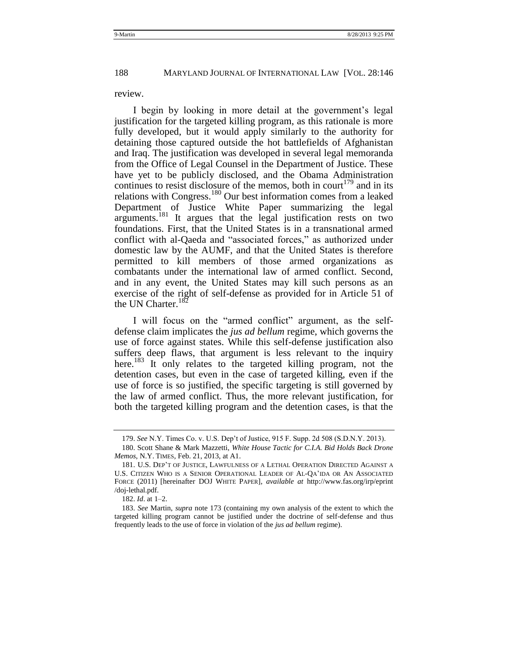#### review.

I begin by looking in more detail at the government's legal justification for the targeted killing program, as this rationale is more fully developed, but it would apply similarly to the authority for detaining those captured outside the hot battlefields of Afghanistan and Iraq. The justification was developed in several legal memoranda from the Office of Legal Counsel in the Department of Justice. These have yet to be publicly disclosed, and the Obama Administration continues to resist disclosure of the memos, both in court<sup>179</sup> and in its relations with Congress.<sup>180</sup> Our best information comes from a leaked Department of Justice White Paper summarizing the legal arguments.<sup>181</sup> It argues that the legal justification rests on two foundations. First, that the United States is in a transnational armed conflict with al-Qaeda and "associated forces," as authorized under domestic law by the AUMF, and that the United States is therefore permitted to kill members of those armed organizations as combatants under the international law of armed conflict. Second, and in any event, the United States may kill such persons as an exercise of the right of self-defense as provided for in Article 51 of the UN Charter.<sup>182</sup>

<span id="page-43-0"></span>I will focus on the "armed conflict" argument, as the selfdefense claim implicates the *jus ad bellum* regime, which governs the use of force against states. While this self-defense justification also suffers deep flaws, that argument is less relevant to the inquiry here.<sup>183</sup> It only relates to the targeted killing program, not the detention cases, but even in the case of targeted killing, even if the use of force is so justified, the specific targeting is still governed by the law of armed conflict. Thus, the more relevant justification, for both the targeted killing program and the detention cases, is that the

<sup>179.</sup> *See* N.Y. Times Co. v. U.S. Dep't of Justice, 915 F. Supp. 2d 508 (S.D.N.Y. 2013).

<sup>180.</sup> Scott Shane & Mark Mazzetti, *White House Tactic for C.I.A. Bid Holds Back Drone Memos*, N.Y. TIMES*,* Feb. 21, 2013, at A1.

<sup>181.</sup> U.S. DEP'T OF JUSTICE, LAWFULNESS OF A LETHAL OPERATION DIRECTED AGAINST A U.S. CITIZEN WHO IS A SENIOR OPERATIONAL LEADER OF AL-QA'IDA OR AN ASSOCIATED FORCE (2011) [hereinafter DOJ WHITE PAPER], *available at* http://www.fas.org/irp/eprint /doj-lethal.pdf.

<sup>182.</sup> *Id*. at 1–2.

<sup>183.</sup> *See* Martin, *supra* note [173](#page-40-0) (containing my own analysis of the extent to which the targeted killing program cannot be justified under the doctrine of self-defense and thus frequently leads to the use of force in violation of the *jus ad bellum* regime).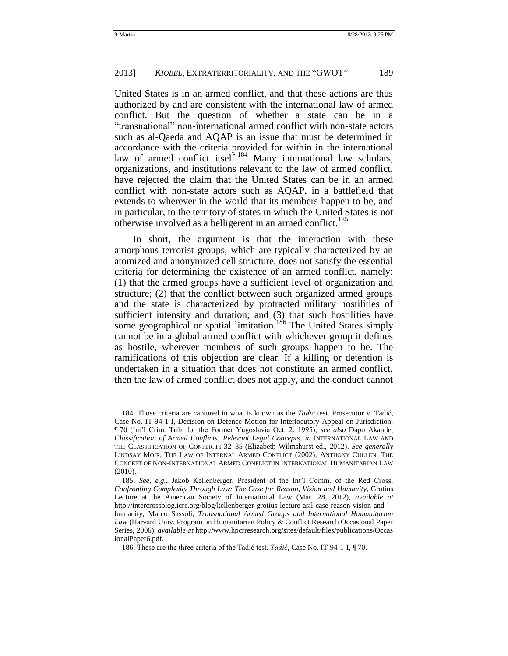United States is in an armed conflict, and that these actions are thus authorized by and are consistent with the international law of armed conflict. But the question of whether a state can be in a ―transnational‖ non-international armed conflict with non-state actors such as al-Qaeda and AQAP is an issue that must be determined in accordance with the criteria provided for within in the international law of armed conflict itself.<sup>184</sup> Many international law scholars, organizations, and institutions relevant to the law of armed conflict, have rejected the claim that the United States can be in an armed conflict with non-state actors such as AQAP, in a battlefield that extends to wherever in the world that its members happen to be, and in particular, to the territory of states in which the United States is not otherwise involved as a belligerent in an armed conflict.<sup>185</sup>

In short, the argument is that the interaction with these amorphous terrorist groups, which are typically characterized by an atomized and anonymized cell structure, does not satisfy the essential criteria for determining the existence of an armed conflict, namely: (1) that the armed groups have a sufficient level of organization and structure; (2) that the conflict between such organized armed groups and the state is characterized by protracted military hostilities of sufficient intensity and duration; and (3) that such hostilities have some geographical or spatial limitation.<sup>186</sup> The United States simply cannot be in a global armed conflict with whichever group it defines as hostile, wherever members of such groups happen to be. The ramifications of this objection are clear. If a killing or detention is undertaken in a situation that does not constitute an armed conflict, then the law of armed conflict does not apply, and the conduct cannot

<sup>184.</sup> Those criteria are captured in what is known as the *Tadić* test. Prosecutor v. Tadić, Case No. IT-94-1-I, Decision on Defence Motion for Interlocutory Appeal on Jurisdiction, ¶ 70 (Int'l Crim. Trib. for the Former Yugoslavia Oct. 2, 1995); *see also* Dapo Akande, *Classification of Armed Conflicts: Relevant Legal Concepts*, *in* INTERNATIONAL LAW AND THE CLASSIFICATION OF CONFLICTS 32–35 (Elizabeth Wilmshurst ed., 2012). *See generally*  LINDSAY MOIR, THE LAW OF INTERNAL ARMED CONFLICT (2002); ANTHONY CULLEN, THE CONCEPT OF NON-INTERNATIONAL ARMED CONFLICT IN INTERNATIONAL HUMANITARIAN LAW (2010).

<sup>185.</sup> *See, e.g.*, Jakob Kellenberger, President of the Int'l Comm. of the Red Cross, *Confronting Complexity Through Law: The Case for Reason, Vision and Humanity*, Grotius Lecture at the American Society of International Law (Mar. 28, 2012), *available at* http://intercrossblog.icrc.org/blog/kellenberger-grotius-lecture-asil-case-reason-vision-andhumanity; Marco Sassoli, *Transnational Armed Groups and International Humanitarian Law* (Harvard Univ. Program on Humanitarian Policy & Conflict Research Occasional Paper Series, 2006), *available at* http://www.hpcrresearch.org/sites/default/files/publications/Occas

ionalPaper6.pdf.

<sup>186.</sup> These are the three criteria of the Tadić test. *Tadić*, Case No. IT-94-1-I, ¶ 70.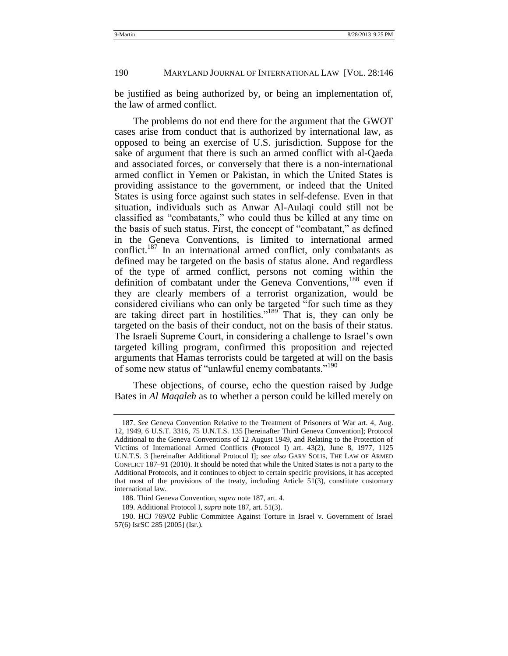be justified as being authorized by, or being an implementation of, the law of armed conflict.

<span id="page-45-0"></span>The problems do not end there for the argument that the GWOT cases arise from conduct that is authorized by international law, as opposed to being an exercise of U.S. jurisdiction. Suppose for the sake of argument that there is such an armed conflict with al-Qaeda and associated forces, or conversely that there is a non-international armed conflict in Yemen or Pakistan, in which the United States is providing assistance to the government, or indeed that the United States is using force against such states in self-defense. Even in that situation, individuals such as Anwar Al-Aulaqi could still not be classified as "combatants," who could thus be killed at any time on the basis of such status. First, the concept of "combatant," as defined in the Geneva Conventions, is limited to international armed conflict.<sup>187</sup> In an international armed conflict, only combatants as defined may be targeted on the basis of status alone. And regardless of the type of armed conflict, persons not coming within the definition of combatant under the Geneva Conventions,<sup>188</sup> even if they are clearly members of a terrorist organization, would be considered civilians who can only be targeted "for such time as they are taking direct part in hostilities."<sup>189</sup> That is, they can only be targeted on the basis of their conduct, not on the basis of their status. The Israeli Supreme Court, in considering a challenge to Israel's own targeted killing program, confirmed this proposition and rejected arguments that Hamas terrorists could be targeted at will on the basis of some new status of "unlawful enemy combatants."<sup>190</sup>

These objections, of course, echo the question raised by Judge Bates in *Al Maqaleh* as to whether a person could be killed merely on

<sup>187.</sup> *See* Geneva Convention Relative to the Treatment of Prisoners of War art. 4, Aug. 12, 1949, 6 U.S.T. 3316, 75 U.N.T.S. 135 [hereinafter Third Geneva Convention]; Protocol Additional to the Geneva Conventions of 12 August 1949, and Relating to the Protection of Victims of International Armed Conflicts (Protocol I) art. 43(2), June 8, 1977, 1125 U.N.T.S. 3 [hereinafter Additional Protocol I]; *see also* GARY SOLIS, THE LAW OF ARMED CONFLICT 187–91 (2010). It should be noted that while the United States is not a party to the Additional Protocols, and it continues to object to certain specific provisions, it has accepted that most of the provisions of the treaty, including Article 51(3), constitute customary international law.

<sup>188.</sup> Third Geneva Convention, *supra* not[e 187,](#page-45-0) art. 4.

<sup>189.</sup> Additional Protocol I, *supra* not[e 187,](#page-45-0) art. 51(3).

<sup>190.</sup> HCJ 769/02 Public Committee Against Torture in Israel v. Government of Israel 57(6) IsrSC 285 [2005] (Isr.).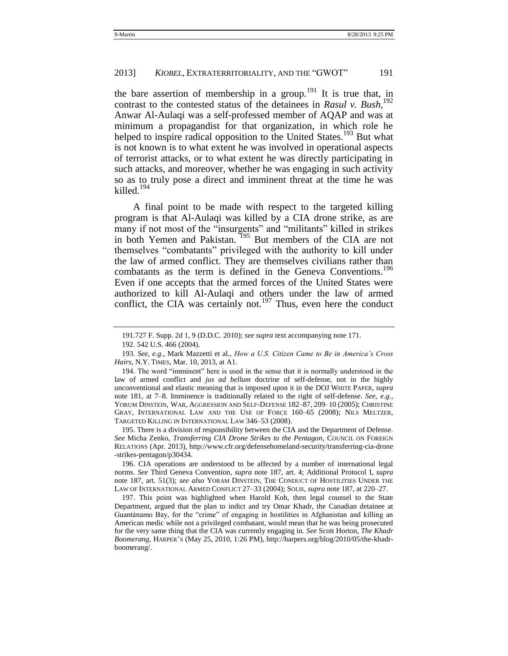the bare assertion of membership in a group.<sup>191</sup> It is true that, in contrast to the contested status of the detainees in *Rasul v. Bush*, 192 Anwar Al-Aulaqi was a self-professed member of AQAP and was at minimum a propagandist for that organization, in which role he helped to inspire radical opposition to the United States.<sup>193</sup> But what is not known is to what extent he was involved in operational aspects of terrorist attacks, or to what extent he was directly participating in such attacks, and moreover, whether he was engaging in such activity so as to truly pose a direct and imminent threat at the time he was killed.<sup>194</sup>

A final point to be made with respect to the targeted killing program is that Al-Aulaqi was killed by a CIA drone strike, as are many if not most of the "insurgents" and "militants" killed in strikes in both Yemen and Pakistan. <sup>195</sup> But members of the CIA are not themselves "combatants" privileged with the authority to kill under the law of armed conflict. They are themselves civilians rather than combatants as the term is defined in the Geneva Conventions.<sup>196</sup> Even if one accepts that the armed forces of the United States were authorized to kill Al-Aulaqi and others under the law of armed conflict, the CIA was certainly not.<sup>197</sup> Thus, even here the conduct

195. There is a division of responsibility between the CIA and the Department of Defense. *See* Micha Zenko, *Transferring CIA Drone Strikes to the Pentagon*, COUNCIL ON FOREIGN RELATIONS (Apr. 2013), http://www.cfr.org/defensehomeland-security/transferring-cia-drone -strikes-pentagon/p30434.

<sup>191.727</sup> F. Supp. 2d 1, 9 (D.D.C. 2010); *see supra* text accompanying not[e 171.](#page-40-1)

<sup>192.</sup> 542 U.S. 466 (2004).

<sup>193.</sup> *See, e.g.*, Mark Mazzetti et al., *How a U.S. Citizen Came to Be in America"s Cross Hairs*, N.Y. TIMES, Mar. 10, 2013, at A1.

<sup>194.</sup> The word "imminent" here is used in the sense that it is normally understood in the law of armed conflict and *jus ad bellum* doctrine of self-defense, not in the highly unconventional and elastic meaning that is imposed upon it in the DOJ WHITE PAPER, *supra* note [181,](#page-43-0) at 7–8. Imminence is traditionally related to the right of self-defense. *See, e.g.*, YORUM DINSTEIN*,* WAR, AGGRESSION AND SELF-DEFENSE 182–87, 209–10 (2005); CHRISTINE GRAY, INTERNATIONAL LAW AND THE USE OF FORCE 160–65 (2008); NILS MELTZER, TARGETED KILLING IN INTERNATIONAL LAW 346–53 (2008).

<sup>196.</sup> CIA operations are understood to be affected by a number of international legal norms. *See* Third Geneva Convention, *supra* note [187,](#page-45-0) art. 4; Additional Protocol I, *supra* note [187,](#page-45-0) art. 51(3); *see also* YORAM DINSTEIN, THE CONDUCT OF HOSTILITIES UNDER THE LAW OF INTERNATIONAL ARMED CONFLICT 27–33 (2004); SOLIS, *supra* not[e 187,](#page-45-0) at 220–27.

<sup>197.</sup> This point was highlighted when Harold Koh, then legal counsel to the State Department, argued that the plan to indict and try Omar Khadr, the Canadian detainee at Guantánamo Bay, for the "crime" of engaging in hostilities in Afghanistan and killing an American medic while not a privileged combatant, would mean that he was being prosecuted for the very same thing that the CIA was currently engaging in. *See* Scott Horton, *The Khadr Boomerang*, HARPER'S (May 25, 2010, 1:26 PM), http://harpers.org/blog/2010/05/the-khadrboomerang/.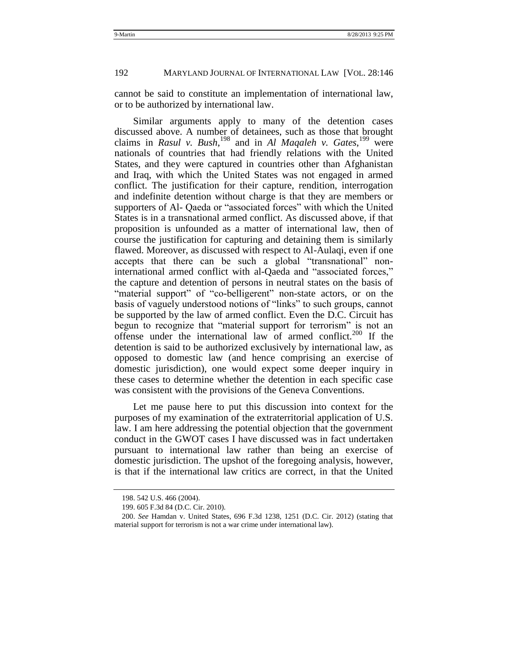cannot be said to constitute an implementation of international law, or to be authorized by international law.

Similar arguments apply to many of the detention cases discussed above. A number of detainees, such as those that brought claims in *Rasul v. Bush*, <sup>198</sup> and in *Al Maqaleh v. Gates*, <sup>199</sup> were nationals of countries that had friendly relations with the United States, and they were captured in countries other than Afghanistan and Iraq, with which the United States was not engaged in armed conflict. The justification for their capture, rendition, interrogation and indefinite detention without charge is that they are members or supporters of Al- Qaeda or "associated forces" with which the United States is in a transnational armed conflict. As discussed above, if that proposition is unfounded as a matter of international law, then of course the justification for capturing and detaining them is similarly flawed. Moreover, as discussed with respect to Al-Aulaqi, even if one accepts that there can be such a global "transnational" noninternational armed conflict with al-Qaeda and "associated forces," the capture and detention of persons in neutral states on the basis of "material support" of "co-belligerent" non-state actors, or on the basis of vaguely understood notions of "links" to such groups, cannot be supported by the law of armed conflict. Even the D.C. Circuit has begun to recognize that "material support for terrorism" is not an offense under the international law of armed conflict.<sup>200</sup> If the detention is said to be authorized exclusively by international law, as opposed to domestic law (and hence comprising an exercise of domestic jurisdiction), one would expect some deeper inquiry in these cases to determine whether the detention in each specific case was consistent with the provisions of the Geneva Conventions.

Let me pause here to put this discussion into context for the purposes of my examination of the extraterritorial application of U.S. law. I am here addressing the potential objection that the government conduct in the GWOT cases I have discussed was in fact undertaken pursuant to international law rather than being an exercise of domestic jurisdiction. The upshot of the foregoing analysis, however, is that if the international law critics are correct, in that the United

<sup>198.</sup> 542 U.S. 466 (2004).

<sup>199.</sup> 605 F.3d 84 (D.C. Cir. 2010).

<sup>200.</sup> *See* Hamdan v. United States, 696 F.3d 1238, 1251 (D.C. Cir. 2012) (stating that material support for terrorism is not a war crime under international law).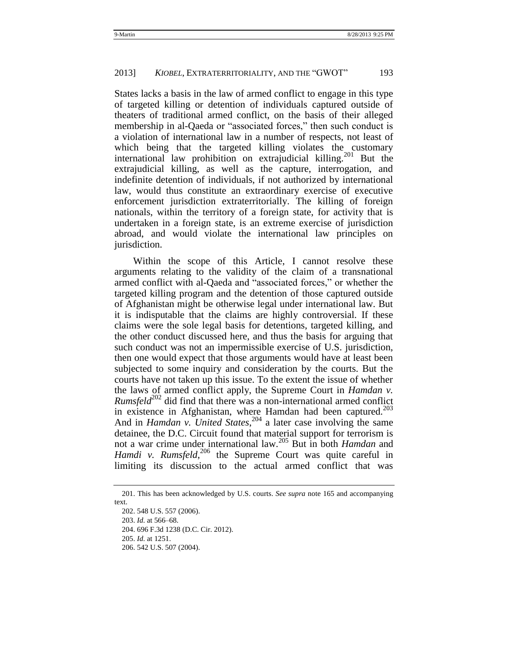States lacks a basis in the law of armed conflict to engage in this type of targeted killing or detention of individuals captured outside of theaters of traditional armed conflict, on the basis of their alleged membership in al-Qaeda or "associated forces," then such conduct is a violation of international law in a number of respects, not least of which being that the targeted killing violates the customary international law prohibition on extrajudicial killing.<sup>201</sup> But the extrajudicial killing, as well as the capture, interrogation, and indefinite detention of individuals, if not authorized by international law, would thus constitute an extraordinary exercise of executive enforcement jurisdiction extraterritorially. The killing of foreign nationals, within the territory of a foreign state, for activity that is undertaken in a foreign state, is an extreme exercise of jurisdiction abroad, and would violate the international law principles on jurisdiction.

Within the scope of this Article, I cannot resolve these arguments relating to the validity of the claim of a transnational armed conflict with al-Qaeda and "associated forces," or whether the targeted killing program and the detention of those captured outside of Afghanistan might be otherwise legal under international law. But it is indisputable that the claims are highly controversial. If these claims were the sole legal basis for detentions, targeted killing, and the other conduct discussed here, and thus the basis for arguing that such conduct was not an impermissible exercise of U.S. jurisdiction, then one would expect that those arguments would have at least been subjected to some inquiry and consideration by the courts. But the courts have not taken up this issue. To the extent the issue of whether the laws of armed conflict apply, the Supreme Court in *Hamdan v. Rumsfeld*<sup>202</sup> did find that there was a non-international armed conflict in existence in Afghanistan, where Hamdan had been captured. $^{203}$ And in *Hamdan v. United States*, <sup>204</sup> a later case involving the same detainee, the D.C. Circuit found that material support for terrorism is not a war crime under international law.<sup>205</sup> But in both *Hamdan* and Hamdi v. Rumsfeld,<sup>206</sup> the Supreme Court was quite careful in limiting its discussion to the actual armed conflict that was

<sup>201.</sup> This has been acknowledged by U.S. courts. *See supra* note [165](#page-39-0) and accompanying text.

<sup>202.</sup> 548 U.S. 557 (2006).

<sup>203.</sup> *Id.* at 566–68.

<sup>204.</sup> 696 F.3d 1238 (D.C. Cir. 2012).

<sup>205.</sup> *Id.* at 1251.

<sup>206.</sup> 542 U.S. 507 (2004).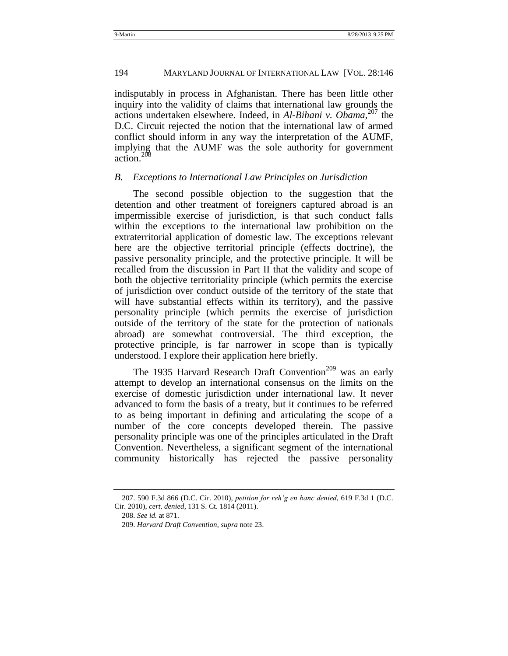#### 194 MARYLAND JOURNAL OF INTERNATIONAL LAW [VOL. 28:146

indisputably in process in Afghanistan. There has been little other inquiry into the validity of claims that international law grounds the actions undertaken elsewhere. Indeed, in *Al-Bihani v. Obama*, <sup>207</sup> the D.C. Circuit rejected the notion that the international law of armed conflict should inform in any way the interpretation of the AUMF, implying that the AUMF was the sole authority for government action.<sup>208</sup>

#### <span id="page-49-0"></span>*B. Exceptions to International Law Principles on Jurisdiction*

The second possible objection to the suggestion that the detention and other treatment of foreigners captured abroad is an impermissible exercise of jurisdiction, is that such conduct falls within the exceptions to the international law prohibition on the extraterritorial application of domestic law. The exceptions relevant here are the objective territorial principle (effects doctrine), the passive personality principle, and the protective principle. It will be recalled from the discussion in Part II that the validity and scope of both the objective territoriality principle (which permits the exercise of jurisdiction over conduct outside of the territory of the state that will have substantial effects within its territory), and the passive personality principle (which permits the exercise of jurisdiction outside of the territory of the state for the protection of nationals abroad) are somewhat controversial. The third exception, the protective principle, is far narrower in scope than is typically understood. I explore their application here briefly.

The 1935 Harvard Research Draft Convention<sup>209</sup> was an early attempt to develop an international consensus on the limits on the exercise of domestic jurisdiction under international law. It never advanced to form the basis of a treaty, but it continues to be referred to as being important in defining and articulating the scope of a number of the core concepts developed therein. The passive personality principle was one of the principles articulated in the Draft Convention. Nevertheless, a significant segment of the international community historically has rejected the passive personality

<sup>207.</sup> 590 F.3d 866 (D.C. Cir. 2010), *petition for reh"g en banc denied*, 619 F.3d 1 (D.C. Cir. 2010), *cert*. *denied*, 131 S. Ct. 1814 (2011).

<sup>208.</sup> *See id.* at 871.

<sup>209.</sup> *Harvard Draft Convention*, *supra* not[e 23.](#page-11-1)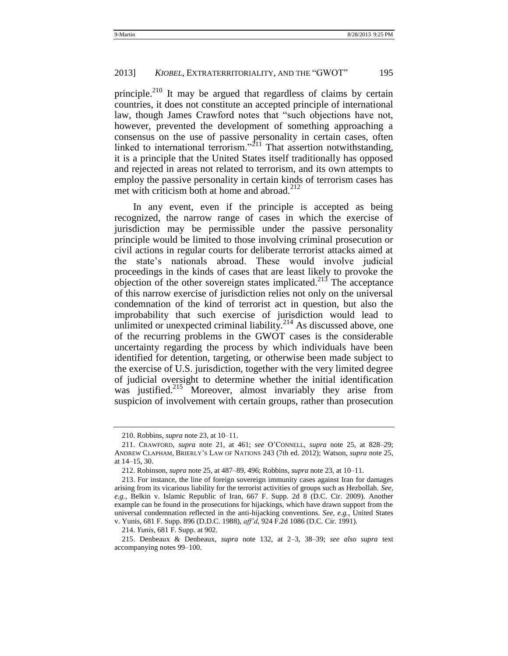principle.<sup>210</sup> It may be argued that regardless of claims by certain countries, it does not constitute an accepted principle of international law, though James Crawford notes that "such objections have not, however, prevented the development of something approaching a consensus on the use of passive personality in certain cases, often linked to international terrorism.<sup>211</sup> That assertion notwithstanding, it is a principle that the United States itself traditionally has opposed and rejected in areas not related to terrorism, and its own attempts to employ the passive personality in certain kinds of terrorism cases has met with criticism both at home and abroad. $^{212}$ 

In any event, even if the principle is accepted as being recognized, the narrow range of cases in which the exercise of jurisdiction may be permissible under the passive personality principle would be limited to those involving criminal prosecution or civil actions in regular courts for deliberate terrorist attacks aimed at the state's nationals abroad. These would involve judicial proceedings in the kinds of cases that are least likely to provoke the objection of the other sovereign states implicated.<sup>213</sup> The acceptance of this narrow exercise of jurisdiction relies not only on the universal condemnation of the kind of terrorist act in question, but also the improbability that such exercise of jurisdiction would lead to unlimited or unexpected criminal liability.<sup>214</sup> As discussed above, one of the recurring problems in the GWOT cases is the considerable uncertainty regarding the process by which individuals have been identified for detention, targeting, or otherwise been made subject to the exercise of U.S. jurisdiction, together with the very limited degree of judicial oversight to determine whether the initial identification was justified.<sup>215</sup> Moreover, almost invariably they arise from suspicion of involvement with certain groups, rather than prosecution

<sup>210.</sup> Robbins, *supra* not[e 23,](#page-11-1) at 10–11.

<sup>211.</sup> CRAWFORD, *supra* note [21,](#page-10-2) at 461; *see* O'CONNELL, *supra* note [25,](#page-12-0) at 828–29; ANDREW CLAPHAM, BRIERLY'S LAW OF NATIONS 243 (7th ed. 2012); Watson, *supra* not[e 25,](#page-12-0) at 14–15, 30.

<sup>212.</sup> Robinson, *supra* not[e 25,](#page-12-0) at 487–89, 496; Robbins, *supra* not[e 23,](#page-11-1) at 10–11.

<sup>213.</sup> For instance, the line of foreign sovereign immunity cases against Iran for damages arising from its vicarious liability for the terrorist activities of groups such as Hezbollah. *See, e.g.*, Belkin v. Islamic Republic of Iran, 667 F. Supp. 2d 8 (D.C. Cir. 2009). Another example can be found in the prosecutions for hijackings, which have drawn support from the universal condemnation reflected in the anti-hijacking conventions. *See, e.g.*, United States v. Yunis, 681 F. Supp. 896 (D.D.C. 1988), *aff"d*, 924 F.2d 1086 (D.C. Cir. 1991).

<sup>214.</sup> *Yunis*, 681 F. Supp. at 902.

<sup>215.</sup> Denbeaux & Denbeaux, *supra* note [132,](#page-33-0) at 2–3, 38–39; *see also supra* text accompanying notes [99](#page-28-0)[–100.](#page-28-1)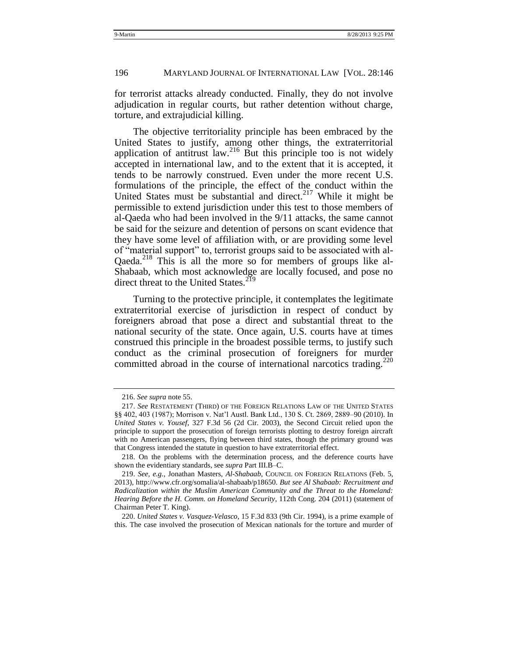for terrorist attacks already conducted. Finally, they do not involve adjudication in regular courts, but rather detention without charge, torture, and extrajudicial killing.

The objective territoriality principle has been embraced by the United States to justify, among other things, the extraterritorial application of antitrust  $\frac{2^{16}}{8}$  But this principle too is not widely accepted in international law, and to the extent that it is accepted, it tends to be narrowly construed. Even under the more recent U.S. formulations of the principle, the effect of the conduct within the United States must be substantial and direct.<sup>217</sup> While it might be permissible to extend jurisdiction under this test to those members of al-Qaeda who had been involved in the 9/11 attacks, the same cannot be said for the seizure and detention of persons on scant evidence that they have some level of affiliation with, or are providing some level of "material support" to, terrorist groups said to be associated with al-Qaeda. <sup>218</sup> This is all the more so for members of groups like al-Shabaab, which most acknowledge are locally focused, and pose no direct threat to the United States.<sup>219</sup>

Turning to the protective principle, it contemplates the legitimate extraterritorial exercise of jurisdiction in respect of conduct by foreigners abroad that pose a direct and substantial threat to the national security of the state. Once again, U.S. courts have at times construed this principle in the broadest possible terms, to justify such conduct as the criminal prosecution of foreigners for murder committed abroad in the course of international narcotics trading.<sup>220</sup>

<sup>216.</sup> *See supra* not[e 55.](#page-19-1)

<sup>217.</sup> *See* RESTATEMENT (THIRD) OF THE FOREIGN RELATIONS LAW OF THE UNITED STATES §§ 402, 403 (1987); Morrison v. Nat'l Austl. Bank Ltd., 130 S. Ct. 2869, 2889–90 (2010). In *United States v. Yousef*, 327 F.3d 56 (2d Cir. 2003), the Second Circuit relied upon the principle to support the prosecution of foreign terrorists plotting to destroy foreign aircraft with no American passengers, flying between third states, though the primary ground was that Congress intended the statute in question to have extraterritorial effect.

<sup>218.</sup> On the problems with the determination process, and the deference courts have shown the evidentiary standards, see *supra* Part III.B–C.

<sup>219.</sup> *See, e.g.*, Jonathan Masters, *Al-Shabaab*, COUNCIL ON FOREIGN RELATIONS (Feb. 5, 2013), [http://www.cfr.org/somalia/al-shabaab/p18650.](http://www.cfr.org/somalia/al-shabaab/p18650) *But see Al Shabaab: Recruitment and Radicalization within the Muslim American Community and the Threat to the Homeland: Hearing Before the H. Comm. on Homeland Security*, 112th Cong. 204 (2011) (statement of Chairman Peter T. King).

<sup>220.</sup> *United States v. Vasquez-Velasco*, 15 F.3d 833 (9th Cir. 1994), is a prime example of this. The case involved the prosecution of Mexican nationals for the torture and murder of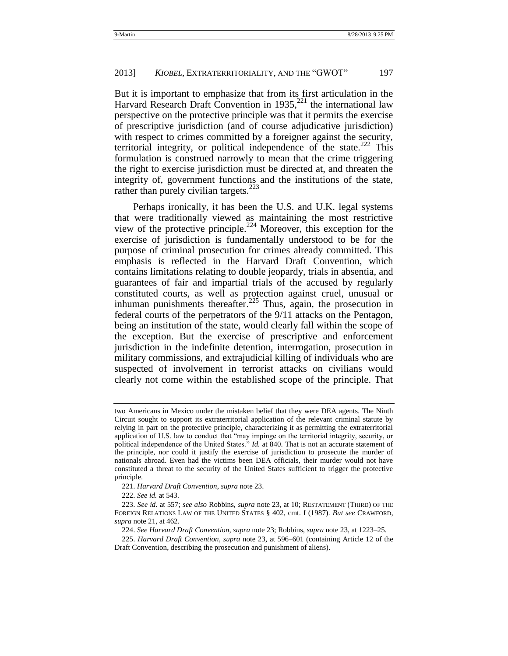But it is important to emphasize that from its first articulation in the Harvard Research Draft Convention in  $1935$ <sup>221</sup>, the international law perspective on the protective principle was that it permits the exercise of prescriptive jurisdiction (and of course adjudicative jurisdiction) with respect to crimes committed by a foreigner against the security, territorial integrity, or political independence of the state. $222$  This formulation is construed narrowly to mean that the crime triggering the right to exercise jurisdiction must be directed at, and threaten the integrity of, government functions and the institutions of the state, rather than purely civilian targets.<sup>223</sup>

Perhaps ironically, it has been the U.S. and U.K. legal systems that were traditionally viewed as maintaining the most restrictive view of the protective principle.<sup>224</sup> Moreover, this exception for the exercise of jurisdiction is fundamentally understood to be for the purpose of criminal prosecution for crimes already committed. This emphasis is reflected in the Harvard Draft Convention, which contains limitations relating to double jeopardy, trials in absentia, and guarantees of fair and impartial trials of the accused by regularly constituted courts, as well as protection against cruel, unusual or inhuman punishments thereafter.<sup>225</sup> Thus, again, the prosecution in federal courts of the perpetrators of the 9/11 attacks on the Pentagon, being an institution of the state, would clearly fall within the scope of the exception. But the exercise of prescriptive and enforcement jurisdiction in the indefinite detention, interrogation, prosecution in military commissions, and extrajudicial killing of individuals who are suspected of involvement in terrorist attacks on civilians would clearly not come within the established scope of the principle. That

222. *See id.* at 543.

two Americans in Mexico under the mistaken belief that they were DEA agents. The Ninth Circuit sought to support its extraterritorial application of the relevant criminal statute by relying in part on the protective principle, characterizing it as permitting the extraterritorial application of U.S. law to conduct that "may impinge on the territorial integrity, security, or political independence of the United States." *Id.* at 840. That is not an accurate statement of the principle, nor could it justify the exercise of jurisdiction to prosecute the murder of nationals abroad. Even had the victims been DEA officials, their murder would not have constituted a threat to the security of the United States sufficient to trigger the protective principle.

<sup>221.</sup> *Harvard Draft Convention*, *supra* not[e 23.](#page-11-1)

<sup>223.</sup> *See id*. at 557; *see also* Robbins, *supra* not[e 23,](#page-11-1) at 10; RESTATEMENT (THIRD) OF THE FOREIGN RELATIONS LAW OF THE UNITED STATES § 402, cmt. f (1987). *But see* CRAWFORD, *supra* not[e 21,](#page-10-2) at 462.

<sup>224.</sup> *See Harvard Draft Convention*, *supra* note [23;](#page-11-1) Robbins, *supra* note [23,](#page-11-1) at 1223–25.

<sup>225.</sup> *Harvard Draft Convention*, *supra* note [23,](#page-11-1) at 596–601 (containing Article 12 of the Draft Convention, describing the prosecution and punishment of aliens).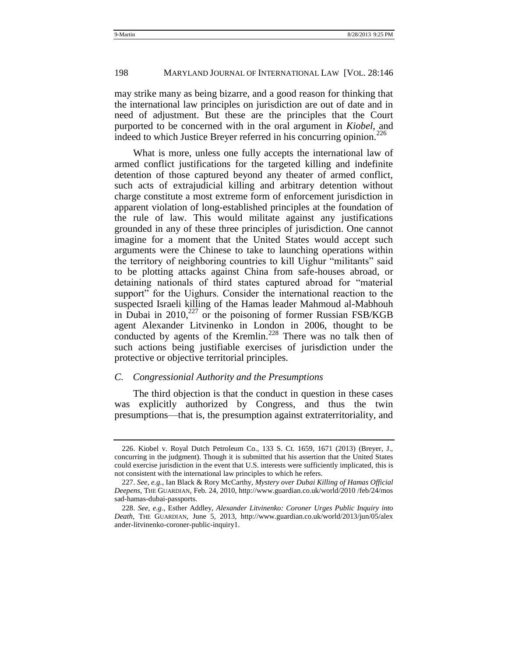may strike many as being bizarre, and a good reason for thinking that the international law principles on jurisdiction are out of date and in need of adjustment. But these are the principles that the Court purported to be concerned with in the oral argument in *Kiobel*, and indeed to which Justice Brever referred in his concurring opinion.<sup>226</sup>

What is more, unless one fully accepts the international law of armed conflict justifications for the targeted killing and indefinite detention of those captured beyond any theater of armed conflict, such acts of extrajudicial killing and arbitrary detention without charge constitute a most extreme form of enforcement jurisdiction in apparent violation of long-established principles at the foundation of the rule of law. This would militate against any justifications grounded in any of these three principles of jurisdiction. One cannot imagine for a moment that the United States would accept such arguments were the Chinese to take to launching operations within the territory of neighboring countries to kill Uighur "militants" said to be plotting attacks against China from safe-houses abroad, or detaining nationals of third states captured abroad for "material" support" for the Uighurs. Consider the international reaction to the suspected Israeli killing of the Hamas leader Mahmoud al-Mabhouh in Dubai in  $2010$ ,<sup>227</sup> or the poisoning of former Russian FSB/KGB agent Alexander Litvinenko in London in 2006, thought to be conducted by agents of the Kremlin.<sup>228</sup> There was no talk then of such actions being justifiable exercises of jurisdiction under the protective or objective territorial principles.

#### <span id="page-53-0"></span>*C. Congressionial Authority and the Presumptions*

The third objection is that the conduct in question in these cases was explicitly authorized by Congress, and thus the twin presumptions—that is, the presumption against extraterritoriality, and

<sup>226.</sup> Kiobel v. Royal Dutch Petroleum Co., 133 S. Ct. 1659, 1671 (2013) (Breyer, J., concurring in the judgment). Though it is submitted that his assertion that the United States could exercise jurisdiction in the event that U.S. interests were sufficiently implicated, this is not consistent with the international law principles to which he refers.

<sup>227.</sup> *See, e.g.*, Ian Black & Rory McCarthy, *Mystery over Dubai Killing of Hamas Official Deepens*, THE GUARDIAN, Feb. 24, 2010, http://www.guardian.co.uk/world/2010 /feb/24/mos sad-hamas-dubai-passports.

<sup>228.</sup> *See, e.g.*, Esther Addley, *Alexander Litvinenko: Coroner Urges Public Inquiry into Death*, THE GUARDIAN, June 5, 2013, http://www.guardian.co.uk/world/2013/jun/05/alex ander-litvinenko-coroner-public-inquiry1.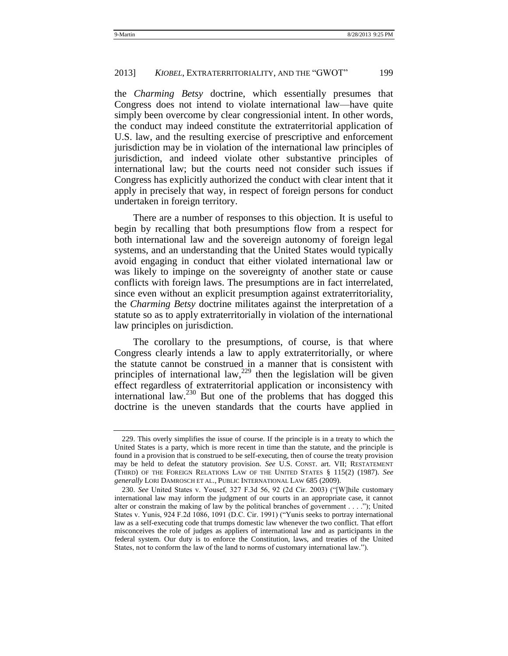the *Charming Betsy* doctrine, which essentially presumes that Congress does not intend to violate international law—have quite simply been overcome by clear congressionial intent. In other words, the conduct may indeed constitute the extraterritorial application of U.S. law, and the resulting exercise of prescriptive and enforcement jurisdiction may be in violation of the international law principles of jurisdiction, and indeed violate other substantive principles of international law; but the courts need not consider such issues if Congress has explicitly authorized the conduct with clear intent that it apply in precisely that way, in respect of foreign persons for conduct undertaken in foreign territory.

There are a number of responses to this objection. It is useful to begin by recalling that both presumptions flow from a respect for both international law and the sovereign autonomy of foreign legal systems, and an understanding that the United States would typically avoid engaging in conduct that either violated international law or was likely to impinge on the sovereignty of another state or cause conflicts with foreign laws. The presumptions are in fact interrelated, since even without an explicit presumption against extraterritoriality, the *Charming Betsy* doctrine militates against the interpretation of a statute so as to apply extraterritorially in violation of the international law principles on jurisdiction.

The corollary to the presumptions, of course, is that where Congress clearly intends a law to apply extraterritorially, or where the statute cannot be construed in a manner that is consistent with principles of international law, $^{229}$  then the legislation will be given effect regardless of extraterritorial application or inconsistency with international law.<sup>230</sup> But one of the problems that has dogged this doctrine is the uneven standards that the courts have applied in

<sup>229.</sup> This overly simplifies the issue of course. If the principle is in a treaty to which the United States is a party, which is more recent in time than the statute, and the principle is found in a provision that is construed to be self-executing, then of course the treaty provision may be held to defeat the statutory provision. *See* U.S. CONST. art. VII; RESTATEMENT (THIRD) OF THE FOREIGN RELATIONS LAW OF THE UNITED STATES § 115(2) (1987). *See generally* LORI DAMROSCH ET AL., PUBLIC INTERNATIONAL LAW 685 (2009).

<sup>230.</sup> *See* United States v. Yousef, 327 F.3d 56, 92 (2d Cir. 2003) ("[W]hile customary international law may inform the judgment of our courts in an appropriate case, it cannot alter or constrain the making of law by the political branches of government . . . ."); United States v. Yunis, 924 F.2d 1086, 1091 (D.C. Cir. 1991) ("Yunis seeks to portray international law as a self-executing code that trumps domestic law whenever the two conflict. That effort misconceives the role of judges as appliers of international law and as participants in the federal system. Our duty is to enforce the Constitution, laws, and treaties of the United States, not to conform the law of the land to norms of customary international law.").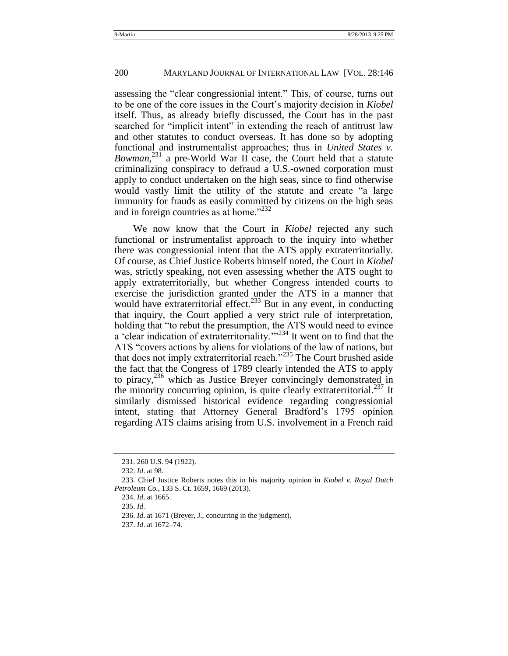assessing the "clear congressionial intent." This, of course, turns out to be one of the core issues in the Court's majority decision in *Kiobel* itself. Thus, as already briefly discussed, the Court has in the past searched for "implicit intent" in extending the reach of antitrust law and other statutes to conduct overseas. It has done so by adopting functional and instrumentalist approaches; thus in *United States v. Bowman*<sup>231</sup> a pre-World War II case, the Court held that a statute criminalizing conspiracy to defraud a U.S.-owned corporation must apply to conduct undertaken on the high seas, since to find otherwise would vastly limit the utility of the statute and create "a large" immunity for frauds as easily committed by citizens on the high seas and in foreign countries as at home." $232$ 

We now know that the Court in *Kiobel* rejected any such functional or instrumentalist approach to the inquiry into whether there was congressionial intent that the ATS apply extraterritorially. Of course, as Chief Justice Roberts himself noted, the Court in *Kiobel* was, strictly speaking, not even assessing whether the ATS ought to apply extraterritorially, but whether Congress intended courts to exercise the jurisdiction granted under the ATS in a manner that would have extraterritorial effect.<sup>233</sup> But in any event, in conducting that inquiry, the Court applied a very strict rule of interpretation, holding that "to rebut the presumption, the ATS would need to evince a 'clear indication of extraterritoriality.'<sup>234</sup> It went on to find that the ATS "covers actions by aliens for violations of the law of nations, but that does not imply extraterritorial reach.<sup> $235$ </sup> The Court brushed aside the fact that the Congress of 1789 clearly intended the ATS to apply to piracy,<sup>236</sup> which as Justice Breyer convincingly demonstrated in the minority concurring opinion, is quite clearly extraterritorial.<sup>237</sup> It similarly dismissed historical evidence regarding congressionial intent, stating that Attorney General Bradford's 1795 opinion regarding ATS claims arising from U.S. involvement in a French raid

234. *Id*. at 1665.

235. *Id.*

236. *Id*. at 1671 (Breyer, J., concurring in the judgment).

237. *Id*. at 1672–74.

<sup>231.</sup> 260 U.S. 94 (1922).

<sup>232.</sup> *Id*. at 98.

<sup>233.</sup> Chief Justice Roberts notes this in his majority opinion in *Kiobel v. Royal Dutch Petroleum Co.*, 133 S. Ct. 1659, 1669 (2013).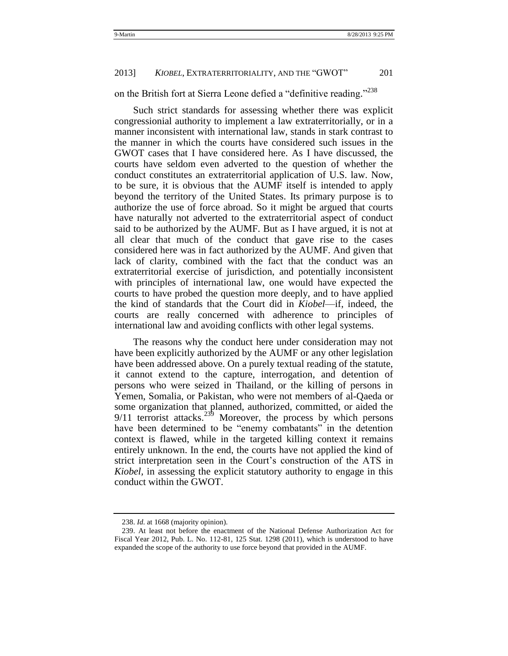## on the British fort at Sierra Leone defied a "definitive reading."<sup>238</sup>

Such strict standards for assessing whether there was explicit congressionial authority to implement a law extraterritorially, or in a manner inconsistent with international law, stands in stark contrast to the manner in which the courts have considered such issues in the GWOT cases that I have considered here. As I have discussed, the courts have seldom even adverted to the question of whether the conduct constitutes an extraterritorial application of U.S. law. Now, to be sure, it is obvious that the AUMF itself is intended to apply beyond the territory of the United States. Its primary purpose is to authorize the use of force abroad. So it might be argued that courts have naturally not adverted to the extraterritorial aspect of conduct said to be authorized by the AUMF. But as I have argued, it is not at all clear that much of the conduct that gave rise to the cases considered here was in fact authorized by the AUMF. And given that lack of clarity, combined with the fact that the conduct was an extraterritorial exercise of jurisdiction, and potentially inconsistent with principles of international law, one would have expected the courts to have probed the question more deeply, and to have applied the kind of standards that the Court did in *Kiobel*—if, indeed, the courts are really concerned with adherence to principles of international law and avoiding conflicts with other legal systems.

The reasons why the conduct here under consideration may not have been explicitly authorized by the AUMF or any other legislation have been addressed above. On a purely textual reading of the statute, it cannot extend to the capture, interrogation, and detention of persons who were seized in Thailand, or the killing of persons in Yemen, Somalia, or Pakistan, who were not members of al-Qaeda or some organization that planned, authorized, committed, or aided the  $9/11$  terrorist attacks.<sup>239</sup> Moreover, the process by which persons have been determined to be "enemy combatants" in the detention context is flawed, while in the targeted killing context it remains entirely unknown. In the end, the courts have not applied the kind of strict interpretation seen in the Court's construction of the ATS in *Kiobel,* in assessing the explicit statutory authority to engage in this conduct within the GWOT.

<sup>238.</sup> *Id.* at 1668 (majority opinion).

<sup>239.</sup> At least not before the enactment of the National Defense Authorization Act for Fiscal Year 2012, Pub. L. No. 112-81, 125 Stat. 1298 (2011), which is understood to have expanded the scope of the authority to use force beyond that provided in the AUMF.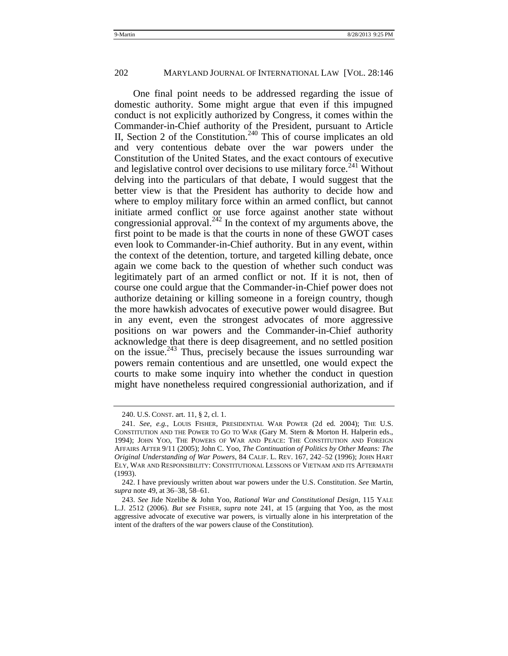<span id="page-57-0"></span>One final point needs to be addressed regarding the issue of domestic authority. Some might argue that even if this impugned conduct is not explicitly authorized by Congress, it comes within the Commander-in-Chief authority of the President, pursuant to Article II, Section 2 of the Constitution.<sup>240</sup> This of course implicates an old and very contentious debate over the war powers under the Constitution of the United States, and the exact contours of executive and legislative control over decisions to use military force.<sup>241</sup> Without delving into the particulars of that debate, I would suggest that the better view is that the President has authority to decide how and where to employ military force within an armed conflict, but cannot initiate armed conflict or use force against another state without congressionial approval.<sup>242</sup> In the context of my arguments above, the first point to be made is that the courts in none of these GWOT cases even look to Commander-in-Chief authority. But in any event, within the context of the detention, torture, and targeted killing debate, once again we come back to the question of whether such conduct was legitimately part of an armed conflict or not. If it is not, then of course one could argue that the Commander-in-Chief power does not authorize detaining or killing someone in a foreign country, though the more hawkish advocates of executive power would disagree. But in any event, even the strongest advocates of more aggressive positions on war powers and the Commander-in-Chief authority acknowledge that there is deep disagreement, and no settled position on the issue.<sup>243</sup> Thus, precisely because the issues surrounding war powers remain contentious and are unsettled, one would expect the courts to make some inquiry into whether the conduct in question might have nonetheless required congressionial authorization, and if

<sup>240.</sup> U.S. CONST. art. 11, § 2, cl. 1.

<sup>241.</sup> *See, e.g.*, LOUIS FISHER, PRESIDENTIAL WAR POWER (2d ed. 2004); THE U.S. CONSTITUTION AND THE POWER TO GO TO WAR (Gary M. Stern & Morton H. Halperin eds., 1994); JOHN YOO, THE POWERS OF WAR AND PEACE: THE CONSTITUTION AND FOREIGN AFFAIRS AFTER 9/11 (2005); John C. Yoo, *The Continuation of Politics by Other Means: The Original Understanding of War Powers*, 84 CALIF. L. REV. 167, 242–52 (1996); JOHN HART ELY, WAR AND RESPONSIBILITY: CONSTITUTIONAL LESSONS OF VIETNAM AND ITS AFTERMATH (1993).

<sup>242.</sup> I have previously written about war powers under the U.S. Constitution. *See* Martin, *supra* not[e 49,](#page-17-0) at 36–38, 58–61.

<sup>243.</sup> *See* Jide Nzelibe & John Yoo, *Rational War and Constitutional Design*, 115 YALE L.J. 2512 (2006). *But see* FISHER, *supra* note [241,](#page-57-0) at 15 (arguing that Yoo, as the most aggressive advocate of executive war powers, is virtually alone in his interpretation of the intent of the drafters of the war powers clause of the Constitution).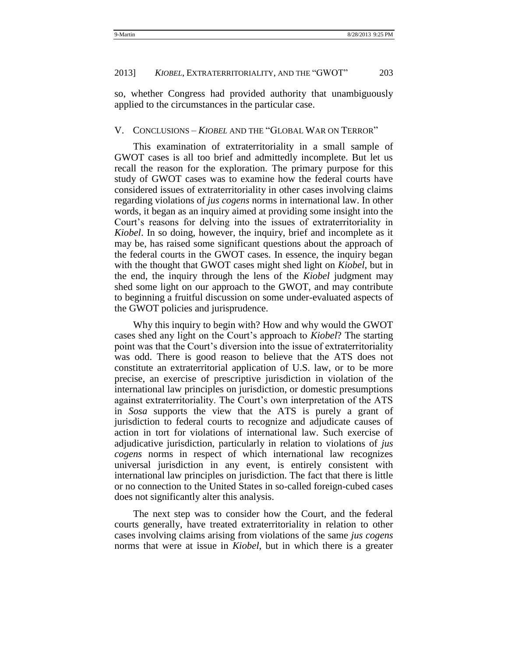so, whether Congress had provided authority that unambiguously applied to the circumstances in the particular case.

#### <span id="page-58-0"></span>V. CONCLUSIONS – *KIOBEL* AND THE "GLOBAL WAR ON TERROR"

This examination of extraterritoriality in a small sample of GWOT cases is all too brief and admittedly incomplete. But let us recall the reason for the exploration. The primary purpose for this study of GWOT cases was to examine how the federal courts have considered issues of extraterritoriality in other cases involving claims regarding violations of *jus cogens* norms in international law. In other words, it began as an inquiry aimed at providing some insight into the Court's reasons for delving into the issues of extraterritoriality in *Kiobel*. In so doing, however, the inquiry, brief and incomplete as it may be, has raised some significant questions about the approach of the federal courts in the GWOT cases. In essence, the inquiry began with the thought that GWOT cases might shed light on *Kiobel*, but in the end, the inquiry through the lens of the *Kiobel* judgment may shed some light on our approach to the GWOT, and may contribute to beginning a fruitful discussion on some under-evaluated aspects of the GWOT policies and jurisprudence.

Why this inquiry to begin with? How and why would the GWOT cases shed any light on the Court's approach to *Kiobel*? The starting point was that the Court's diversion into the issue of extraterritoriality was odd. There is good reason to believe that the ATS does not constitute an extraterritorial application of U.S. law, or to be more precise, an exercise of prescriptive jurisdiction in violation of the international law principles on jurisdiction, or domestic presumptions against extraterritoriality. The Court's own interpretation of the ATS in *Sosa* supports the view that the ATS is purely a grant of jurisdiction to federal courts to recognize and adjudicate causes of action in tort for violations of international law. Such exercise of adjudicative jurisdiction, particularly in relation to violations of *jus cogens* norms in respect of which international law recognizes universal jurisdiction in any event, is entirely consistent with international law principles on jurisdiction. The fact that there is little or no connection to the United States in so-called foreign-cubed cases does not significantly alter this analysis.

The next step was to consider how the Court, and the federal courts generally, have treated extraterritoriality in relation to other cases involving claims arising from violations of the same *jus cogens* norms that were at issue in *Kiobel*, but in which there is a greater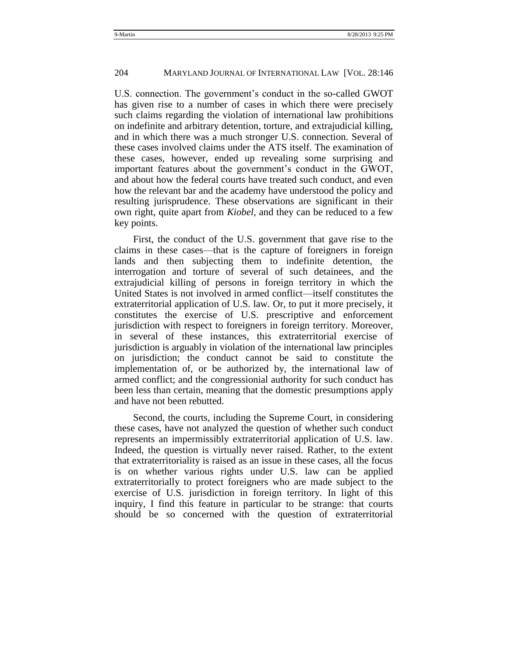U.S. connection. The government's conduct in the so-called GWOT has given rise to a number of cases in which there were precisely such claims regarding the violation of international law prohibitions on indefinite and arbitrary detention, torture, and extrajudicial killing, and in which there was a much stronger U.S. connection. Several of these cases involved claims under the ATS itself. The examination of these cases, however, ended up revealing some surprising and important features about the government's conduct in the GWOT, and about how the federal courts have treated such conduct, and even how the relevant bar and the academy have understood the policy and resulting jurisprudence. These observations are significant in their own right, quite apart from *Kiobel*, and they can be reduced to a few key points.

First, the conduct of the U.S. government that gave rise to the claims in these cases—that is the capture of foreigners in foreign lands and then subjecting them to indefinite detention, the interrogation and torture of several of such detainees, and the extrajudicial killing of persons in foreign territory in which the United States is not involved in armed conflict—itself constitutes the extraterritorial application of U.S. law. Or, to put it more precisely, it constitutes the exercise of U.S. prescriptive and enforcement jurisdiction with respect to foreigners in foreign territory. Moreover, in several of these instances, this extraterritorial exercise of jurisdiction is arguably in violation of the international law principles on jurisdiction; the conduct cannot be said to constitute the implementation of, or be authorized by, the international law of armed conflict; and the congressionial authority for such conduct has been less than certain, meaning that the domestic presumptions apply and have not been rebutted.

Second, the courts, including the Supreme Court, in considering these cases, have not analyzed the question of whether such conduct represents an impermissibly extraterritorial application of U.S. law. Indeed, the question is virtually never raised. Rather, to the extent that extraterritoriality is raised as an issue in these cases, all the focus is on whether various rights under U.S. law can be applied extraterritorially to protect foreigners who are made subject to the exercise of U.S. jurisdiction in foreign territory. In light of this inquiry, I find this feature in particular to be strange: that courts should be so concerned with the question of extraterritorial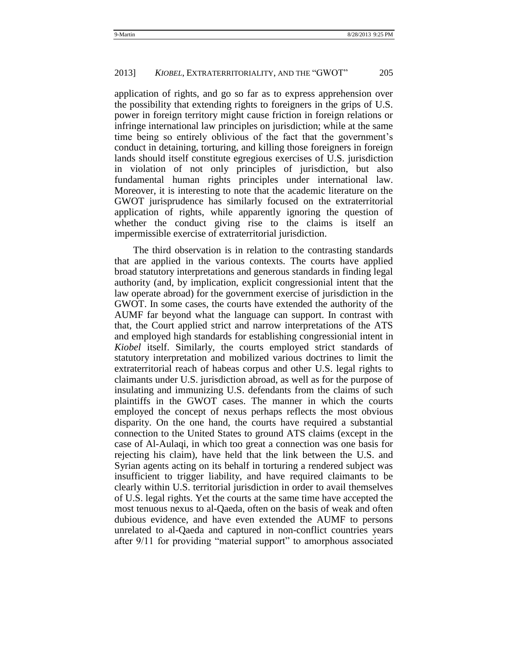application of rights, and go so far as to express apprehension over the possibility that extending rights to foreigners in the grips of U.S. power in foreign territory might cause friction in foreign relations or infringe international law principles on jurisdiction; while at the same time being so entirely oblivious of the fact that the government's conduct in detaining, torturing, and killing those foreigners in foreign lands should itself constitute egregious exercises of U.S. jurisdiction in violation of not only principles of jurisdiction, but also fundamental human rights principles under international law. Moreover, it is interesting to note that the academic literature on the GWOT jurisprudence has similarly focused on the extraterritorial application of rights, while apparently ignoring the question of whether the conduct giving rise to the claims is itself an impermissible exercise of extraterritorial jurisdiction.

The third observation is in relation to the contrasting standards that are applied in the various contexts. The courts have applied broad statutory interpretations and generous standards in finding legal authority (and, by implication, explicit congressionial intent that the law operate abroad) for the government exercise of jurisdiction in the GWOT. In some cases, the courts have extended the authority of the AUMF far beyond what the language can support. In contrast with that, the Court applied strict and narrow interpretations of the ATS and employed high standards for establishing congressionial intent in *Kiobel* itself. Similarly, the courts employed strict standards of statutory interpretation and mobilized various doctrines to limit the extraterritorial reach of habeas corpus and other U.S. legal rights to claimants under U.S. jurisdiction abroad, as well as for the purpose of insulating and immunizing U.S. defendants from the claims of such plaintiffs in the GWOT cases. The manner in which the courts employed the concept of nexus perhaps reflects the most obvious disparity. On the one hand, the courts have required a substantial connection to the United States to ground ATS claims (except in the case of Al-Aulaqi, in which too great a connection was one basis for rejecting his claim), have held that the link between the U.S. and Syrian agents acting on its behalf in torturing a rendered subject was insufficient to trigger liability, and have required claimants to be clearly within U.S. territorial jurisdiction in order to avail themselves of U.S. legal rights. Yet the courts at the same time have accepted the most tenuous nexus to al-Qaeda, often on the basis of weak and often dubious evidence, and have even extended the AUMF to persons unrelated to al-Qaeda and captured in non-conflict countries years after 9/11 for providing "material support" to amorphous associated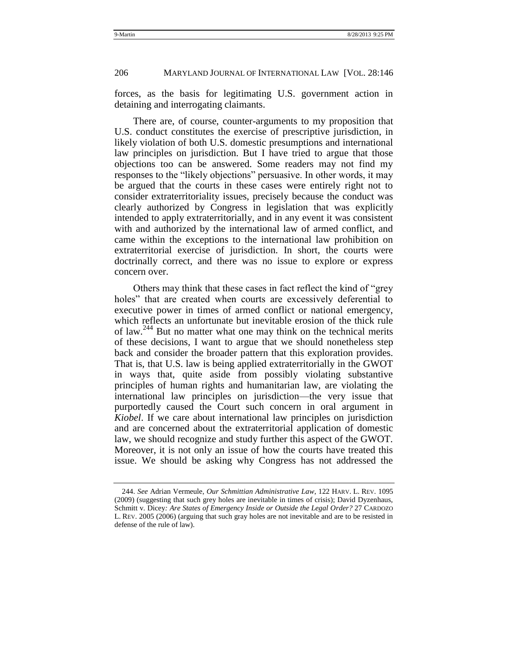forces, as the basis for legitimating U.S. government action in detaining and interrogating claimants.

There are, of course, counter-arguments to my proposition that U.S. conduct constitutes the exercise of prescriptive jurisdiction, in likely violation of both U.S. domestic presumptions and international law principles on jurisdiction. But I have tried to argue that those objections too can be answered. Some readers may not find my responses to the "likely objections" persuasive. In other words, it may be argued that the courts in these cases were entirely right not to consider extraterritoriality issues, precisely because the conduct was clearly authorized by Congress in legislation that was explicitly intended to apply extraterritorially, and in any event it was consistent with and authorized by the international law of armed conflict, and came within the exceptions to the international law prohibition on extraterritorial exercise of jurisdiction. In short, the courts were doctrinally correct, and there was no issue to explore or express concern over.

Others may think that these cases in fact reflect the kind of "grey" holes" that are created when courts are excessively deferential to executive power in times of armed conflict or national emergency, which reflects an unfortunate but inevitable erosion of the thick rule of law.<sup>244</sup> But no matter what one may think on the technical merits of these decisions, I want to argue that we should nonetheless step back and consider the broader pattern that this exploration provides. That is, that U.S. law is being applied extraterritorially in the GWOT in ways that, quite aside from possibly violating substantive principles of human rights and humanitarian law, are violating the international law principles on jurisdiction—the very issue that purportedly caused the Court such concern in oral argument in *Kiobel*. If we care about international law principles on jurisdiction and are concerned about the extraterritorial application of domestic law, we should recognize and study further this aspect of the GWOT. Moreover, it is not only an issue of how the courts have treated this issue. We should be asking why Congress has not addressed the

<sup>244.</sup> *See* Adrian Vermeule, *Our Schmittian Administrative Law*, 122 HARV. L. REV. 1095 (2009) (suggesting that such grey holes are inevitable in times of crisis); David Dyzenhaus, Schmitt v. Dicey*: Are States of Emergency Inside or Outside the Legal Order?* 27 CARDOZO L. REV. 2005 (2006) (arguing that such gray holes are not inevitable and are to be resisted in defense of the rule of law).